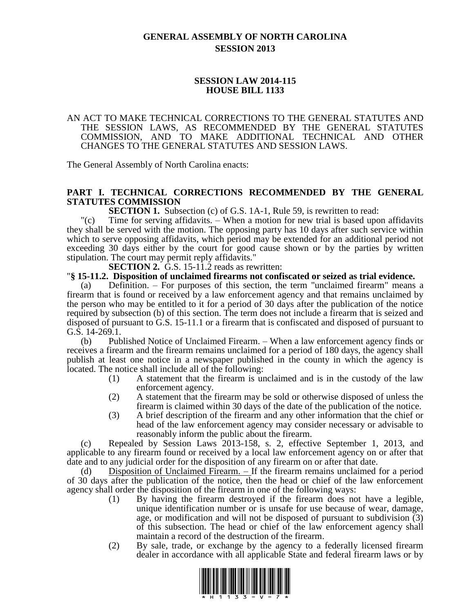# **GENERAL ASSEMBLY OF NORTH CAROLINA SESSION 2013**

# **SESSION LAW 2014-115 HOUSE BILL 1133**

### AN ACT TO MAKE TECHNICAL CORRECTIONS TO THE GENERAL STATUTES AND THE SESSION LAWS, AS RECOMMENDED BY THE GENERAL STATUTES COMMISSION, AND TO MAKE ADDITIONAL TECHNICAL AND OTHER CHANGES TO THE GENERAL STATUTES AND SESSION LAWS.

The General Assembly of North Carolina enacts:

# **PART I. TECHNICAL CORRECTIONS RECOMMENDED BY THE GENERAL STATUTES COMMISSION**

**SECTION 1.** Subsection (c) of G.S. 1A-1, Rule 59, is rewritten to read:

"(c) Time for serving affidavits. – When a motion for new trial is based upon affidavits they shall be served with the motion. The opposing party has 10 days after such service within which to serve opposing affidavits, which period may be extended for an additional period not exceeding 30 days either by the court for good cause shown or by the parties by written stipulation. The court may permit reply affidavits."

**SECTION 2.** G.S. 15-11.2 reads as rewritten:

### "**§ 15-11.2. Disposition of unclaimed firearms not confiscated or seized as trial evidence.**

(a) Definition. – For purposes of this section, the term "unclaimed firearm" means a firearm that is found or received by a law enforcement agency and that remains unclaimed by the person who may be entitled to it for a period of 30 days after the publication of the notice required by subsection (b) of this section. The term does not include a firearm that is seized and disposed of pursuant to G.S. 15-11.1 or a firearm that is confiscated and disposed of pursuant to G.S. 14-269.1.

(b) Published Notice of Unclaimed Firearm. – When a law enforcement agency finds or receives a firearm and the firearm remains unclaimed for a period of 180 days, the agency shall publish at least one notice in a newspaper published in the county in which the agency is located. The notice shall include all of the following:

- (1) A statement that the firearm is unclaimed and is in the custody of the law enforcement agency.
- (2) A statement that the firearm may be sold or otherwise disposed of unless the firearm is claimed within 30 days of the date of the publication of the notice.
- (3) A brief description of the firearm and any other information that the chief or head of the law enforcement agency may consider necessary or advisable to reasonably inform the public about the firearm.

(c) Repealed by Session Laws 2013-158, s. 2, effective September 1, 2013, and applicable to any firearm found or received by a local law enforcement agency on or after that date and to any judicial order for the disposition of any firearm on or after that date.

Disposition of Unclaimed Firearm. – If the firearm remains unclaimed for a period of 30 days after the publication of the notice, then the head or chief of the law enforcement agency shall order the disposition of the firearm in one of the following ways:

- (1) By having the firearm destroyed if the firearm does not have a legible, unique identification number or is unsafe for use because of wear, damage, age, or modification and will not be disposed of pursuant to subdivision (3) of this subsection. The head or chief of the law enforcement agency shall maintain a record of the destruction of the firearm.
- (2) By sale, trade, or exchange by the agency to a federally licensed firearm dealer in accordance with all applicable State and federal firearm laws or by

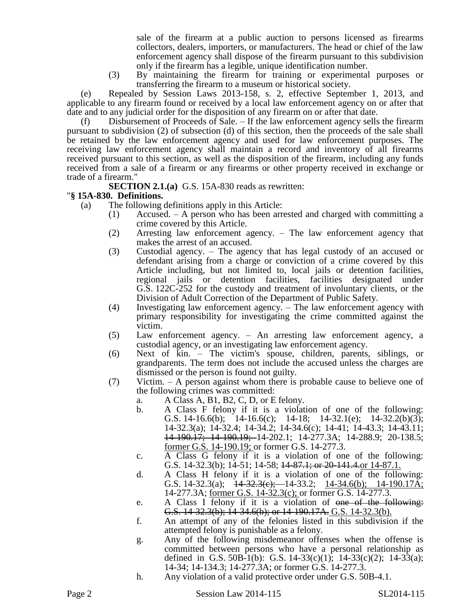sale of the firearm at a public auction to persons licensed as firearms collectors, dealers, importers, or manufacturers. The head or chief of the law enforcement agency shall dispose of the firearm pursuant to this subdivision only if the firearm has a legible, unique identification number.

(3) By maintaining the firearm for training or experimental purposes or transferring the firearm to a museum or historical society.

(e) Repealed by Session Laws 2013-158, s. 2, effective September 1, 2013, and applicable to any firearm found or received by a local law enforcement agency on or after that date and to any judicial order for the disposition of any firearm on or after that date.

(f) Disbursement of Proceeds of Sale. – If the law enforcement agency sells the firearm pursuant to subdivision (2) of subsection (d) of this section, then the proceeds of the sale shall be retained by the law enforcement agency and used for law enforcement purposes. The receiving law enforcement agency shall maintain a record and inventory of all firearms received pursuant to this section, as well as the disposition of the firearm, including any funds received from a sale of a firearm or any firearms or other property received in exchange or trade of a firearm."

**SECTION 2.1.(a)** G.S. 15A-830 reads as rewritten:

# "**§ 15A-830. Definitions.**

- (a) The following definitions apply in this Article:
	- (1) Accused. A person who has been arrested and charged with committing a crime covered by this Article.
	- (2) Arresting law enforcement agency. The law enforcement agency that makes the arrest of an accused.
	- (3) Custodial agency. The agency that has legal custody of an accused or defendant arising from a charge or conviction of a crime covered by this Article including, but not limited to, local jails or detention facilities, regional jails or detention facilities, facilities designated under G.S. 122C-252 for the custody and treatment of involuntary clients, or the Division of Adult Correction of the Department of Public Safety.
	- (4) Investigating law enforcement agency. The law enforcement agency with primary responsibility for investigating the crime committed against the victim.
	- (5) Law enforcement agency. An arresting law enforcement agency, a custodial agency, or an investigating law enforcement agency.
	- (6) Next of kin. The victim's spouse, children, parents, siblings, or grandparents. The term does not include the accused unless the charges are dismissed or the person is found not guilty.
	- (7) Victim. A person against whom there is probable cause to believe one of the following crimes was committed:
		- a. A Class A, B1, B2, C, D, or E felony.
		- b. A Class F felony if it is a violation of one of the following: G.S. 14-16.6(b); 14-16.6(c); 14-18; 14-32.1(e); 14-32.2(b)(3); 14-32.3(a); 14-32.4; 14-34.2; 14-34.6(c); 14-41; 14-43.3; 14-43.11; 14-190.17; 14-190.19; 14-202.1; 14-277.3A; 14-288.9; 20-138.5; former G.S. 14-190.19; or former G.S. 14-277.3.
		- c. A Class G felony if it is a violation of one of the following: G.S. 14-32.3(b); 14-51; 14-58; <del>14-87.1; or 20-141.4.</del>or 14-87.1.
		- d. A Class H felony if it is a violation of one of the following: G.S. 14-32.3(a);  $14-32.3(e)$ ;  $-14-33.2$ ;  $14-34.6(b)$ ;  $14-190.17A$ ; 14-277.3A; former G.S. 14-32.3(c); or former G.S. 14-277.3.
		- e. A Class I felony if it is a violation of one of the following: G.S. 14-32.3(b); 14-34.6(b); or 14-190.17A. G.S. 14-32.3(b).
		- f. An attempt of any of the felonies listed in this subdivision if the attempted felony is punishable as a felony.
		- g. Any of the following misdemeanor offenses when the offense is committed between persons who have a personal relationship as defined in G.S. 50B-1(b): G.S. 14-33(c)(1); 14-33(c)(2); 14-33(a); 14-34; 14-134.3; 14-277.3A; or former G.S. 14-277.3.
		- h. Any violation of a valid protective order under G.S. 50B-4.1.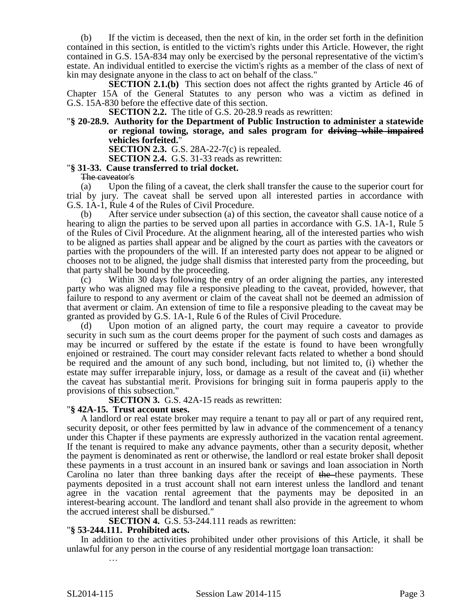(b) If the victim is deceased, then the next of kin, in the order set forth in the definition contained in this section, is entitled to the victim's rights under this Article. However, the right contained in G.S. 15A-834 may only be exercised by the personal representative of the victim's estate. An individual entitled to exercise the victim's rights as a member of the class of next of kin may designate anyone in the class to act on behalf of the class."

**SECTION 2.1.(b)** This section does not affect the rights granted by Article 46 of Chapter 15A of the General Statutes to any person who was a victim as defined in G.S. 15A-830 before the effective date of this section.

**SECTION 2.2.** The title of G.S. 20-28.9 reads as rewritten:

"**§ 20-28.9. Authority for the Department of Public Instruction to administer a statewide**  or regional towing, storage, and sales program for driving while impaired **vehicles forfeited.**"

**SECTION 2.3.** G.S. 28A-22-7(c) is repealed.

**SECTION 2.4.** G.S. 31-33 reads as rewritten:

### "**§ 31-33. Cause transferred to trial docket.**

The caveator's

(a) Upon the filing of a caveat, the clerk shall transfer the cause to the superior court for trial by jury. The caveat shall be served upon all interested parties in accordance with G.S. 1A-1, Rule 4 of the Rules of Civil Procedure.

(b) After service under subsection (a) of this section, the caveator shall cause notice of a hearing to align the parties to be served upon all parties in accordance with G.S. 1A-1, Rule 5 of the Rules of Civil Procedure. At the alignment hearing, all of the interested parties who wish to be aligned as parties shall appear and be aligned by the court as parties with the caveators or parties with the propounders of the will. If an interested party does not appear to be aligned or chooses not to be aligned, the judge shall dismiss that interested party from the proceeding, but that party shall be bound by the proceeding.

(c) Within 30 days following the entry of an order aligning the parties, any interested party who was aligned may file a responsive pleading to the caveat, provided, however, that failure to respond to any averment or claim of the caveat shall not be deemed an admission of that averment or claim. An extension of time to file a responsive pleading to the caveat may be granted as provided by G.S. 1A-1, Rule 6 of the Rules of Civil Procedure.

(d) Upon motion of an aligned party, the court may require a caveator to provide security in such sum as the court deems proper for the payment of such costs and damages as may be incurred or suffered by the estate if the estate is found to have been wrongfully enjoined or restrained. The court may consider relevant facts related to whether a bond should be required and the amount of any such bond, including, but not limited to, (i) whether the estate may suffer irreparable injury, loss, or damage as a result of the caveat and (ii) whether the caveat has substantial merit. Provisions for bringing suit in forma pauperis apply to the provisions of this subsection."

**SECTION 3.** G.S. 42A-15 reads as rewritten:

#### "**§ 42A-15. Trust account uses.**

A landlord or real estate broker may require a tenant to pay all or part of any required rent, security deposit, or other fees permitted by law in advance of the commencement of a tenancy under this Chapter if these payments are expressly authorized in the vacation rental agreement. If the tenant is required to make any advance payments, other than a security deposit, whether the payment is denominated as rent or otherwise, the landlord or real estate broker shall deposit these payments in a trust account in an insured bank or savings and loan association in North Carolina no later than three banking days after the receipt of the these payments. These payments deposited in a trust account shall not earn interest unless the landlord and tenant agree in the vacation rental agreement that the payments may be deposited in an interest-bearing account. The landlord and tenant shall also provide in the agreement to whom the accrued interest shall be disbursed."

**SECTION 4.** G.S. 53-244.111 reads as rewritten:

#### "**§ 53-244.111. Prohibited acts.**

In addition to the activities prohibited under other provisions of this Article, it shall be unlawful for any person in the course of any residential mortgage loan transaction: …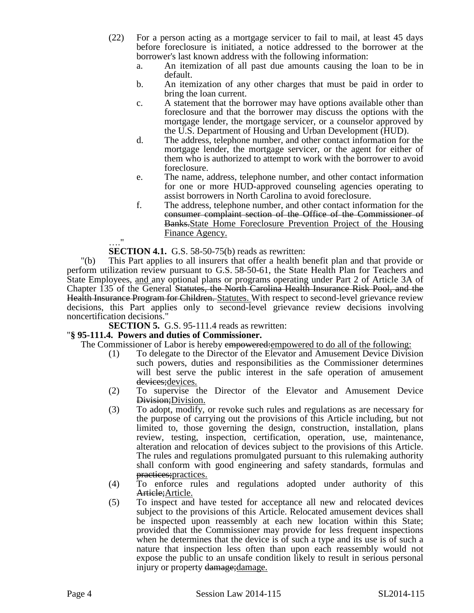- (22) For a person acting as a mortgage servicer to fail to mail, at least 45 days before foreclosure is initiated, a notice addressed to the borrower at the borrower's last known address with the following information:
	- a. An itemization of all past due amounts causing the loan to be in default.
	- b. An itemization of any other charges that must be paid in order to bring the loan current.
	- c. A statement that the borrower may have options available other than foreclosure and that the borrower may discuss the options with the mortgage lender, the mortgage servicer, or a counselor approved by the U.S. Department of Housing and Urban Development (HUD).
	- d. The address, telephone number, and other contact information for the mortgage lender, the mortgage servicer, or the agent for either of them who is authorized to attempt to work with the borrower to avoid foreclosure.
	- e. The name, address, telephone number, and other contact information for one or more HUD-approved counseling agencies operating to assist borrowers in North Carolina to avoid foreclosure.
	- f. The address, telephone number, and other contact information for the consumer complaint section of the Office of the Commissioner of Banks. State Home Foreclosure Prevention Project of the Housing Finance Agency.

 $^{\prime}$ 

**SECTION 4.1.** G.S. 58-50-75(b) reads as rewritten:

"(b) This Part applies to all insurers that offer a health benefit plan and that provide or perform utilization review pursuant to G.S. 58-50-61, the State Health Plan for Teachers and State Employees, and any optional plans or programs operating under Part 2 of Article 3A of Chapter 135 of the General Statutes, the North Carolina Health Insurance Risk Pool, and the Health Insurance Program for Children. Statutes. With respect to second-level grievance review decisions, this Part applies only to second-level grievance review decisions involving noncertification decisions."

**SECTION 5.** G.S. 95-111.4 reads as rewritten:

# "**§ 95-111.4. Powers and duties of Commissioner.**

The Commissioner of Labor is hereby empowered: empowered to do all of the following:

- (1) To delegate to the Director of the Elevator and Amusement Device Division such powers, duties and responsibilities as the Commissioner determines will best serve the public interest in the safe operation of amusement devices; devices.
- (2) To supervise the Director of the Elevator and Amusement Device Division; Division.
- (3) To adopt, modify, or revoke such rules and regulations as are necessary for the purpose of carrying out the provisions of this Article including, but not limited to, those governing the design, construction, installation, plans review, testing, inspection, certification, operation, use, maintenance, alteration and relocation of devices subject to the provisions of this Article. The rules and regulations promulgated pursuant to this rulemaking authority shall conform with good engineering and safety standards, formulas and practices;practices.
- (4) To enforce rules and regulations adopted under authority of this Article; Article.
- (5) To inspect and have tested for acceptance all new and relocated devices subject to the provisions of this Article. Relocated amusement devices shall be inspected upon reassembly at each new location within this State; provided that the Commissioner may provide for less frequent inspections when he determines that the device is of such a type and its use is of such a nature that inspection less often than upon each reassembly would not expose the public to an unsafe condition likely to result in serious personal injury or property damage; damage.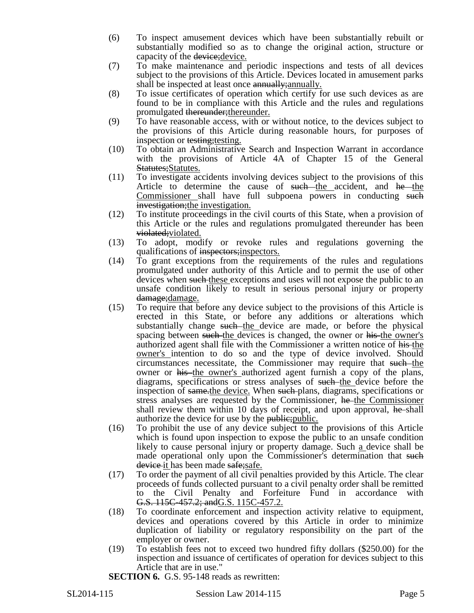- (6) To inspect amusement devices which have been substantially rebuilt or substantially modified so as to change the original action, structure or capacity of the device; device.
- (7) To make maintenance and periodic inspections and tests of all devices subject to the provisions of this Article. Devices located in amusement parks shall be inspected at least once annually; annually.
- (8) To issue certificates of operation which certify for use such devices as are found to be in compliance with this Article and the rules and regulations promulgated thereunder;thereunder.
- (9) To have reasonable access, with or without notice, to the devices subject to the provisions of this Article during reasonable hours, for purposes of inspection or testing; testing.
- (10) To obtain an Administrative Search and Inspection Warrant in accordance with the provisions of Article 4A of Chapter 15 of the General Statutes; Statutes.
- (11) To investigate accidents involving devices subject to the provisions of this Article to determine the cause of such the accident, and he the Commissioner shall have full subpoena powers in conducting such investigation; the investigation.
- (12) To institute proceedings in the civil courts of this State, when a provision of this Article or the rules and regulations promulgated thereunder has been violated; violated.
- (13) To adopt, modify or revoke rules and regulations governing the qualifications of inspectors; inspectors.
- (14) To grant exceptions from the requirements of the rules and regulations promulgated under authority of this Article and to permit the use of other devices when such these exceptions and uses will not expose the public to an unsafe condition likely to result in serious personal injury or property damage;damage.
- (15) To require that before any device subject to the provisions of this Article is erected in this State, or before any additions or alterations which substantially change such the device are made, or before the physical spacing between such the devices is changed, the owner or his the owner's authorized agent shall file with the Commissioner a written notice of his the owner's intention to do so and the type of device involved. Should circumstances necessitate, the Commissioner may require that such the owner or his the owner's authorized agent furnish a copy of the plans, diagrams, specifications or stress analyses of such the device before the inspection of same.the device. When such plans, diagrams, specifications or stress analyses are requested by the Commissioner, he the Commissioner shall review them within 10 days of receipt, and upon approval, he shall authorize the device for use by the public; appropriately
- (16) To prohibit the use of any device subject to the provisions of this Article which is found upon inspection to expose the public to an unsafe condition likely to cause personal injury or property damage. Such a device shall be made operational only upon the Commissioner's determination that such device it has been made safe; safe.
- (17) To order the payment of all civil penalties provided by this Article. The clear proceeds of funds collected pursuant to a civil penalty order shall be remitted to the Civil Penalty and Forfeiture Fund in accordance with G.S. 115C-457.2; and G.S. 115C-457.2.
- (18) To coordinate enforcement and inspection activity relative to equipment, devices and operations covered by this Article in order to minimize duplication of liability or regulatory responsibility on the part of the employer or owner.
- (19) To establish fees not to exceed two hundred fifty dollars (\$250.00) for the inspection and issuance of certificates of operation for devices subject to this Article that are in use."

**SECTION 6.** G.S. 95-148 reads as rewritten: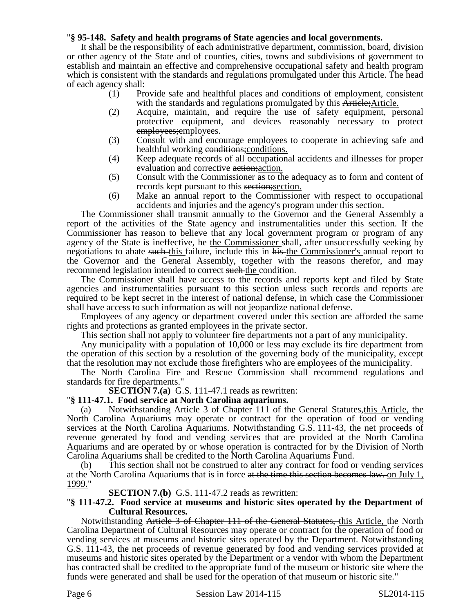# "**§ 95-148. Safety and health programs of State agencies and local governments.**

It shall be the responsibility of each administrative department, commission, board, division or other agency of the State and of counties, cities, towns and subdivisions of government to establish and maintain an effective and comprehensive occupational safety and health program which is consistent with the standards and regulations promulgated under this Article. The head of each agency shall:

- (1) Provide safe and healthful places and conditions of employment, consistent with the standards and regulations promulgated by this Article; Article.
- (2) Acquire, maintain, and require the use of safety equipment, personal protective equipment, and devices reasonably necessary to protect employees;employees.
- (3) Consult with and encourage employees to cooperate in achieving safe and healthful working conditions; conditions.
- (4) Keep adequate records of all occupational accidents and illnesses for proper evaluation and corrective action; action.
- (5) Consult with the Commissioner as to the adequacy as to form and content of records kept pursuant to this section; section.
- (6) Make an annual report to the Commissioner with respect to occupational accidents and injuries and the agency's program under this section.

The Commissioner shall transmit annually to the Governor and the General Assembly a report of the activities of the State agency and instrumentalities under this section. If the Commissioner has reason to believe that any local government program or program of any agency of the State is ineffective, he the Commissioner shall, after unsuccessfully seeking by negotiations to abate such this failure, include this in his the Commissioner's annual report to the Governor and the General Assembly, together with the reasons therefor, and may recommend legislation intended to correct such the condition.

The Commissioner shall have access to the records and reports kept and filed by State agencies and instrumentalities pursuant to this section unless such records and reports are required to be kept secret in the interest of national defense, in which case the Commissioner shall have access to such information as will not jeopardize national defense.

Employees of any agency or department covered under this section are afforded the same rights and protections as granted employees in the private sector.

This section shall not apply to volunteer fire departments not a part of any municipality.

Any municipality with a population of 10,000 or less may exclude its fire department from the operation of this section by a resolution of the governing body of the municipality, except that the resolution may not exclude those firefighters who are employees of the municipality.

The North Carolina Fire and Rescue Commission shall recommend regulations and standards for fire departments."

**SECTION 7.(a)** G.S. 111-47.1 reads as rewritten:

## "**§ 111-47.1. Food service at North Carolina aquariums.**

(a) Notwithstanding Article 3 of Chapter 111 of the General Statutes,this Article, the North Carolina Aquariums may operate or contract for the operation of food or vending services at the North Carolina Aquariums. Notwithstanding G.S. 111-43, the net proceeds of revenue generated by food and vending services that are provided at the North Carolina Aquariums and are operated by or whose operation is contracted for by the Division of North Carolina Aquariums shall be credited to the North Carolina Aquariums Fund.

(b) This section shall not be construed to alter any contract for food or vending services at the North Carolina Aquariums that is in force at the time this section becomes law. on July  $1$ , 1999."

## **SECTION 7.(b)** G.S. 111-47.2 reads as rewritten:

#### "**§ 111-47.2. Food service at museums and historic sites operated by the Department of Cultural Resources.**

Notwithstanding Article 3 of Chapter 111 of the General Statutes, this Article, the North Carolina Department of Cultural Resources may operate or contract for the operation of food or vending services at museums and historic sites operated by the Department. Notwithstanding G.S. 111-43, the net proceeds of revenue generated by food and vending services provided at museums and historic sites operated by the Department or a vendor with whom the Department has contracted shall be credited to the appropriate fund of the museum or historic site where the funds were generated and shall be used for the operation of that museum or historic site."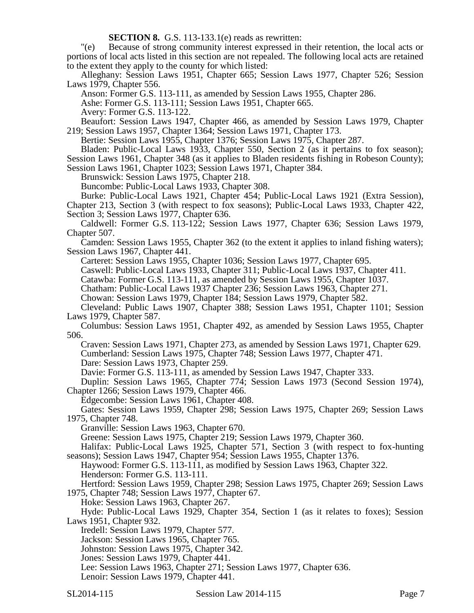**SECTION 8.** G.S. 113-133.1(e) reads as rewritten:

"(e) Because of strong community interest expressed in their retention, the local acts or portions of local acts listed in this section are not repealed. The following local acts are retained to the extent they apply to the county for which listed:

Alleghany: Session Laws 1951, Chapter 665; Session Laws 1977, Chapter 526; Session Laws 1979, Chapter 556.

Anson: Former G.S. 113-111, as amended by Session Laws 1955, Chapter 286.

Ashe: Former G.S. 113-111; Session Laws 1951, Chapter 665.

Avery: Former G.S. 113-122.

Beaufort: Session Laws 1947, Chapter 466, as amended by Session Laws 1979, Chapter 219; Session Laws 1957, Chapter 1364; Session Laws 1971, Chapter 173.

Bertie: Session Laws 1955, Chapter 1376; Session Laws 1975, Chapter 287.

Bladen: Public-Local Laws 1933, Chapter 550, Section 2 (as it pertains to fox season);

Session Laws 1961, Chapter 348 (as it applies to Bladen residents fishing in Robeson County); Session Laws 1961, Chapter 1023; Session Laws 1971, Chapter 384.

Brunswick: Session Laws 1975, Chapter 218.

Buncombe: Public-Local Laws 1933, Chapter 308.

Burke: Public-Local Laws 1921, Chapter 454; Public-Local Laws 1921 (Extra Session), Chapter 213, Section 3 (with respect to fox seasons); Public-Local Laws 1933, Chapter 422, Section 3; Session Laws 1977, Chapter 636.

Caldwell: Former G.S. 113-122; Session Laws 1977, Chapter 636; Session Laws 1979, Chapter 507.

Camden: Session Laws 1955, Chapter 362 (to the extent it applies to inland fishing waters); Session Laws 1967, Chapter 441.

Carteret: Session Laws 1955, Chapter 1036; Session Laws 1977, Chapter 695.

Caswell: Public-Local Laws 1933, Chapter 311; Public-Local Laws 1937, Chapter 411.

Catawba: Former G.S. 113-111, as amended by Session Laws 1955, Chapter 1037.

Chatham: Public-Local Laws 1937 Chapter 236; Session Laws 1963, Chapter 271.

Chowan: Session Laws 1979, Chapter 184; Session Laws 1979, Chapter 582.

Cleveland: Public Laws 1907, Chapter 388; Session Laws 1951, Chapter 1101; Session Laws 1979, Chapter 587.

Columbus: Session Laws 1951, Chapter 492, as amended by Session Laws 1955, Chapter 506.

Craven: Session Laws 1971, Chapter 273, as amended by Session Laws 1971, Chapter 629. Cumberland: Session Laws 1975, Chapter 748; Session Laws 1977, Chapter 471.

Dare: Session Laws 1973, Chapter 259.

Davie: Former G.S. 113-111, as amended by Session Laws 1947, Chapter 333.

Duplin: Session Laws 1965, Chapter 774; Session Laws 1973 (Second Session 1974), Chapter 1266; Session Laws 1979, Chapter 466.

Edgecombe: Session Laws 1961, Chapter 408.

Gates: Session Laws 1959, Chapter 298; Session Laws 1975, Chapter 269; Session Laws 1975, Chapter 748.

Granville: Session Laws 1963, Chapter 670.

Greene: Session Laws 1975, Chapter 219; Session Laws 1979, Chapter 360.

Halifax: Public-Local Laws 1925, Chapter 571, Section 3 (with respect to fox-hunting seasons); Session Laws 1947, Chapter 954; Session Laws 1955, Chapter 1376.

Haywood: Former G.S. 113-111, as modified by Session Laws 1963, Chapter 322.

Henderson: Former G.S. 113-111.

Hertford: Session Laws 1959, Chapter 298; Session Laws 1975, Chapter 269; Session Laws 1975, Chapter 748; Session Laws 1977, Chapter 67.

Hoke: Session Laws 1963, Chapter 267.

Hyde: Public-Local Laws 1929, Chapter 354, Section 1 (as it relates to foxes); Session Laws 1951, Chapter 932.

Iredell: Session Laws 1979, Chapter 577.

Jackson: Session Laws 1965, Chapter 765.

Johnston: Session Laws 1975, Chapter 342.

Jones: Session Laws 1979, Chapter 441.

Lee: Session Laws 1963, Chapter 271; Session Laws 1977, Chapter 636.

Lenoir: Session Laws 1979, Chapter 441.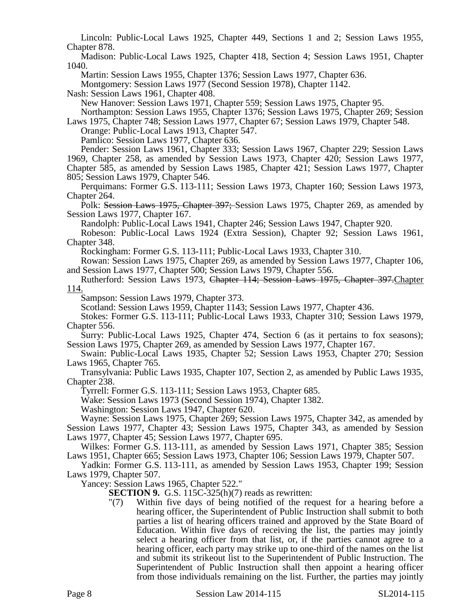Lincoln: Public-Local Laws 1925, Chapter 449, Sections 1 and 2; Session Laws 1955, Chapter 878.

Madison: Public-Local Laws 1925, Chapter 418, Section 4; Session Laws 1951, Chapter 1040.

Martin: Session Laws 1955, Chapter 1376; Session Laws 1977, Chapter 636.

Montgomery: Session Laws 1977 (Second Session 1978), Chapter 1142.

Nash: Session Laws 1961, Chapter 408.

New Hanover: Session Laws 1971, Chapter 559; Session Laws 1975, Chapter 95.

Northampton: Session Laws 1955, Chapter 1376; Session Laws 1975, Chapter 269; Session Laws 1975, Chapter 748; Session Laws 1977, Chapter 67; Session Laws 1979, Chapter 548.

Orange: Public-Local Laws 1913, Chapter 547.

Pamlico: Session Laws 1977, Chapter 636.

Pender: Session Laws 1961, Chapter 333; Session Laws 1967, Chapter 229; Session Laws 1969, Chapter 258, as amended by Session Laws 1973, Chapter 420; Session Laws 1977, Chapter 585, as amended by Session Laws 1985, Chapter 421; Session Laws 1977, Chapter 805; Session Laws 1979, Chapter 546.

Perquimans: Former G.S. 113-111; Session Laws 1973, Chapter 160; Session Laws 1973, Chapter 264.

Polk: Session Laws 1975, Chapter 397; Session Laws 1975, Chapter 269, as amended by Session Laws 1977, Chapter 167.

Randolph: Public-Local Laws 1941, Chapter 246; Session Laws 1947, Chapter 920.

Robeson: Public-Local Laws 1924 (Extra Session), Chapter 92; Session Laws 1961, Chapter 348.

Rockingham: Former G.S. 113-111; Public-Local Laws 1933, Chapter 310.

Rowan: Session Laws 1975, Chapter 269, as amended by Session Laws 1977, Chapter 106, and Session Laws 1977, Chapter 500; Session Laws 1979, Chapter 556.

Rutherford: Session Laws 1973, Chapter 114; Session Laws 1975, Chapter 397.Chapter 114.

Sampson: Session Laws 1979, Chapter 373.

Scotland: Session Laws 1959, Chapter 1143; Session Laws 1977, Chapter 436.

Stokes: Former G.S. 113-111; Public-Local Laws 1933, Chapter 310; Session Laws 1979, Chapter 556.

Surry: Public-Local Laws 1925, Chapter 474, Section 6 (as it pertains to fox seasons); Session Laws 1975, Chapter 269, as amended by Session Laws 1977, Chapter 167.

Swain: Public-Local Laws 1935, Chapter 52; Session Laws 1953, Chapter 270; Session Laws 1965, Chapter 765.

Transylvania: Public Laws 1935, Chapter 107, Section 2, as amended by Public Laws 1935, Chapter 238.

Tyrrell: Former G.S. 113-111; Session Laws 1953, Chapter 685.

Wake: Session Laws 1973 (Second Session 1974), Chapter 1382.

Washington: Session Laws 1947, Chapter 620.

Wayne: Session Laws 1975, Chapter 269; Session Laws 1975, Chapter 342, as amended by Session Laws 1977, Chapter 43; Session Laws 1975, Chapter 343, as amended by Session Laws 1977, Chapter 45; Session Laws 1977, Chapter 695.

Wilkes: Former G.S. 113-111, as amended by Session Laws 1971, Chapter 385; Session Laws 1951, Chapter 665; Session Laws 1973, Chapter 106; Session Laws 1979, Chapter 507.

Yadkin: Former G.S. 113-111, as amended by Session Laws 1953, Chapter 199; Session Laws 1979, Chapter 507.

Yancey: Session Laws 1965, Chapter 522."

**SECTION 9.** G.S. 115C-325(h)(7) reads as rewritten:

"(7) Within five days of being notified of the request for a hearing before a hearing officer, the Superintendent of Public Instruction shall submit to both parties a list of hearing officers trained and approved by the State Board of Education. Within five days of receiving the list, the parties may jointly select a hearing officer from that list, or, if the parties cannot agree to a hearing officer, each party may strike up to one-third of the names on the list and submit its strikeout list to the Superintendent of Public Instruction. The Superintendent of Public Instruction shall then appoint a hearing officer from those individuals remaining on the list. Further, the parties may jointly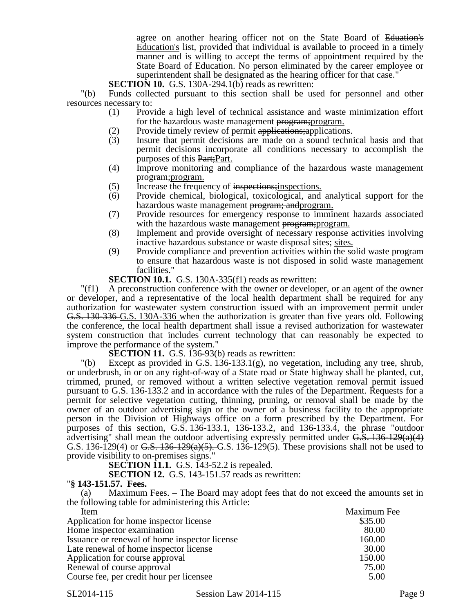agree on another hearing officer not on the State Board of Eduation's Education's list, provided that individual is available to proceed in a timely manner and is willing to accept the terms of appointment required by the State Board of Education. No person eliminated by the career employee or superintendent shall be designated as the hearing officer for that case."

**SECTION 10.** G.S. 130A-294.1(b) reads as rewritten:

"(b) Funds collected pursuant to this section shall be used for personnel and other resources necessary to:

- (1) Provide a high level of technical assistance and waste minimization effort for the hazardous waste management program; program.
- (2) Provide timely review of permit applications; applications.<br>(3) Insure that permit decisions are made on a sound techni
- Insure that permit decisions are made on a sound technical basis and that permit decisions incorporate all conditions necessary to accomplish the purposes of this Part;Part.
- (4) Improve monitoring and compliance of the hazardous waste management program;program.
- (5) Increase the frequency of inspections;inspections.
- (6) Provide chemical, biological, toxicological, and analytical support for the hazardous waste management **program**; and program.
- (7) Provide resources for emergency response to imminent hazards associated with the hazardous waste management program; program.
- (8) Implement and provide oversight of necessary response activities involving inactive hazardous substance or waste disposal sites; sites.
- (9) Provide compliance and prevention activities within the solid waste program to ensure that hazardous waste is not disposed in solid waste management facilities."

**SECTION 10.1.** G.S. 130A-335(f1) reads as rewritten:

"(f1) A preconstruction conference with the owner or developer, or an agent of the owner or developer, and a representative of the local health department shall be required for any authorization for wastewater system construction issued with an improvement permit under G.S. 130-336 G.S. 130A-336 when the authorization is greater than five years old. Following the conference, the local health department shall issue a revised authorization for wastewater system construction that includes current technology that can reasonably be expected to improve the performance of the system."

**SECTION 11.** G.S. 136-93(b) reads as rewritten:

 $\Gamma$ (b) Except as provided in G.S. 136-133.1(g), no vegetation, including any tree, shrub, or underbrush, in or on any right-of-way of a State road or State highway shall be planted, cut, trimmed, pruned, or removed without a written selective vegetation removal permit issued pursuant to G.S. 136-133.2 and in accordance with the rules of the Department. Requests for a permit for selective vegetation cutting, thinning, pruning, or removal shall be made by the owner of an outdoor advertising sign or the owner of a business facility to the appropriate person in the Division of Highways office on a form prescribed by the Department. For purposes of this section, G.S. 136-133.1, 136-133.2, and 136-133.4, the phrase "outdoor advertising" shall mean the outdoor advertising expressly permitted under  $G.S. 136-129(a)(4)$ G.S. 136-129(4) or G.S. 136-129(a)(5). G.S. 136-129(5). These provisions shall not be used to provide visibility to on-premises signs."

**SECTION 11.1.** G.S. 143-52.2 is repealed.

**SECTION 12.** G.S. 143-151.57 reads as rewritten:

#### "**§ 143-151.57. Fees.**

(a) Maximum Fees. – The Board may adopt fees that do not exceed the amounts set in the following table for administering this Article:

| Item                                          | Maximum Fee |
|-----------------------------------------------|-------------|
| Application for home inspector license        | \$35.00     |
| Home inspector examination                    | 80.00       |
| Issuance or renewal of home inspector license | 160.00      |
| Late renewal of home inspector license        | 30.00       |
| Application for course approval               | 150.00      |
| Renewal of course approval                    | 75.00       |
| Course fee, per credit hour per licensee      | 5.00        |

SL2014-115 Session Law 2014-115 Page 9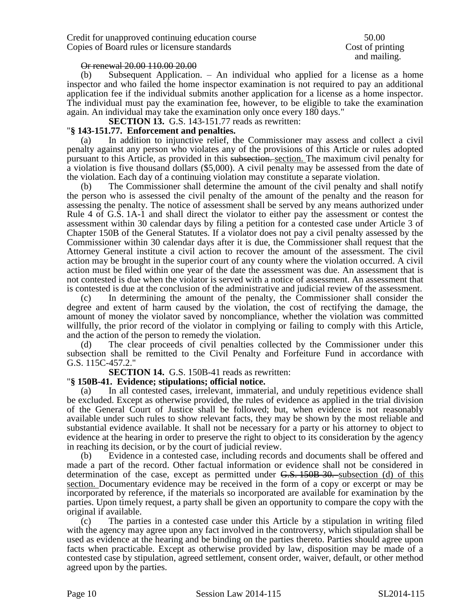and mailing.

### Or renewal 20.00 110.00 20.00

(b) Subsequent Application. – An individual who applied for a license as a home inspector and who failed the home inspector examination is not required to pay an additional application fee if the individual submits another application for a license as a home inspector. The individual must pay the examination fee, however, to be eligible to take the examination again. An individual may take the examination only once every 180 days."

**SECTION 13.** G.S. 143-151.77 reads as rewritten:

### "**§ 143-151.77. Enforcement and penalties.**

(a) In addition to injunctive relief, the Commissioner may assess and collect a civil penalty against any person who violates any of the provisions of this Article or rules adopted pursuant to this Article, as provided in this subsection. section. The maximum civil penalty for a violation is five thousand dollars (\$5,000). A civil penalty may be assessed from the date of the violation. Each day of a continuing violation may constitute a separate violation.

(b) The Commissioner shall determine the amount of the civil penalty and shall notify the person who is assessed the civil penalty of the amount of the penalty and the reason for assessing the penalty. The notice of assessment shall be served by any means authorized under Rule 4 of G.S. 1A-1 and shall direct the violator to either pay the assessment or contest the assessment within 30 calendar days by filing a petition for a contested case under Article 3 of Chapter 150B of the General Statutes. If a violator does not pay a civil penalty assessed by the Commissioner within 30 calendar days after it is due, the Commissioner shall request that the Attorney General institute a civil action to recover the amount of the assessment. The civil action may be brought in the superior court of any county where the violation occurred. A civil action must be filed within one year of the date the assessment was due. An assessment that is not contested is due when the violator is served with a notice of assessment. An assessment that is contested is due at the conclusion of the administrative and judicial review of the assessment.

(c) In determining the amount of the penalty, the Commissioner shall consider the degree and extent of harm caused by the violation, the cost of rectifying the damage, the amount of money the violator saved by noncompliance, whether the violation was committed willfully, the prior record of the violator in complying or failing to comply with this Article, and the action of the person to remedy the violation.

(d) The clear proceeds of civil penalties collected by the Commissioner under this subsection shall be remitted to the Civil Penalty and Forfeiture Fund in accordance with G.S. 115C-457.2."

**SECTION 14.** G.S. 150B-41 reads as rewritten:

## "**§ 150B-41. Evidence; stipulations; official notice.**

(a) In all contested cases, irrelevant, immaterial, and unduly repetitious evidence shall be excluded. Except as otherwise provided, the rules of evidence as applied in the trial division of the General Court of Justice shall be followed; but, when evidence is not reasonably available under such rules to show relevant facts, they may be shown by the most reliable and substantial evidence available. It shall not be necessary for a party or his attorney to object to evidence at the hearing in order to preserve the right to object to its consideration by the agency in reaching its decision, or by the court of judicial review.

(b) Evidence in a contested case, including records and documents shall be offered and made a part of the record. Other factual information or evidence shall not be considered in determination of the case, except as permitted under G.S. 150B-30. subsection (d) of this section. Documentary evidence may be received in the form of a copy or excerpt or may be incorporated by reference, if the materials so incorporated are available for examination by the parties. Upon timely request, a party shall be given an opportunity to compare the copy with the original if available.

(c) The parties in a contested case under this Article by a stipulation in writing filed with the agency may agree upon any fact involved in the controversy, which stipulation shall be used as evidence at the hearing and be binding on the parties thereto. Parties should agree upon facts when practicable. Except as otherwise provided by law, disposition may be made of a contested case by stipulation, agreed settlement, consent order, waiver, default, or other method agreed upon by the parties.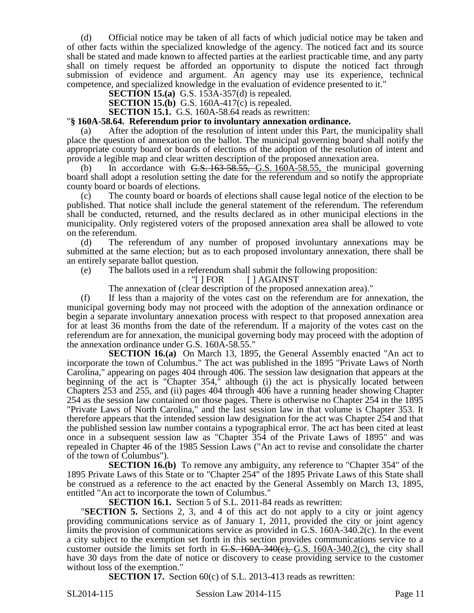(d) Official notice may be taken of all facts of which judicial notice may be taken and of other facts within the specialized knowledge of the agency. The noticed fact and its source shall be stated and made known to affected parties at the earliest practicable time, and any party shall on timely request be afforded an opportunity to dispute the noticed fact through submission of evidence and argument. An agency may use its experience, technical competence, and specialized knowledge in the evaluation of evidence presented to it."

**SECTION 15.(a)** G.S. 153A-357(d) is repealed.

**SECTION 15.(b)** G.S. 160A-417(c) is repealed.

**SECTION 15.1.** G.S. 160A-58.64 reads as rewritten:

#### "**§ 160A-58.64. Referendum prior to involuntary annexation ordinance.**

(a) After the adoption of the resolution of intent under this Part, the municipality shall place the question of annexation on the ballot. The municipal governing board shall notify the appropriate county board or boards of elections of the adoption of the resolution of intent and provide a legible map and clear written description of the proposed annexation area.

(b) In accordance with  $G.S. 163-58.55$ ,  $G.S. 160A-58.55$ , the municipal governing board shall adopt a resolution setting the date for the referendum and so notify the appropriate county board or boards of elections.

(c) The county board or boards of elections shall cause legal notice of the election to be published. That notice shall include the general statement of the referendum. The referendum shall be conducted, returned, and the results declared as in other municipal elections in the municipality. Only registered voters of the proposed annexation area shall be allowed to vote on the referendum.

(d) The referendum of any number of proposed involuntary annexations may be submitted at the same election; but as to each proposed involuntary annexation, there shall be an entirely separate ballot question.

(e) The ballots used in a referendum shall submit the following proposition:

"[ ] FOR [ ] AGAINST

The annexation of (clear description of the proposed annexation area)."

(f) If less than a majority of the votes cast on the referendum are for annexation, the municipal governing body may not proceed with the adoption of the annexation ordinance or begin a separate involuntary annexation process with respect to that proposed annexation area for at least 36 months from the date of the referendum. If a majority of the votes cast on the referendum are for annexation, the municipal governing body may proceed with the adoption of the annexation ordinance under G.S. 160A-58.55."

**SECTION 16.(a)** On March 13, 1895, the General Assembly enacted "An act to incorporate the town of Columbus." The act was published in the 1895 "Private Laws of North Carolina," appearing on pages 404 through 406. The session law designation that appears at the beginning of the act is "Chapter 354," although (i) the act is physically located between Chapters 253 and 255, and (ii) pages 404 through 406 have a running header showing Chapter 254 as the session law contained on those pages. There is otherwise no Chapter 254 in the 1895 "Private Laws of North Carolina," and the last session law in that volume is Chapter 353. It therefore appears that the intended session law designation for the act was Chapter 254 and that the published session law number contains a typographical error. The act has been cited at least once in a subsequent session law as "Chapter 354 of the Private Laws of 1895" and was repealed in Chapter 46 of the 1985 Session Laws ("An act to revise and consolidate the charter of the town of Columbus").

**SECTION 16.(b)** To remove any ambiguity, any reference to "Chapter 354" of the 1895 Private Laws of this State or to "Chapter 254" of the 1895 Private Laws of this State shall be construed as a reference to the act enacted by the General Assembly on March 13, 1895, entitled "An act to incorporate the town of Columbus."

**SECTION 16.1.** Section 5 of S.L. 2011-84 reads as rewritten:

"**SECTION 5.** Sections 2, 3, and 4 of this act do not apply to a city or joint agency providing communications service as of January 1, 2011, provided the city or joint agency limits the provision of communications service as provided in G.S. 160A-340.2(c). In the event a city subject to the exemption set forth in this section provides communications service to a customer outside the limits set forth in  $G.S. 160A-340(c), G.S. 160A-340.2(c)$ , the city shall have 30 days from the date of notice or discovery to cease providing service to the customer without loss of the exemption."

**SECTION 17.** Section 60(c) of S.L. 2013-413 reads as rewritten:

SL2014-115 Session Law 2014-115 Page 11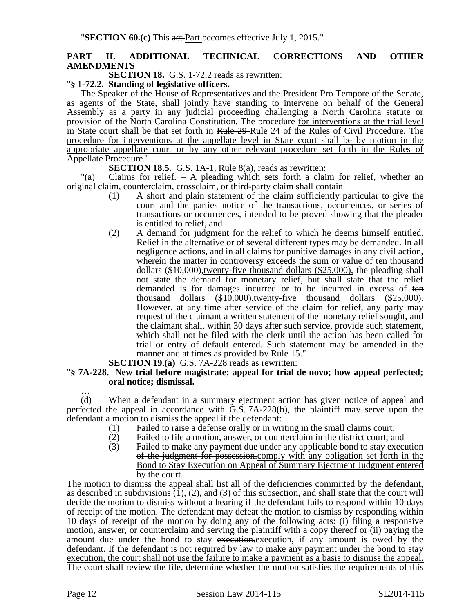# **PART II. ADDITIONAL TECHNICAL CORRECTIONS AND OTHER AMENDMENTS**

**SECTION 18.** G.S. 1-72.2 reads as rewritten:

### "**§ 1-72.2. Standing of legislative officers.**

The Speaker of the House of Representatives and the President Pro Tempore of the Senate, as agents of the State, shall jointly have standing to intervene on behalf of the General Assembly as a party in any judicial proceeding challenging a North Carolina statute or provision of the North Carolina Constitution. The procedure for interventions at the trial level in State court shall be that set forth in Rule 29-Rule 24 of the Rules of Civil Procedure. The procedure for interventions at the appellate level in State court shall be by motion in the appropriate appellate court or by any other relevant procedure set forth in the Rules of Appellate Procedure."

**SECTION 18.5.** G.S. 1A-1, Rule 8(a), reads as rewritten:

"(a) Claims for relief. – A pleading which sets forth a claim for relief, whether an original claim, counterclaim, crossclaim, or third-party claim shall contain

- (1) A short and plain statement of the claim sufficiently particular to give the court and the parties notice of the transactions, occurrences, or series of transactions or occurrences, intended to be proved showing that the pleader is entitled to relief, and
- (2) A demand for judgment for the relief to which he deems himself entitled. Relief in the alternative or of several different types may be demanded. In all negligence actions, and in all claims for punitive damages in any civil action, wherein the matter in controversy exceeds the sum or value of ten thousand dollars (\$10,000),twenty-five thousand dollars (\$25,000), the pleading shall not state the demand for monetary relief, but shall state that the relief demanded is for damages incurred or to be incurred in excess of ten thousand dollars  $(\$10,000)$ -twenty-five thousand dollars  $(\$25,000)$ . However, at any time after service of the claim for relief, any party may request of the claimant a written statement of the monetary relief sought, and the claimant shall, within 30 days after such service, provide such statement, which shall not be filed with the clerk until the action has been called for trial or entry of default entered. Such statement may be amended in the manner and at times as provided by Rule 15."

**SECTION 19.(a)** G.S. 7A-228 reads as rewritten:

### "**§ 7A-228. New trial before magistrate; appeal for trial de novo; how appeal perfected; oral notice; dismissal.**

… (d) When a defendant in a summary ejectment action has given notice of appeal and perfected the appeal in accordance with G.S. 7A-228(b), the plaintiff may serve upon the defendant a motion to dismiss the appeal if the defendant:

- (1) Failed to raise a defense orally or in writing in the small claims court;
- (2) Failed to file a motion, answer, or counterclaim in the district court; and  $(3)$  Failed to make any payment due under any applicable bond to stay exect
- Failed to make any payment due under any applicable bond to stay execution of the judgment for possession.comply with any obligation set forth in the Bond to Stay Execution on Appeal of Summary Ejectment Judgment entered by the court.

The motion to dismiss the appeal shall list all of the deficiencies committed by the defendant, as described in subdivisions (1), (2), and (3) of this subsection, and shall state that the court will decide the motion to dismiss without a hearing if the defendant fails to respond within 10 days of receipt of the motion. The defendant may defeat the motion to dismiss by responding within 10 days of receipt of the motion by doing any of the following acts: (i) filing a responsive motion, answer, or counterclaim and serving the plaintiff with a copy thereof or (ii) paying the amount due under the bond to stay execution. execution, if any amount is owed by the defendant. If the defendant is not required by law to make any payment under the bond to stay execution, the court shall not use the failure to make a payment as a basis to dismiss the appeal. The court shall review the file, determine whether the motion satisfies the requirements of this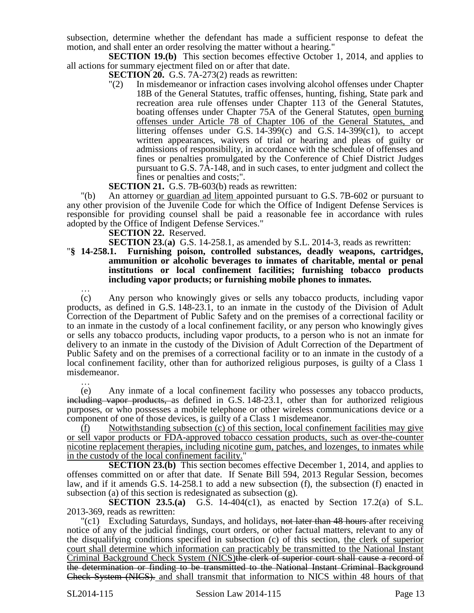subsection, determine whether the defendant has made a sufficient response to defeat the motion, and shall enter an order resolving the matter without a hearing."

**SECTION 19.(b)** This section becomes effective October 1, 2014, and applies to all actions for summary ejectment filed on or after that date.

**SECTION 20.** G.S. 7A-273(2) reads as rewritten:

"(2) In misdemeanor or infraction cases involving alcohol offenses under Chapter 18B of the General Statutes, traffic offenses, hunting, fishing, State park and recreation area rule offenses under Chapter 113 of the General Statutes, boating offenses under Chapter 75A of the General Statutes, open burning offenses under Article 78 of Chapter 106 of the General Statutes, and littering offenses under G.S.  $14-399(c)$  and G.S.  $14-399(c1)$ , to accept written appearances, waivers of trial or hearing and pleas of guilty or admissions of responsibility, in accordance with the schedule of offenses and fines or penalties promulgated by the Conference of Chief District Judges pursuant to G.S. 7A-148, and in such cases, to enter judgment and collect the fines or penalties and costs;".

# **SECTION 21.** G.S. 7B-603(b) reads as rewritten:

"(b) An attorney or guardian ad litem appointed pursuant to G.S. 7B-602 or pursuant to any other provision of the Juvenile Code for which the Office of Indigent Defense Services is responsible for providing counsel shall be paid a reasonable fee in accordance with rules adopted by the Office of Indigent Defense Services."

**SECTION 22.** Reserved.

**SECTION 23.**(**a)** G.S. 14-258.1, as amended by S.L. 2014-3, reads as rewritten:

## "**§ 14-258.1. Furnishing poison, controlled substances, deadly weapons, cartridges, ammunition or alcoholic beverages to inmates of charitable, mental or penal institutions or local confinement facilities; furnishing tobacco products including vapor products; or furnishing mobile phones to inmates.**

…

(c) Any person who knowingly gives or sells any tobacco products, including vapor products, as defined in G.S. 148-23.1, to an inmate in the custody of the Division of Adult Correction of the Department of Public Safety and on the premises of a correctional facility or to an inmate in the custody of a local confinement facility, or any person who knowingly gives or sells any tobacco products, including vapor products, to a person who is not an inmate for delivery to an inmate in the custody of the Division of Adult Correction of the Department of Public Safety and on the premises of a correctional facility or to an inmate in the custody of a local confinement facility, other than for authorized religious purposes, is guilty of a Class 1 misdemeanor. …

(e) Any inmate of a local confinement facility who possesses any tobacco products, including vapor products, as defined in G.S. 148-23.1, other than for authorized religious purposes, or who possesses a mobile telephone or other wireless communications device or a component of one of those devices, is guilty of a Class 1 misdemeanor.

(f) Notwithstanding subsection (c) of this section, local confinement facilities may give or sell vapor products or FDA-approved tobacco cessation products, such as over-the-counter nicotine replacement therapies, including nicotine gum, patches, and lozenges, to inmates while in the custody of the local confinement facility."

**SECTION 23.(b)** This section becomes effective December 1, 2014, and applies to offenses committed on or after that date. If Senate Bill 594, 2013 Regular Session, becomes law, and if it amends G.S. 14-258.1 to add a new subsection (f), the subsection (f) enacted in subsection (a) of this section is redesignated as subsection (g).

**SECTION 23.5.(a)** G.S. 14-404(c1), as enacted by Section 17.2(a) of S.L. 2013-369, reads as rewritten:

"(c1) Excluding Saturdays, Sundays, and holidays, not later than 48 hours after receiving notice of any of the judicial findings, court orders, or other factual matters, relevant to any of the disqualifying conditions specified in subsection (c) of this section, the clerk of superior court shall determine which information can practicably be transmitted to the National Instant Criminal Background Check System (NICS)the clerk of superior court shall cause a record of the determination or finding to be transmitted to the National Instant Criminal Background Check System (NICS). and shall transmit that information to NICS within 48 hours of that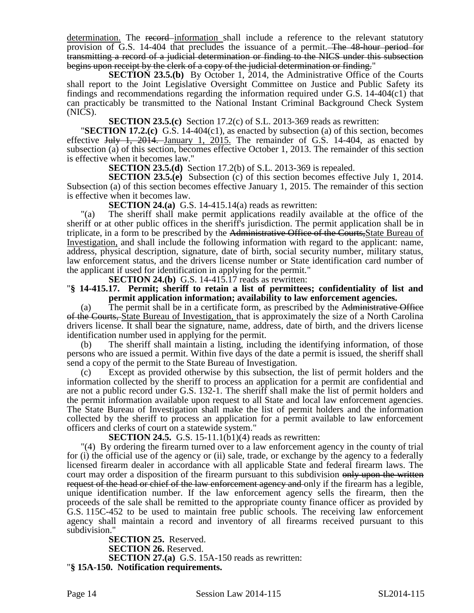determination. The record information shall include a reference to the relevant statutory provision of G.S. 14-404 that precludes the issuance of a permit. The 48-hour period for transmitting a record of a judicial determination or finding to the NICS under this subsection begins upon receipt by the clerk of a copy of the judicial determination or finding."

**SECTION 23.5.(b)** By October 1, 2014, the Administrative Office of the Courts shall report to the Joint Legislative Oversight Committee on Justice and Public Safety its findings and recommendations regarding the information required under G.S. 14-404(c1) that can practicably be transmitted to the National Instant Criminal Background Check System (NICS).

**SECTION 23.5.(c)** Section 17.2(c) of S.L. 2013-369 reads as rewritten:

"**SECTION 17.2.(c)** G.S. 14-404(c1), as enacted by subsection (a) of this section, becomes effective July 1, 2014. January 1, 2015. The remainder of G.S. 14-404, as enacted by subsection (a) of this section, becomes effective October 1, 2013. The remainder of this section is effective when it becomes law."

**SECTION 23.5.(d)** Section 17.2(b) of S.L. 2013-369 is repealed.

**SECTION 23.5.(e)** Subsection (c) of this section becomes effective July 1, 2014. Subsection (a) of this section becomes effective January 1, 2015. The remainder of this section is effective when it becomes law.

**SECTION 24.(a)** G.S. 14-415.14(a) reads as rewritten:

"(a) The sheriff shall make permit applications readily available at the office of the sheriff or at other public offices in the sheriff's jurisdiction. The permit application shall be in triplicate, in a form to be prescribed by the Administrative Office of the Courts,State Bureau of Investigation, and shall include the following information with regard to the applicant: name, address, physical description, signature, date of birth, social security number, military status, law enforcement status, and the drivers license number or State identification card number of the applicant if used for identification in applying for the permit."

**SECTION 24.(b)** G.S. 14-415.17 reads as rewritten:

### "**§ 14-415.17. Permit; sheriff to retain a list of permittees; confidentiality of list and permit application information; availability to law enforcement agencies.**

(a) The permit shall be in a certificate form, as prescribed by the Administrative Office of the Courts, State Bureau of Investigation, that is approximately the size of a North Carolina drivers license. It shall bear the signature, name, address, date of birth, and the drivers license identification number used in applying for the permit.

(b) The sheriff shall maintain a listing, including the identifying information, of those persons who are issued a permit. Within five days of the date a permit is issued, the sheriff shall send a copy of the permit to the State Bureau of Investigation.

(c) Except as provided otherwise by this subsection, the list of permit holders and the information collected by the sheriff to process an application for a permit are confidential and are not a public record under G.S. 132-1. The sheriff shall make the list of permit holders and the permit information available upon request to all State and local law enforcement agencies. The State Bureau of Investigation shall make the list of permit holders and the information collected by the sheriff to process an application for a permit available to law enforcement officers and clerks of court on a statewide system."

**SECTION 24.5.** G.S. 15-11.1(b1)(4) reads as rewritten:

"(4) By ordering the firearm turned over to a law enforcement agency in the county of trial for (i) the official use of the agency or (ii) sale, trade, or exchange by the agency to a federally licensed firearm dealer in accordance with all applicable State and federal firearm laws. The court may order a disposition of the firearm pursuant to this subdivision only upon the written request of the head or chief of the law enforcement agency and only if the firearm has a legible, unique identification number. If the law enforcement agency sells the firearm, then the proceeds of the sale shall be remitted to the appropriate county finance officer as provided by G.S. 115C-452 to be used to maintain free public schools. The receiving law enforcement agency shall maintain a record and inventory of all firearms received pursuant to this subdivision."

**SECTION 25.** Reserved. **SECTION 26.** Reserved. **SECTION 27.(a)** G.S. 15A-150 reads as rewritten: "**§ 15A-150. Notification requirements.**

Page 14 Session Law 2014-115 SL2014-115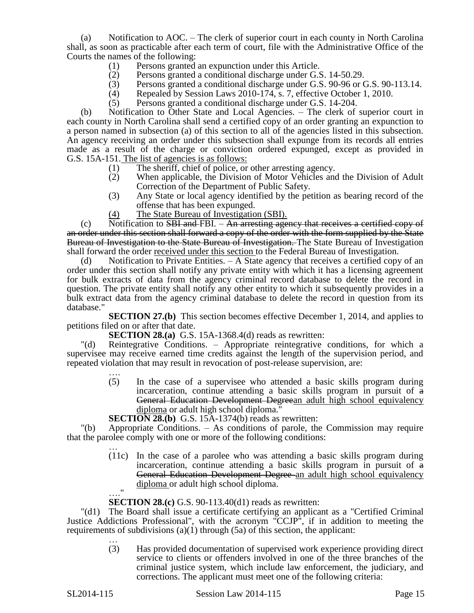(a) Notification to AOC. – The clerk of superior court in each county in North Carolina shall, as soon as practicable after each term of court, file with the Administrative Office of the Courts the names of the following:

- (1) Persons granted an expunction under this Article.
- (2) Persons granted a conditional discharge under G.S. 14-50.29.
- (3) Persons granted a conditional discharge under G.S. 90-96 or G.S. 90-113.14.<br>
(4) Repealed by Session Laws 2010-174, s. 7, effective October 1, 2010.
- Repealed by Session Laws 2010-174, s. 7, effective October 1, 2010.
- (5) Persons granted a conditional discharge under G.S. 14-204.

(b) Notification to Other State and Local Agencies. – The clerk of superior court in each county in North Carolina shall send a certified copy of an order granting an expunction to a person named in subsection (a) of this section to all of the agencies listed in this subsection. An agency receiving an order under this subsection shall expunge from its records all entries made as a result of the charge or conviction ordered expunged, except as provided in G.S. 15A-151. The list of agencies is as follows:

- (1) The sheriff, chief of police, or other arresting agency.
- (2) When applicable, the Division of Motor Vehicles and the Division of Adult Correction of the Department of Public Safety.
- (3) Any State or local agency identified by the petition as bearing record of the offense that has been expunged.
- (4) The State Bureau of Investigation (SBI).

 $(c)$  Notification to SBI and FBI. – An arresting agency that receives a certified copy of an order under this section shall forward a copy of the order with the form supplied by the State Bureau of Investigation to the State Bureau of Investigation. The State Bureau of Investigation shall forward the order received under this section to the Federal Bureau of Investigation.

(d) Notification to Private Entities. – A State agency that receives a certified copy of an order under this section shall notify any private entity with which it has a licensing agreement for bulk extracts of data from the agency criminal record database to delete the record in question. The private entity shall notify any other entity to which it subsequently provides in a bulk extract data from the agency criminal database to delete the record in question from its database."

**SECTION 27.(b)** This section becomes effective December 1, 2014, and applies to petitions filed on or after that date.

**SECTION 28.(a)** G.S. 15A-1368.4(d) reads as rewritten:

"(d) Reintegrative Conditions. – Appropriate reintegrative conditions, for which a supervisee may receive earned time credits against the length of the supervision period, and repeated violation that may result in revocation of post-release supervision, are:

- …. (5) In the case of a supervisee who attended a basic skills program during incarceration, continue attending a basic skills program in pursuit of a General Education Development Degreean adult high school equivalency diploma or adult high school diploma."
- **SECTION 28.(b)** G.S. 15A-1374(b) reads as rewritten:

"(b) Appropriate Conditions. – As conditions of parole, the Commission may require that the parolee comply with one or more of the following conditions:

> … (11c) In the case of a parolee who was attending a basic skills program during incarceration, continue attending a basic skills program in pursuit of a General Education Development Degree an adult high school equivalency diploma or adult high school diploma. …."

**SECTION 28.(c)** G.S. 90-113.40(d1) reads as rewritten:

"(d1) The Board shall issue a certificate certifying an applicant as a "Certified Criminal Justice Addictions Professional", with the acronym "CCJP", if in addition to meeting the requirements of subdivisions  $(a)(1)$  through  $(5a)$  of this section, the applicant:

… (3) Has provided documentation of supervised work experience providing direct service to clients or offenders involved in one of the three branches of the criminal justice system, which include law enforcement, the judiciary, and corrections. The applicant must meet one of the following criteria: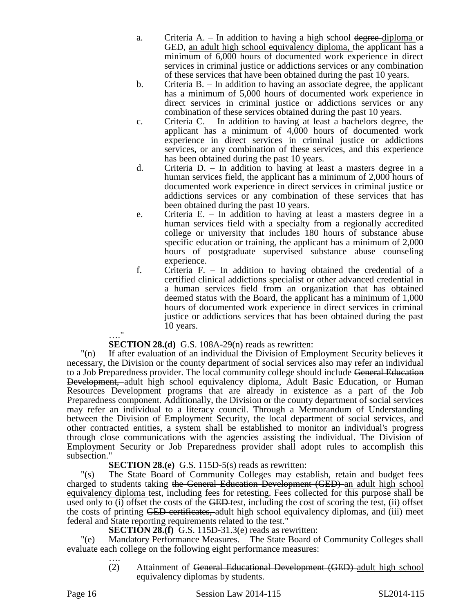- a. Criteria  $A = \text{In addition to having a high school degree-diploma or}$ GED, an adult high school equivalency diploma, the applicant has a minimum of 6,000 hours of documented work experience in direct services in criminal justice or addictions services or any combination of these services that have been obtained during the past 10 years.
- b. Criteria B. In addition to having an associate degree, the applicant has a minimum of 5,000 hours of documented work experience in direct services in criminal justice or addictions services or any combination of these services obtained during the past 10 years.
- c. Criteria C. In addition to having at least a bachelors degree, the applicant has a minimum of 4,000 hours of documented work experience in direct services in criminal justice or addictions services, or any combination of these services, and this experience has been obtained during the past 10 years.
- d. Criteria D. In addition to having at least a masters degree in a human services field, the applicant has a minimum of 2,000 hours of documented work experience in direct services in criminal justice or addictions services or any combination of these services that has been obtained during the past 10 years.
- e. Criteria E. In addition to having at least a masters degree in a human services field with a specialty from a regionally accredited college or university that includes 180 hours of substance abuse specific education or training, the applicant has a minimum of 2,000 hours of postgraduate supervised substance abuse counseling experience.
- f. Criteria F. In addition to having obtained the credential of a certified clinical addictions specialist or other advanced credential in a human services field from an organization that has obtained deemed status with the Board, the applicant has a minimum of 1,000 hours of documented work experience in direct services in criminal justice or addictions services that has been obtained during the past 10 years.

# … " **SECTION 28.(d)** G.S. 108A-29(n) reads as rewritten:

"(n) If after evaluation of an individual the Division of Employment Security believes it necessary, the Division or the county department of social services also may refer an individual to a Job Preparedness provider. The local community college should include General Education Development, adult high school equivalency diploma, Adult Basic Education, or Human Resources Development programs that are already in existence as a part of the Job Preparedness component. Additionally, the Division or the county department of social services may refer an individual to a literacy council. Through a Memorandum of Understanding between the Division of Employment Security, the local department of social services, and other contracted entities, a system shall be established to monitor an individual's progress through close communications with the agencies assisting the individual. The Division of Employment Security or Job Preparedness provider shall adopt rules to accomplish this subsection."

# **SECTION 28.(e)** G.S. 115D-5(s) reads as rewritten:

"(s) The State Board of Community Colleges may establish, retain and budget fees charged to students taking the General Education Development (GED) an adult high school equivalency diploma test, including fees for retesting. Fees collected for this purpose shall be used only to (i) offset the costs of the GED-test, including the cost of scoring the test, (ii) offset the costs of printing GED certificates, adult high school equivalency diplomas, and (iii) meet federal and State reporting requirements related to the test."

**SECTION 28.(f)** G.S. 115D-31.3(e) reads as rewritten:

"(e) Mandatory Performance Measures. – The State Board of Community Colleges shall evaluate each college on the following eight performance measures: ….

(2) Attainment of General Educational Development (GED) adult high school equivalency diplomas by students.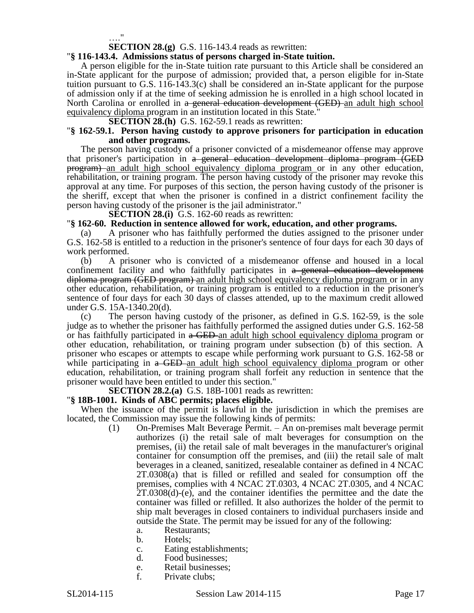…."

**SECTION 28.(g)** G.S. 116-143.4 reads as rewritten:

# "**§ 116-143.4. Admissions status of persons charged in-State tuition.**

A person eligible for the in-State tuition rate pursuant to this Article shall be considered an in-State applicant for the purpose of admission; provided that, a person eligible for in-State tuition pursuant to G.S. 116-143.3(c) shall be considered an in-State applicant for the purpose of admission only if at the time of seeking admission he is enrolled in a high school located in North Carolina or enrolled in a general education development (GED) an adult high school equivalency diploma program in an institution located in this State."

**SECTION 28.(h)** G.S. 162-59.1 reads as rewritten:

### "**§ 162-59.1. Person having custody to approve prisoners for participation in education and other programs.**

The person having custody of a prisoner convicted of a misdemeanor offense may approve that prisoner's participation in a general education development diploma program (GED program) an adult high school equivalency diploma program or in any other education, rehabilitation, or training program. The person having custody of the prisoner may revoke this approval at any time. For purposes of this section, the person having custody of the prisoner is the sheriff, except that when the prisoner is confined in a district confinement facility the person having custody of the prisoner is the jail administrator."

**SECTION 28.(i)** G.S. 162-60 reads as rewritten:

# "**§ 162-60. Reduction in sentence allowed for work, education, and other programs.**

(a) A prisoner who has faithfully performed the duties assigned to the prisoner under G.S. 162-58 is entitled to a reduction in the prisoner's sentence of four days for each 30 days of work performed.

(b) A prisoner who is convicted of a misdemeanor offense and housed in a local confinement facility and who faithfully participates in a general education development diploma program (GED program) an adult high school equivalency diploma program or in any other education, rehabilitation, or training program is entitled to a reduction in the prisoner's sentence of four days for each 30 days of classes attended, up to the maximum credit allowed under G.S. 15A-1340.20(d).

(c) The person having custody of the prisoner, as defined in G.S. 162-59, is the sole judge as to whether the prisoner has faithfully performed the assigned duties under G.S. 162-58 or has faithfully participated in  $\alpha$  GED an adult high school equivalency diploma program or other education, rehabilitation, or training program under subsection (b) of this section. A prisoner who escapes or attempts to escape while performing work pursuant to G.S. 162-58 or while participating in a GED an adult high school equivalency diploma program or other education, rehabilitation, or training program shall forfeit any reduction in sentence that the prisoner would have been entitled to under this section."

**SECTION 28.2.(a)** G.S. 18B-1001 reads as rewritten:

## "**§ 18B-1001. Kinds of ABC permits; places eligible.**

When the issuance of the permit is lawful in the jurisdiction in which the premises are located, the Commission may issue the following kinds of permits:

- (1) On-Premises Malt Beverage Permit. An on-premises malt beverage permit authorizes (i) the retail sale of malt beverages for consumption on the premises, (ii) the retail sale of malt beverages in the manufacturer's original container for consumption off the premises, and (iii) the retail sale of malt beverages in a cleaned, sanitized, resealable container as defined in 4 NCAC 2T.0308(a) that is filled or refilled and sealed for consumption off the premises, complies with 4 NCAC 2T.0303, 4 NCAC 2T.0305, and 4 NCAC 2T.0308(d)-(e), and the container identifies the permittee and the date the container was filled or refilled. It also authorizes the holder of the permit to ship malt beverages in closed containers to individual purchasers inside and outside the State. The permit may be issued for any of the following:
	- a. Restaurants;
	- b. Hotels;
	- c. Eating establishments;
	- d. Food businesses;
	- e. Retail businesses;
	- f. Private clubs;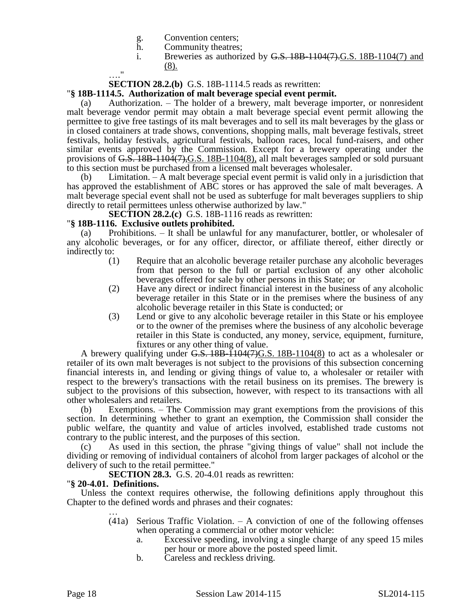- g. Convention centers;<br>h. Community theatres
- h. Community theatres;<br>i. Breweries as authori:
- Breweries as authorized by  $G.S.$  18B-1104(7). $G.S.$  18B-1104(7) and (8).

…."

**SECTION 28.2.(b)** G.S. 18B-1114.5 reads as rewritten:

# "**§ 18B-1114.5. Authorization of malt beverage special event permit.**

(a) Authorization. – The holder of a brewery, malt beverage importer, or nonresident malt beverage vendor permit may obtain a malt beverage special event permit allowing the permittee to give free tastings of its malt beverages and to sell its malt beverages by the glass or in closed containers at trade shows, conventions, shopping malls, malt beverage festivals, street festivals, holiday festivals, agricultural festivals, balloon races, local fund-raisers, and other similar events approved by the Commission. Except for a brewery operating under the provisions of G.S. 18B-1104(7), G.S. 18B-1104(8), all malt beverages sampled or sold pursuant to this section must be purchased from a licensed malt beverages wholesaler.

(b) Limitation. – A malt beverage special event permit is valid only in a jurisdiction that has approved the establishment of ABC stores or has approved the sale of malt beverages. A malt beverage special event shall not be used as subterfuge for malt beverages suppliers to ship directly to retail permittees unless otherwise authorized by law."

**SECTION 28.2.(c)** G.S. 18B-1116 reads as rewritten:

# "**§ 18B-1116. Exclusive outlets prohibited.**

(a) Prohibitions. – It shall be unlawful for any manufacturer, bottler, or wholesaler of any alcoholic beverages, or for any officer, director, or affiliate thereof, either directly or indirectly to:

- (1) Require that an alcoholic beverage retailer purchase any alcoholic beverages from that person to the full or partial exclusion of any other alcoholic beverages offered for sale by other persons in this State; or
- (2) Have any direct or indirect financial interest in the business of any alcoholic beverage retailer in this State or in the premises where the business of any alcoholic beverage retailer in this State is conducted; or
- (3) Lend or give to any alcoholic beverage retailer in this State or his employee or to the owner of the premises where the business of any alcoholic beverage retailer in this State is conducted, any money, service, equipment, furniture, fixtures or any other thing of value.

A brewery qualifying under G.S. 18B-1104(7)G.S. 18B-1104(8) to act as a wholesaler or retailer of its own malt beverages is not subject to the provisions of this subsection concerning financial interests in, and lending or giving things of value to, a wholesaler or retailer with respect to the brewery's transactions with the retail business on its premises. The brewery is subject to the provisions of this subsection, however, with respect to its transactions with all other wholesalers and retailers.

(b) Exemptions. – The Commission may grant exemptions from the provisions of this section. In determining whether to grant an exemption, the Commission shall consider the public welfare, the quantity and value of articles involved, established trade customs not contrary to the public interest, and the purposes of this section.

(c) As used in this section, the phrase "giving things of value" shall not include the dividing or removing of individual containers of alcohol from larger packages of alcohol or the delivery of such to the retail permittee."

**SECTION 28.3.** G.S. 20-4.01 reads as rewritten:

# "**§ 20-4.01. Definitions.**

Unless the context requires otherwise, the following definitions apply throughout this Chapter to the defined words and phrases and their cognates:

- … (41a) Serious Traffic Violation. – A conviction of one of the following offenses when operating a commercial or other motor vehicle:
	- a. Excessive speeding, involving a single charge of any speed 15 miles per hour or more above the posted speed limit.
	- b. Careless and reckless driving.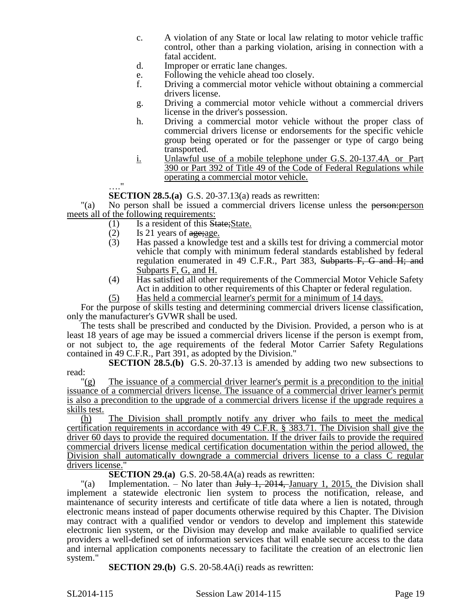- c. A violation of any State or local law relating to motor vehicle traffic control, other than a parking violation, arising in connection with a fatal accident.
- d. Improper or erratic lane changes.
- e. Following the vehicle ahead too closely.
- f. Driving a commercial motor vehicle without obtaining a commercial drivers license.
- g. Driving a commercial motor vehicle without a commercial drivers license in the driver's possession.
- h. Driving a commercial motor vehicle without the proper class of commercial drivers license or endorsements for the specific vehicle group being operated or for the passenger or type of cargo being transported.
- i. Unlawful use of a mobile telephone under G.S. 20-137.4A or Part 390 or Part 392 of Title 49 of the Code of Federal Regulations while operating a commercial motor vehicle.

 $\mathbb{R}^{\frac{1}{2}}$ **SECTION 28.5.(a)** G.S. 20-37.13(a) reads as rewritten:

"(a) No person shall be issued a commercial drivers license unless the person:person meets all of the following requirements:

- (1) Is a resident of this State;State.
- (2) Is 21 years of  $\frac{1}{2}$  is 21 years of  $\frac{1}{2}$  is a knowledge.
- Has passed a knowledge test and a skills test for driving a commercial motor vehicle that comply with minimum federal standards established by federal regulation enumerated in 49 C.F.R., Part 383, Subparts F, G and H; and Subparts F, G, and H.
- (4) Has satisfied all other requirements of the Commercial Motor Vehicle Safety Act in addition to other requirements of this Chapter or federal regulation.
- (5) Has held a commercial learner's permit for a minimum of 14 days.

For the purpose of skills testing and determining commercial drivers license classification, only the manufacturer's GVWR shall be used.

The tests shall be prescribed and conducted by the Division. Provided, a person who is at least 18 years of age may be issued a commercial drivers license if the person is exempt from, or not subject to, the age requirements of the federal Motor Carrier Safety Regulations contained in 49 C.F.R., Part 391, as adopted by the Division."

**SECTION 28.5.(b)** G.S. 20-37.13 is amended by adding two new subsections to read:

"(g) The issuance of a commercial driver learner's permit is a precondition to the initial issuance of a commercial drivers license. The issuance of a commercial driver learner's permit is also a precondition to the upgrade of a commercial drivers license if the upgrade requires a skills test.

(h) The Division shall promptly notify any driver who fails to meet the medical certification requirements in accordance with 49 C.F.R. § 383.71. The Division shall give the driver 60 days to provide the required documentation. If the driver fails to provide the required commercial drivers license medical certification documentation within the period allowed, the Division shall automatically downgrade a commercial drivers license to a class C regular drivers license.'

**SECTION 29.(a)** G.S. 20-58.4A(a) reads as rewritten:

"(a) Implementation. – No later than  $J_{\text{u}}/J_{\text{u}}$ ,  $2014$ , January 1, 2015, the Division shall implement a statewide electronic lien system to process the notification, release, and maintenance of security interests and certificate of title data where a lien is notated, through electronic means instead of paper documents otherwise required by this Chapter. The Division may contract with a qualified vendor or vendors to develop and implement this statewide electronic lien system, or the Division may develop and make available to qualified service providers a well-defined set of information services that will enable secure access to the data and internal application components necessary to facilitate the creation of an electronic lien system."

**SECTION 29.(b)** G.S. 20-58.4A(i) reads as rewritten: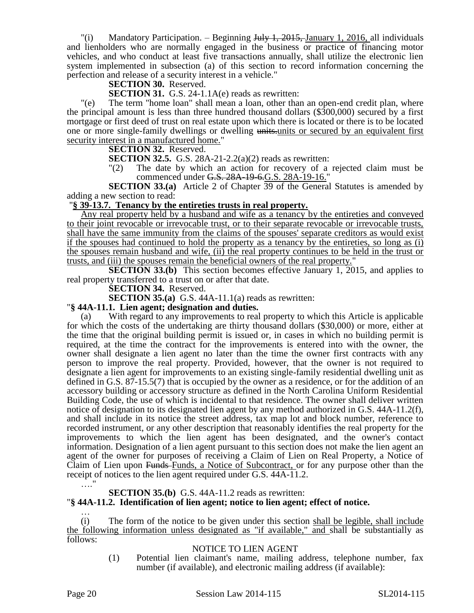"(i) Mandatory Participation. – Beginning  $J_{\text{u}} + J_{\text{u}} + 2015$ , January 1, 2016, all individuals and lienholders who are normally engaged in the business or practice of financing motor vehicles, and who conduct at least five transactions annually, shall utilize the electronic lien system implemented in subsection (a) of this section to record information concerning the perfection and release of a security interest in a vehicle."

**SECTION 30.** Reserved.

**SECTION 31.** G.S. 24-1.1A(e) reads as rewritten:

"(e) The term "home loan" shall mean a loan, other than an open-end credit plan, where the principal amount is less than three hundred thousand dollars (\$300,000) secured by a first mortgage or first deed of trust on real estate upon which there is located or there is to be located one or more single-family dwellings or dwelling units-units or secured by an equivalent first security interest in a manufactured home."

### **SECTION 32.** Reserved.

**SECTION 32.5.** G.S. 28A-21-2.2(a)(2) reads as rewritten:

"(2) The date by which an action for recovery of a rejected claim must be commenced under G.S. 28A-19-6.G.S. 28A-19-16."

**SECTION 33.(a)** Article 2 of Chapter 39 of the General Statutes is amended by adding a new section to read:

## "**§ 39-13.7. Tenancy by the entireties trusts in real property.**

Any real property held by a husband and wife as a tenancy by the entireties and conveyed to their joint revocable or irrevocable trust, or to their separate revocable or irrevocable trusts, shall have the same immunity from the claims of the spouses' separate creditors as would exist if the spouses had continued to hold the property as a tenancy by the entireties, so long as (i) the spouses remain husband and wife, (ii) the real property continues to be held in the trust or trusts, and (iii) the spouses remain the beneficial owners of the real property."

**SECTION 33.(b)** This section becomes effective January 1, 2015, and applies to real property transferred to a trust on or after that date.

**SECTION 34.** Reserved.

**SECTION 35.(a)** G.S. 44A-11.1(a) reads as rewritten:

"**§ 44A-11.1. Lien agent; designation and duties.**

With regard to any improvements to real property to which this Article is applicable for which the costs of the undertaking are thirty thousand dollars (\$30,000) or more, either at the time that the original building permit is issued or, in cases in which no building permit is required, at the time the contract for the improvements is entered into with the owner, the owner shall designate a lien agent no later than the time the owner first contracts with any person to improve the real property. Provided, however, that the owner is not required to designate a lien agent for improvements to an existing single-family residential dwelling unit as defined in G.S. 87-15.5(7) that is occupied by the owner as a residence, or for the addition of an accessory building or accessory structure as defined in the North Carolina Uniform Residential Building Code, the use of which is incidental to that residence. The owner shall deliver written notice of designation to its designated lien agent by any method authorized in G.S. 44A-11.2(f), and shall include in its notice the street address, tax map lot and block number, reference to recorded instrument, or any other description that reasonably identifies the real property for the improvements to which the lien agent has been designated, and the owner's contact information. Designation of a lien agent pursuant to this section does not make the lien agent an agent of the owner for purposes of receiving a Claim of Lien on Real Property, a Notice of Claim of Lien upon Funds-Funds, a Notice of Subcontract, or for any purpose other than the receipt of notices to the lien agent required under G.S. 44A-11.2. …."

## **SECTION 35.(b)** G.S. 44A-11.2 reads as rewritten:

## "**§ 44A-11.2. Identification of lien agent; notice to lien agent; effect of notice.**

…  $(i)$  The form of the notice to be given under this section shall be legible, shall include the following information unless designated as "if available," and shall be substantially as follows:

## NOTICE TO LIEN AGENT

(1) Potential lien claimant's name, mailing address, telephone number, fax number (if available), and electronic mailing address (if available):

Page 20 Session Law 2014-115 SL2014-115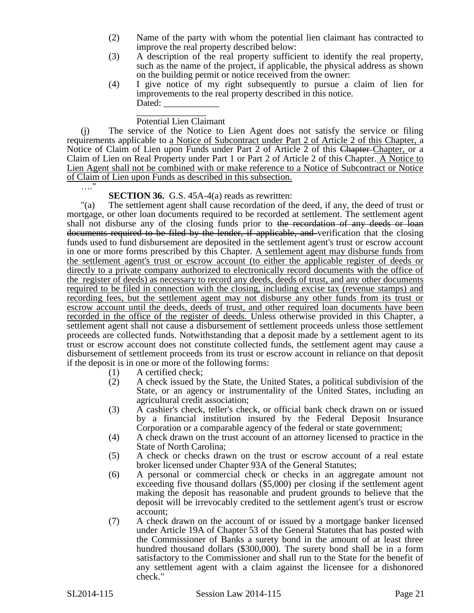- (2) Name of the party with whom the potential lien claimant has contracted to improve the real property described below:
- (3) A description of the real property sufficient to identify the real property, such as the name of the project, if applicable, the physical address as shown on the building permit or notice received from the owner:
- (4) I give notice of my right subsequently to pursue a claim of lien for improvements to the real property described in this notice. Dated:

### \_\_\_\_\_\_\_\_\_\_\_\_\_\_\_ Potential Lien Claimant

(j) The service of the Notice to Lien Agent does not satisfy the service or filing requirements applicable to a Notice of Subcontract under Part 2 of Article 2 of this Chapter, a Notice of Claim of Lien upon Funds under Part 2 of Article 2 of this Chapter Chapter, or a Claim of Lien on Real Property under Part 1 or Part 2 of Article 2 of this Chapter. A Notice to Lien Agent shall not be combined with or make reference to a Notice of Subcontract or Notice of Claim of Lien upon Funds as described in this subsection.

…."

# **SECTION 36.** G.S. 45A-4(a) reads as rewritten:

"(a) The settlement agent shall cause recordation of the deed, if any, the deed of trust or mortgage, or other loan documents required to be recorded at settlement. The settlement agent shall not disburse any of the closing funds prior to the recordation of any deeds or loan documents required to be filed by the lender, if applicable, and verification that the closing funds used to fund disbursement are deposited in the settlement agent's trust or escrow account in one or more forms prescribed by this Chapter. A settlement agent may disburse funds from the settlement agent's trust or escrow account (to either the applicable register of deeds or directly to a private company authorized to electronically record documents with the office of the register of deeds) as necessary to record any deeds, deeds of trust, and any other documents required to be filed in connection with the closing, including excise tax (revenue stamps) and recording fees, but the settlement agent may not disburse any other funds from its trust or escrow account until the deeds, deeds of trust, and other required loan documents have been recorded in the office of the register of deeds. Unless otherwise provided in this Chapter, a settlement agent shall not cause a disbursement of settlement proceeds unless those settlement proceeds are collected funds. Notwithstanding that a deposit made by a settlement agent to its trust or escrow account does not constitute collected funds, the settlement agent may cause a disbursement of settlement proceeds from its trust or escrow account in reliance on that deposit if the deposit is in one or more of the following forms:

- (1) A certified check;
- (2) A check issued by the State, the United States, a political subdivision of the State, or an agency or instrumentality of the United States, including an agricultural credit association;
- (3) A cashier's check, teller's check, or official bank check drawn on or issued by a financial institution insured by the Federal Deposit Insurance Corporation or a comparable agency of the federal or state government;
- (4) A check drawn on the trust account of an attorney licensed to practice in the State of North Carolina;
- (5) A check or checks drawn on the trust or escrow account of a real estate broker licensed under Chapter 93A of the General Statutes;
- (6) A personal or commercial check or checks in an aggregate amount not exceeding five thousand dollars (\$5,000) per closing if the settlement agent making the deposit has reasonable and prudent grounds to believe that the deposit will be irrevocably credited to the settlement agent's trust or escrow account;
- (7) A check drawn on the account of or issued by a mortgage banker licensed under Article 19A of Chapter 53 of the General Statutes that has posted with the Commissioner of Banks a surety bond in the amount of at least three hundred thousand dollars (\$300,000). The surety bond shall be in a form satisfactory to the Commissioner and shall run to the State for the benefit of any settlement agent with a claim against the licensee for a dishonored check."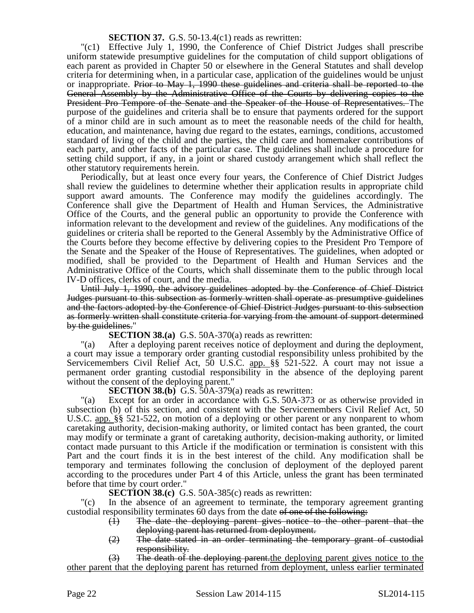## **SECTION 37.** G.S. 50-13.4(c1) reads as rewritten:

"(c1) Effective July 1, 1990, the Conference of Chief District Judges shall prescribe uniform statewide presumptive guidelines for the computation of child support obligations of each parent as provided in Chapter 50 or elsewhere in the General Statutes and shall develop criteria for determining when, in a particular case, application of the guidelines would be unjust or inappropriate. Prior to May 1, 1990 these guidelines and criteria shall be reported to the General Assembly by the Administrative Office of the Courts by delivering copies to the President Pro Tempore of the Senate and the Speaker of the House of Representatives. The purpose of the guidelines and criteria shall be to ensure that payments ordered for the support of a minor child are in such amount as to meet the reasonable needs of the child for health, education, and maintenance, having due regard to the estates, earnings, conditions, accustomed standard of living of the child and the parties, the child care and homemaker contributions of each party, and other facts of the particular case. The guidelines shall include a procedure for setting child support, if any, in a joint or shared custody arrangement which shall reflect the other statutory requirements herein.

Periodically, but at least once every four years, the Conference of Chief District Judges shall review the guidelines to determine whether their application results in appropriate child support award amounts. The Conference may modify the guidelines accordingly. The Conference shall give the Department of Health and Human Services, the Administrative Office of the Courts, and the general public an opportunity to provide the Conference with information relevant to the development and review of the guidelines. Any modifications of the guidelines or criteria shall be reported to the General Assembly by the Administrative Office of the Courts before they become effective by delivering copies to the President Pro Tempore of the Senate and the Speaker of the House of Representatives. The guidelines, when adopted or modified, shall be provided to the Department of Health and Human Services and the Administrative Office of the Courts, which shall disseminate them to the public through local IV-D offices, clerks of court, and the media.

Until July 1, 1990, the advisory guidelines adopted by the Conference of Chief District Judges pursuant to this subsection as formerly written shall operate as presumptive guidelines and the factors adopted by the Conference of Chief District Judges pursuant to this subsection as formerly written shall constitute criteria for varying from the amount of support determined by the guidelines."

**SECTION 38.(a)** G.S. 50A-370(a) reads as rewritten:

"(a) After a deploying parent receives notice of deployment and during the deployment, a court may issue a temporary order granting custodial responsibility unless prohibited by the Servicemembers Civil Relief Act, 50 U.S.C. app. §§ 521-522. A court may not issue a permanent order granting custodial responsibility in the absence of the deploying parent without the consent of the deploying parent."

**SECTION 38.(b)** G.S. 50A-379(a) reads as rewritten:

"(a) Except for an order in accordance with G.S. 50A-373 or as otherwise provided in subsection (b) of this section, and consistent with the Servicemembers Civil Relief Act, 50 U.S.C. app. §§ 521-522, on motion of a deploying or other parent or any nonparent to whom caretaking authority, decision-making authority, or limited contact has been granted, the court may modify or terminate a grant of caretaking authority, decision-making authority, or limited contact made pursuant to this Article if the modification or termination is consistent with this Part and the court finds it is in the best interest of the child. Any modification shall be temporary and terminates following the conclusion of deployment of the deployed parent according to the procedures under Part 4 of this Article, unless the grant has been terminated before that time by court order."

**SECTION 38.(c)** G.S. 50A-385(c) reads as rewritten:

In the absence of an agreement to terminate, the temporary agreement granting custodial responsibility terminates 60 days from the date of one of the following:

- (1) The date the deploying parent gives notice to the other parent that the deploying parent has returned from deployment.
- $(2)$  The date stated in an order terminating the temporary grant of custodial responsibility.

(3) The death of the deploying parent.the deploying parent gives notice to the other parent that the deploying parent has returned from deployment, unless earlier terminated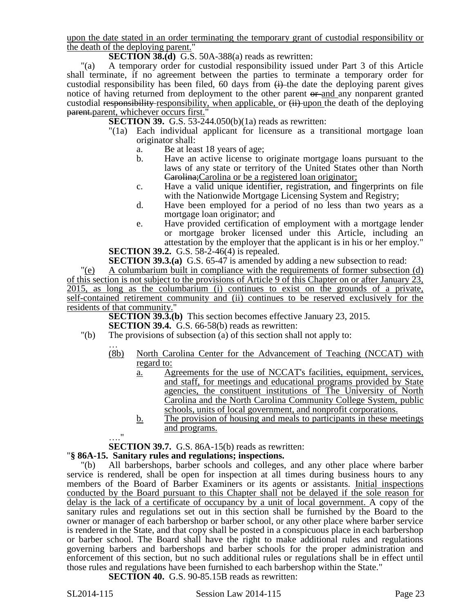upon the date stated in an order terminating the temporary grant of custodial responsibility or the death of the deploying parent."

**SECTION 38.(d)** G.S. 50A-388(a) reads as rewritten:

"(a) A temporary order for custodial responsibility issued under Part 3 of this Article shall terminate, if no agreement between the parties to terminate a temporary order for custodial responsibility has been filed, 60 days from  $\leftrightarrow$  the date the deploying parent gives notice of having returned from deployment to the other parent or and any nonparent granted custodial responsibility responsibility, when applicable, or  $(i)$  upon the death of the deploying parent.parent, whichever occurs first."

**SECTION 39.** G.S. 53-244.050(b)(1a) reads as rewritten:

- "(1a) Each individual applicant for licensure as a transitional mortgage loan originator shall:
	- a. Be at least 18 years of age;
	- b. Have an active license to originate mortgage loans pursuant to the laws of any state or territory of the United States other than North Carolina;Carolina or be a registered loan originator;
	- c. Have a valid unique identifier, registration, and fingerprints on file with the Nationwide Mortgage Licensing System and Registry;
	- d. Have been employed for a period of no less than two years as a mortgage loan originator; and
	- e. Have provided certification of employment with a mortgage lender or mortgage broker licensed under this Article, including an attestation by the employer that the applicant is in his or her employ."

**SECTION 39.2.** G.S. 58-2-46(4) is repealed.

**SECTION 39.3.(a)** G.S. 65-47 is amended by adding a new subsection to read:

"(e) A columbarium built in compliance with the requirements of former subsection (d) of this section is not subject to the provisions of Article 9 of this Chapter on or after January 23, 2015, as long as the columbarium (i) continues to exist on the grounds of a private, self-contained retirement community and (ii) continues to be reserved exclusively for the residents of that community."

**SECTION 39.3.(b)** This section becomes effective January 23, 2015. **SECTION 39.4.** G.S. 66-58(b) reads as rewritten:

- "(b) The provisions of subsection (a) of this section shall not apply to:
	- … (8b) North Carolina Center for the Advancement of Teaching (NCCAT) with regard to:
		- a. Agreements for the use of NCCAT's facilities, equipment, services, and staff, for meetings and educational programs provided by State agencies, the constituent institutions of The University of North Carolina and the North Carolina Community College System, public schools, units of local government, and nonprofit corporations.
		- b. The provision of housing and meals to participants in these meetings and programs.

…." **SECTION 39.7.** G.S. 86A-15(b) reads as rewritten:

# "**§ 86A-15. Sanitary rules and regulations; inspections.**

"(b) All barbershops, barber schools and colleges, and any other place where barber service is rendered, shall be open for inspection at all times during business hours to any members of the Board of Barber Examiners or its agents or assistants. Initial inspections conducted by the Board pursuant to this Chapter shall not be delayed if the sole reason for delay is the lack of a certificate of occupancy by a unit of local government. A copy of the sanitary rules and regulations set out in this section shall be furnished by the Board to the owner or manager of each barbershop or barber school, or any other place where barber service is rendered in the State, and that copy shall be posted in a conspicuous place in each barbershop or barber school. The Board shall have the right to make additional rules and regulations governing barbers and barbershops and barber schools for the proper administration and enforcement of this section, but no such additional rules or regulations shall be in effect until those rules and regulations have been furnished to each barbershop within the State."

**SECTION 40.** G.S. 90-85.15B reads as rewritten: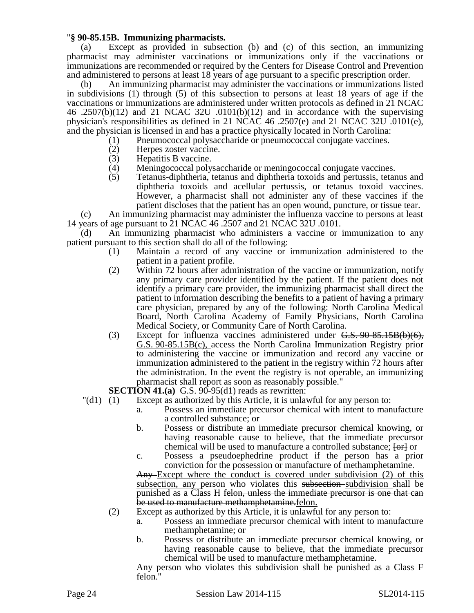## "**§ 90-85.15B. Immunizing pharmacists.**

(a) Except as provided in subsection (b) and (c) of this section, an immunizing pharmacist may administer vaccinations or immunizations only if the vaccinations or immunizations are recommended or required by the Centers for Disease Control and Prevention and administered to persons at least 18 years of age pursuant to a specific prescription order.

(b) An immunizing pharmacist may administer the vaccinations or immunizations listed in subdivisions (1) through (5) of this subsection to persons at least 18 years of age if the vaccinations or immunizations are administered under written protocols as defined in 21 NCAC 46 .2507(b)(12) and 21 NCAC 32U .0101(b)(12) and in accordance with the supervising physician's responsibilities as defined in 21 NCAC 46 .2507(e) and 21 NCAC 32U .0101(e), and the physician is licensed in and has a practice physically located in North Carolina:

- (1) Pneumococcal polysaccharide or pneumococcal conjugate vaccines.
- (2) Herpes zoster vaccine.<br>(3) Hepatitis B vaccine.
- Hepatitis B vaccine.
- (4) Meningococcal polysaccharide or meningococcal conjugate vaccines.<br>(5) Tetanus-diphtheria, tetanus and diphtheria toxoids and pertussis, tetan
- (5) Tetanus-diphtheria, tetanus and diphtheria toxoids and pertussis, tetanus and diphtheria toxoids and acellular pertussis, or tetanus toxoid vaccines. However, a pharmacist shall not administer any of these vaccines if the patient discloses that the patient has an open wound, puncture, or tissue tear.

(c) An immunizing pharmacist may administer the influenza vaccine to persons at least 14 years of age pursuant to 21 NCAC 46 .2507 and 21 NCAC 32U .0101.

(d) An immunizing pharmacist who administers a vaccine or immunization to any patient pursuant to this section shall do all of the following:

- (1) Maintain a record of any vaccine or immunization administered to the patient in a patient profile.
- (2) Within 72 hours after administration of the vaccine or immunization, notify any primary care provider identified by the patient. If the patient does not identify a primary care provider, the immunizing pharmacist shall direct the patient to information describing the benefits to a patient of having a primary care physician, prepared by any of the following: North Carolina Medical Board, North Carolina Academy of Family Physicians, North Carolina Medical Society, or Community Care of North Carolina.
- (3) Except for influenza vaccines administered under  $\overline{G.S. 90\cdot 85.15B(b)(6)}$ , G.S. 90-85.15B(c), access the North Carolina Immunization Registry prior to administering the vaccine or immunization and record any vaccine or immunization administered to the patient in the registry within 72 hours after the administration. In the event the registry is not operable, an immunizing pharmacist shall report as soon as reasonably possible."
- 
- **SECTION 41.(a)** G.S. 90-95(d1) reads as rewritten:<br>
"(d1) (1) Except as authorized by this Article, it is unlar Except as authorized by this Article, it is unlawful for any person to:
	- a. Possess an immediate precursor chemical with intent to manufacture a controlled substance; or
	- b. Possess or distribute an immediate precursor chemical knowing, or having reasonable cause to believe, that the immediate precursor chemical will be used to manufacture a controlled substance;  $\overline{\text{for}}$  or
	- c. Possess a pseudoephedrine product if the person has a prior conviction for the possession or manufacture of methamphetamine.

Any Except where the conduct is covered under subdivision (2) of this subsection, any person who violates this subsection subdivision shall be punished as a Class H felon, unless the immediate precursor is one that can be used to manufacture methamphetamine. felon.

- (2) Except as authorized by this Article, it is unlawful for any person to:
	- a. Possess an immediate precursor chemical with intent to manufacture methamphetamine; or
	- b. Possess or distribute an immediate precursor chemical knowing, or having reasonable cause to believe, that the immediate precursor chemical will be used to manufacture methamphetamine.

Any person who violates this subdivision shall be punished as a Class F felon."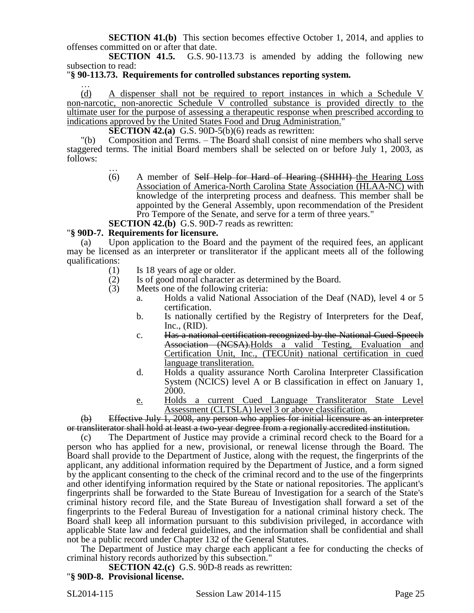**SECTION 41.(b)** This section becomes effective October 1, 2014, and applies to offenses committed on or after that date.<br>SECTION 41.5. G.S. 90-

G.S. 90-113.73 is amended by adding the following new subsection to read:

### "**§ 90-113.73. Requirements for controlled substances reporting system.**

… (d) A dispenser shall not be required to report instances in which a Schedule V non-narcotic, non-anorectic Schedule  $\overline{V}$  controlled substance is provided directly to the ultimate user for the purpose of assessing a therapeutic response when prescribed according to indications approved by the United States Food and Drug Administration."

**SECTION 42.(a)** G.S. 90D-5(b)(6) reads as rewritten:

"(b) Composition and Terms. – The Board shall consist of nine members who shall serve staggered terms. The initial Board members shall be selected on or before July 1, 2003, as follows:

… (6) A member of Self Help for Hard of Hearing (SHHH) the Hearing Loss Association of America-North Carolina State Association (HLAA-NC) with knowledge of the interpreting process and deafness. This member shall be appointed by the General Assembly, upon recommendation of the President Pro Tempore of the Senate, and serve for a term of three years."

**SECTION 42.(b)** G.S. 90D-7 reads as rewritten:

#### "**§ 90D-7. Requirements for licensure.**

(a) Upon application to the Board and the payment of the required fees, an applicant may be licensed as an interpreter or transliterator if the applicant meets all of the following qualifications:

- (1) Is 18 years of age or older.
- (2) Is of good moral character as determined by the Board.
- (3) Meets one of the following criteria:
	- a. Holds a valid National Association of the Deaf (NAD), level 4 or 5 certification.
	- b. Is nationally certified by the Registry of Interpreters for the Deaf, Inc., (RID).
	- c. Has a national certification recognized by the National Cued Speech Association (NCSA). Holds a valid Testing, Evaluation and Certification Unit, Inc., (TECUnit) national certification in cued language transliteration.
	- d. Holds a quality assurance North Carolina Interpreter Classification System (NCICS) level A or B classification in effect on January 1, 2000.
	- e. Holds a current Cued Language Transliterator State Level Assessment (CLTSLA) level 3 or above classification.

(b) Effective July 1, 2008, any person who applies for initial licensure as an interpreter or transliterator shall hold at least a two-year degree from a regionally accredited institution.

(c) The Department of Justice may provide a criminal record check to the Board for a person who has applied for a new, provisional, or renewal license through the Board. The Board shall provide to the Department of Justice, along with the request, the fingerprints of the applicant, any additional information required by the Department of Justice, and a form signed by the applicant consenting to the check of the criminal record and to the use of the fingerprints and other identifying information required by the State or national repositories. The applicant's fingerprints shall be forwarded to the State Bureau of Investigation for a search of the State's criminal history record file, and the State Bureau of Investigation shall forward a set of the fingerprints to the Federal Bureau of Investigation for a national criminal history check. The Board shall keep all information pursuant to this subdivision privileged, in accordance with applicable State law and federal guidelines, and the information shall be confidential and shall not be a public record under Chapter 132 of the General Statutes.

The Department of Justice may charge each applicant a fee for conducting the checks of criminal history records authorized by this subsection."

**SECTION 42.(c)** G.S. 90D-8 reads as rewritten:

"**§ 90D-8. Provisional license.**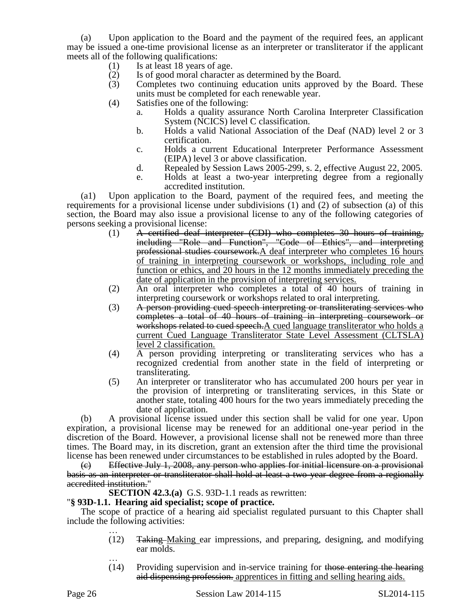(a) Upon application to the Board and the payment of the required fees, an applicant may be issued a one-time provisional license as an interpreter or transliterator if the applicant meets all of the following qualifications:

- (1) Is at least 18 years of age.
- (2) Is of good moral character as determined by the Board.
- (3) Completes two continuing education units approved by the Board. These units must be completed for each renewable year.
- (4) Satisfies one of the following:
	- a. Holds a quality assurance North Carolina Interpreter Classification System (NCICS) level C classification.
	- b. Holds a valid National Association of the Deaf (NAD) level 2 or 3 certification.
	- c. Holds a current Educational Interpreter Performance Assessment (EIPA) level 3 or above classification.
	- d. Repealed by Session Laws 2005-299, s. 2, effective August 22, 2005.
	- e. Holds at least a two-year interpreting degree from a regionally accredited institution.

(a1) Upon application to the Board, payment of the required fees, and meeting the requirements for a provisional license under subdivisions (1) and (2) of subsection (a) of this section, the Board may also issue a provisional license to any of the following categories of persons seeking a provisional license:

- (1) A certified deaf interpreter (CDI) who completes 30 hours of training, including "Role and Function", "Code of Ethics", and interpreting professional studies coursework.A deaf interpreter who completes 16 hours of training in interpreting coursework or workshops, including role and function or ethics, and 20 hours in the 12 months immediately preceding the date of application in the provision of interpreting services.
- (2) An oral interpreter who completes a total of 40 hours of training in interpreting coursework or workshops related to oral interpreting.
- (3) A person providing cued speech interpreting or transliterating services who completes a total of 40 hours of training in interpreting coursework or workshops related to cued speech.A cued language transliterator who holds a current Cued Language Transliterator State Level Assessment (CLTSLA) level 2 classification.
- (4) A person providing interpreting or transliterating services who has a recognized credential from another state in the field of interpreting or transliterating.
- (5) An interpreter or transliterator who has accumulated 200 hours per year in the provision of interpreting or transliterating services, in this State or another state, totaling 400 hours for the two years immediately preceding the date of application.

(b) A provisional license issued under this section shall be valid for one year. Upon expiration, a provisional license may be renewed for an additional one-year period in the discretion of the Board. However, a provisional license shall not be renewed more than three times. The Board may, in its discretion, grant an extension after the third time the provisional license has been renewed under circumstances to be established in rules adopted by the Board.

(c) Effective July 1, 2008, any person who applies for initial licensure on a provisional basis as an interpreter or transliterator shall hold at least a two year degree from a regionally accredited institution."

**SECTION 42.3.(a)** G.S. 93D-1.1 reads as rewritten:

# "**§ 93D-1.1. Hearing aid specialist; scope of practice.**

The scope of practice of a hearing aid specialist regulated pursuant to this Chapter shall include the following activities: …

- (12) Taking Making ear impressions, and preparing, designing, and modifying ear molds.
- …  $(14)$  Providing supervision and in-service training for those entering the hearing aid dispensing profession. apprentices in fitting and selling hearing aids.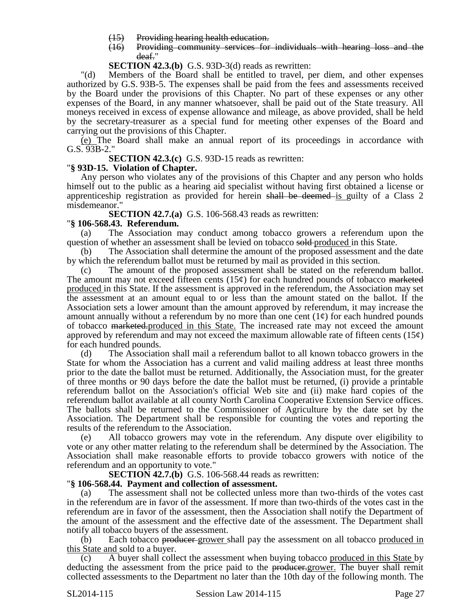- (15) Providing hearing health education.
- (16) Providing community services for individuals with hearing loss and the deaf."

**SECTION 42.3.(b)** G.S. 93D-3(d) reads as rewritten:

"(d) Members of the Board shall be entitled to travel, per diem, and other expenses authorized by G.S. 93B-5. The expenses shall be paid from the fees and assessments received by the Board under the provisions of this Chapter. No part of these expenses or any other expenses of the Board, in any manner whatsoever, shall be paid out of the State treasury. All moneys received in excess of expense allowance and mileage, as above provided, shall be held by the secretary-treasurer as a special fund for meeting other expenses of the Board and carrying out the provisions of this Chapter.

(e) The Board shall make an annual report of its proceedings in accordance with G.S. 93B-2."

**SECTION 42.3.(c)** G.S. 93D-15 reads as rewritten:

## "**§ 93D-15. Violation of Chapter.**

Any person who violates any of the provisions of this Chapter and any person who holds himself out to the public as a hearing aid specialist without having first obtained a license or apprenticeship registration as provided for herein shall be deemed is guilty of a Class 2 misdemeanor."

**SECTION 42.7.(a)** G.S. 106-568.43 reads as rewritten:

### "**§ 106-568.43. Referendum.**

(a) The Association may conduct among tobacco growers a referendum upon the question of whether an assessment shall be levied on tobacco sold-produced in this State.

(b) The Association shall determine the amount of the proposed assessment and the date by which the referendum ballot must be returned by mail as provided in this section.

(c) The amount of the proposed assessment shall be stated on the referendum ballot. The amount may not exceed fifteen cents  $(15¢)$  for each hundred pounds of tobacco <del>marketed</del> produced in this State. If the assessment is approved in the referendum, the Association may set the assessment at an amount equal to or less than the amount stated on the ballot. If the Association sets a lower amount than the amount approved by referendum, it may increase the amount annually without a referendum by no more than one cent  $(1\psi)$  for each hundred pounds of tobacco marketed.produced in this State. The increased rate may not exceed the amount approved by referendum and may not exceed the maximum allowable rate of fifteen cents  $(15¢)$ for each hundred pounds.

(d) The Association shall mail a referendum ballot to all known tobacco growers in the State for whom the Association has a current and valid mailing address at least three months prior to the date the ballot must be returned. Additionally, the Association must, for the greater of three months or 90 days before the date the ballot must be returned, (i) provide a printable referendum ballot on the Association's official Web site and (ii) make hard copies of the referendum ballot available at all county North Carolina Cooperative Extension Service offices. The ballots shall be returned to the Commissioner of Agriculture by the date set by the Association. The Department shall be responsible for counting the votes and reporting the results of the referendum to the Association.

(e) All tobacco growers may vote in the referendum. Any dispute over eligibility to vote or any other matter relating to the referendum shall be determined by the Association. The Association shall make reasonable efforts to provide tobacco growers with notice of the referendum and an opportunity to vote."

**SECTION 42.7.(b)** G.S. 106-568.44 reads as rewritten:

## "**§ 106-568.44. Payment and collection of assessment.**

(a) The assessment shall not be collected unless more than two-thirds of the votes cast in the referendum are in favor of the assessment. If more than two-thirds of the votes cast in the referendum are in favor of the assessment, then the Association shall notify the Department of the amount of the assessment and the effective date of the assessment. The Department shall notify all tobacco buyers of the assessment.

(b) Each tobacco producer grower shall pay the assessment on all tobacco produced in this State and sold to a buyer.

(c) A buyer shall collect the assessment when buying tobacco produced in this State by deducting the assessment from the price paid to the producer-grower. The buyer shall remit collected assessments to the Department no later than the 10th day of the following month. The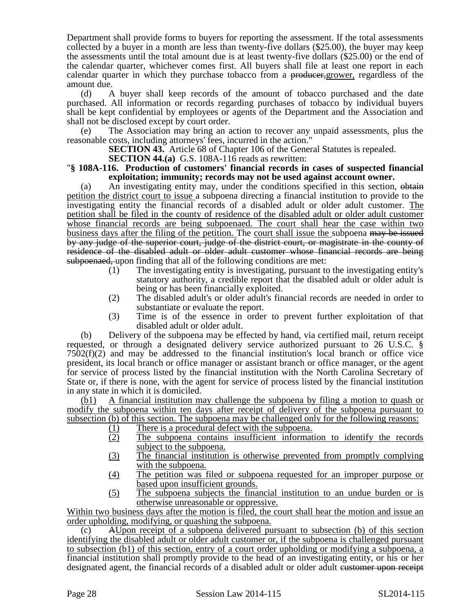Department shall provide forms to buyers for reporting the assessment. If the total assessments collected by a buyer in a month are less than twenty-five dollars (\$25.00), the buyer may keep the assessments until the total amount due is at least twenty-five dollars (\$25.00) or the end of the calendar quarter, whichever comes first. All buyers shall file at least one report in each calendar quarter in which they purchase tobacco from a producer, grower, regardless of the amount due.

(d) A buyer shall keep records of the amount of tobacco purchased and the date purchased. All information or records regarding purchases of tobacco by individual buyers shall be kept confidential by employees or agents of the Department and the Association and shall not be disclosed except by court order.

(e) The Association may bring an action to recover any unpaid assessments, plus the reasonable costs, including attorneys' fees, incurred in the action."

**SECTION 43.** Article 68 of Chapter 106 of the General Statutes is repealed.

**SECTION 44.(a)** G.S. 108A-116 reads as rewritten:

## "**§ 108A-116. Production of customers' financial records in cases of suspected financial exploitation; immunity; records may not be used against account owner.**

(a) An investigating entity may, under the conditions specified in this section, obtain petition the district court to issue a subpoena directing a financial institution to provide to the investigating entity the financial records of a disabled adult or older adult customer. The petition shall be filed in the county of residence of the disabled adult or older adult customer whose financial records are being subpoenaed. The court shall hear the case within two business days after the filing of the petition. The court shall issue the subpoena may be issued by any judge of the superior court, judge of the district court, or magistrate in the county of residence of the disabled adult or older adult customer whose financial records are being subpoenaed, upon finding that all of the following conditions are met:

- (1) The investigating entity is investigating, pursuant to the investigating entity's statutory authority, a credible report that the disabled adult or older adult is being or has been financially exploited.
- (2) The disabled adult's or older adult's financial records are needed in order to substantiate or evaluate the report.
- (3) Time is of the essence in order to prevent further exploitation of that disabled adult or older adult.

(b) Delivery of the subpoena may be effected by hand, via certified mail, return receipt requested, or through a designated delivery service authorized pursuant to 26 U.S.C. §  $7502(f)(2)$  and may be addressed to the financial institution's local branch or office vice president, its local branch or office manager or assistant branch or office manager, or the agent for service of process listed by the financial institution with the North Carolina Secretary of State or, if there is none, with the agent for service of process listed by the financial institution in any state in which it is domiciled.

(b1) A financial institution may challenge the subpoena by filing a motion to quash or modify the subpoena within ten days after receipt of delivery of the subpoena pursuant to subsection (b) of this section. The subpoena may be challenged only for the following reasons:

- 
- (1) There is a procedural defect with the subpoena.<br>(2) The subpoena contains insufficient informat The subpoena contains insufficient information to identify the records subject to the subpoena.
- (3) The financial institution is otherwise prevented from promptly complying with the subpoena.
- (4) The petition was filed or subpoena requested for an improper purpose or based upon insufficient grounds.
- (5) The subpoena subjects the financial institution to an undue burden or is otherwise unreasonable or oppressive.

Within two business days after the motion is filed, the court shall hear the motion and issue an order upholding, modifying, or quashing the subpoena.

(c) AUpon receipt of a subpoena delivered pursuant to subsection (b) of this section identifying the disabled adult or older adult customer or, if the subpoena is challenged pursuant to subsection (b1) of this section, entry of a court order upholding or modifying a subpoena, a financial institution shall promptly provide to the head of an investigating entity, or his or her designated agent, the financial records of a disabled adult or older adult customer upon receipt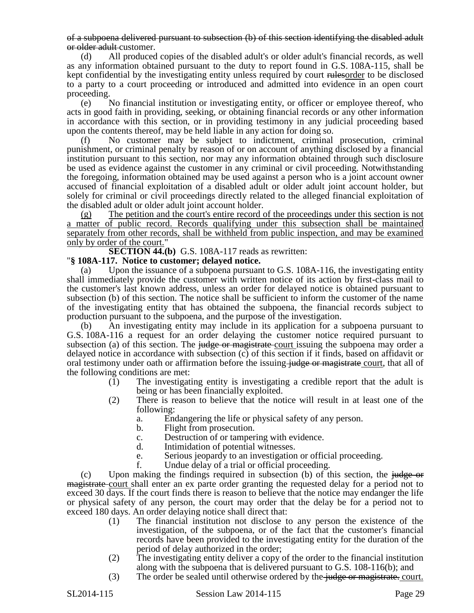of a subpoena delivered pursuant to subsection (b) of this section identifying the disabled adult or older adult customer.

(d) All produced copies of the disabled adult's or older adult's financial records, as well as any information obtained pursuant to the duty to report found in G.S. 108A-115, shall be kept confidential by the investigating entity unless required by court rulesorder to be disclosed to a party to a court proceeding or introduced and admitted into evidence in an open court proceeding.

(e) No financial institution or investigating entity, or officer or employee thereof, who acts in good faith in providing, seeking, or obtaining financial records or any other information in accordance with this section, or in providing testimony in any judicial proceeding based upon the contents thereof, may be held liable in any action for doing so.

(f) No customer may be subject to indictment, criminal prosecution, criminal punishment, or criminal penalty by reason of or on account of anything disclosed by a financial institution pursuant to this section, nor may any information obtained through such disclosure be used as evidence against the customer in any criminal or civil proceeding. Notwithstanding the foregoing, information obtained may be used against a person who is a joint account owner accused of financial exploitation of a disabled adult or older adult joint account holder, but solely for criminal or civil proceedings directly related to the alleged financial exploitation of the disabled adult or older adult joint account holder.

(g) The petition and the court's entire record of the proceedings under this section is not a matter of public record. Records qualifying under this subsection shall be maintained separately from other records, shall be withheld from public inspection, and may be examined only by order of the court."

**SECTION 44.(b)** G.S. 108A-117 reads as rewritten:

## "**§ 108A-117. Notice to customer; delayed notice.**

(a) Upon the issuance of a subpoena pursuant to G.S. 108A-116, the investigating entity shall immediately provide the customer with written notice of its action by first-class mail to the customer's last known address, unless an order for delayed notice is obtained pursuant to subsection (b) of this section. The notice shall be sufficient to inform the customer of the name of the investigating entity that has obtained the subpoena, the financial records subject to production pursuant to the subpoena, and the purpose of the investigation.

(b) An investigating entity may include in its application for a subpoena pursuant to G.S. 108A-116 a request for an order delaying the customer notice required pursuant to subsection (a) of this section. The judge or magistrate court issuing the subpoena may order a delayed notice in accordance with subsection (c) of this section if it finds, based on affidavit or oral testimony under oath or affirmation before the issuing-judge or magistrate court, that all of the following conditions are met:

- (1) The investigating entity is investigating a credible report that the adult is being or has been financially exploited.
- (2) There is reason to believe that the notice will result in at least one of the following:
	- a. Endangering the life or physical safety of any person.
	- b. Flight from prosecution.
	- c. Destruction of or tampering with evidence.<br>d. Intimidation of potential witnesses.
	- Intimidation of potential witnesses.
	- e. Serious jeopardy to an investigation or official proceeding.
	- f. Undue delay of a trial or official proceeding.

 $(c)$  Upon making the findings required in subsection (b) of this section, the judge or magistrate court shall enter an ex parte order granting the requested delay for a period not to exceed 30 days. If the court finds there is reason to believe that the notice may endanger the life or physical safety of any person, the court may order that the delay be for a period not to exceed 180 days. An order delaying notice shall direct that:

- (1) The financial institution not disclose to any person the existence of the investigation, of the subpoena, or of the fact that the customer's financial records have been provided to the investigating entity for the duration of the period of delay authorized in the order;
- (2) The investigating entity deliver a copy of the order to the financial institution along with the subpoena that is delivered pursuant to G.S. 108-116(b); and
- (3) The order be sealed until otherwise ordered by the judge or magistrate. court.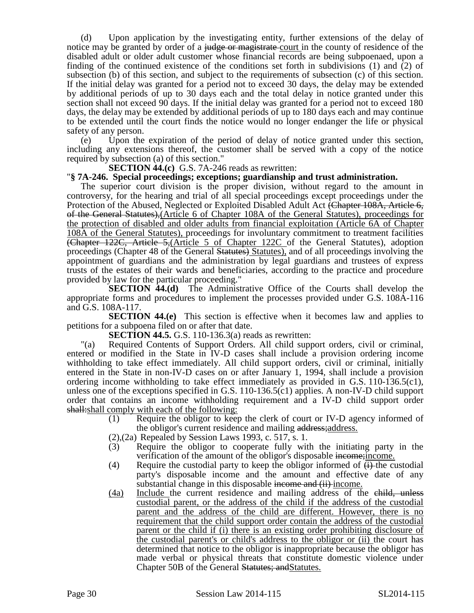(d) Upon application by the investigating entity, further extensions of the delay of notice may be granted by order of a judge or magistrate-court in the county of residence of the disabled adult or older adult customer whose financial records are being subpoenaed, upon a finding of the continued existence of the conditions set forth in subdivisions (1) and (2) of subsection (b) of this section, and subject to the requirements of subsection (c) of this section. If the initial delay was granted for a period not to exceed 30 days, the delay may be extended by additional periods of up to 30 days each and the total delay in notice granted under this section shall not exceed 90 days. If the initial delay was granted for a period not to exceed 180 days, the delay may be extended by additional periods of up to 180 days each and may continue to be extended until the court finds the notice would no longer endanger the life or physical safety of any person.

(e) Upon the expiration of the period of delay of notice granted under this section, including any extensions thereof, the customer shall be served with a copy of the notice required by subsection (a) of this section."

**SECTION 44.(c)** G.S. 7A-246 reads as rewritten:

## "**§ 7A-246. Special proceedings; exceptions; guardianship and trust administration.**

The superior court division is the proper division, without regard to the amount in controversy, for the hearing and trial of all special proceedings except proceedings under the Protection of the Abused, Neglected or Exploited Disabled Adult Act (Chapter 108A, Article 6, of the General Statutes),(Article 6 of Chapter 108A of the General Statutes), proceedings for the protection of disabled and older adults from financial exploitation (Article 6A of Chapter 108A of the General Statutes), proceedings for involuntary commitment to treatment facilities (Chapter 122C, Article 5,(Article 5 of Chapter 122C of the General Statutes), adoption proceedings (Chapter 48 of the General Statutes) Statutes), and of all proceedings involving the appointment of guardians and the administration by legal guardians and trustees of express trusts of the estates of their wards and beneficiaries, according to the practice and procedure provided by law for the particular proceeding."

**SECTION 44.(d)** The Administrative Office of the Courts shall develop the appropriate forms and procedures to implement the processes provided under G.S. 108A-116 and G.S. 108A-117.

**SECTION 44.(e)** This section is effective when it becomes law and applies to petitions for a subpoena filed on or after that date.

**SECTION 44.5.** G.S. 110-136.3(a) reads as rewritten:

"(a) Required Contents of Support Orders. All child support orders, civil or criminal, entered or modified in the State in IV-D cases shall include a provision ordering income withholding to take effect immediately. All child support orders, civil or criminal, initially entered in the State in non-IV-D cases on or after January 1, 1994, shall include a provision ordering income withholding to take effect immediately as provided in G.S. 110-136.5(c1), unless one of the exceptions specified in G.S. 110-136.5(c1) applies. A non-IV-D child support order that contains an income withholding requirement and a IV-D child support order shall:shall comply with each of the following:

- (1) Require the obligor to keep the clerk of court or IV-D agency informed of the obligor's current residence and mailing address;address.
- (2),(2a) Repealed by Session Laws 1993, c. 517, s. 1.
- (3) Require the obligor to cooperate fully with the initiating party in the verification of the amount of the obligor's disposable income; income.
- (4) Require the custodial party to keep the obligor informed of  $\leftrightarrow$  the custodial party's disposable income and the amount and effective date of any substantial change in this disposable income and (ii) income.
- (4a) Include the current residence and mailing address of the child, unless custodial parent, or the address of the child if the address of the custodial parent and the address of the child are different. However, there is no requirement that the child support order contain the address of the custodial parent or the child if (i) there is an existing order prohibiting disclosure of the custodial parent's or child's address to the obligor or (ii) the court has determined that notice to the obligor is inappropriate because the obligor has made verbal or physical threats that constitute domestic violence under Chapter 50B of the General Statutes; and Statutes.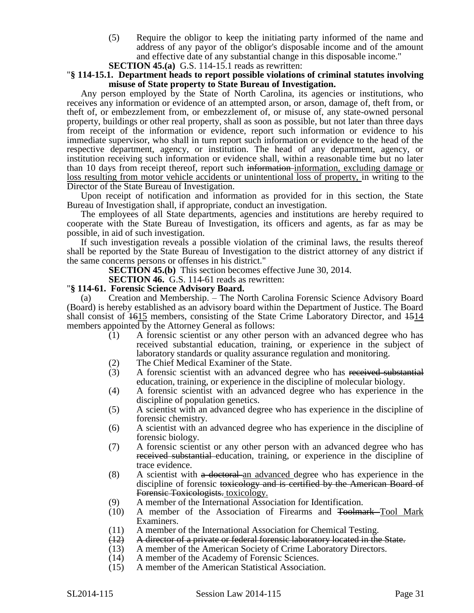(5) Require the obligor to keep the initiating party informed of the name and address of any payor of the obligor's disposable income and of the amount and effective date of any substantial change in this disposable income."

**SECTION 45.(a)** G.S. 114-15.1 reads as rewritten:

### "**§ 114-15.1. Department heads to report possible violations of criminal statutes involving misuse of State property to State Bureau of Investigation.**

Any person employed by the State of North Carolina, its agencies or institutions, who receives any information or evidence of an attempted arson, or arson, damage of, theft from, or theft of, or embezzlement from, or embezzlement of, or misuse of, any state-owned personal property, buildings or other real property, shall as soon as possible, but not later than three days from receipt of the information or evidence, report such information or evidence to his immediate supervisor, who shall in turn report such information or evidence to the head of the respective department, agency, or institution. The head of any department, agency, or institution receiving such information or evidence shall, within a reasonable time but no later than 10 days from receipt thereof, report such information information, excluding damage or loss resulting from motor vehicle accidents or unintentional loss of property, in writing to the Director of the State Bureau of Investigation.

Upon receipt of notification and information as provided for in this section, the State Bureau of Investigation shall, if appropriate, conduct an investigation.

The employees of all State departments, agencies and institutions are hereby required to cooperate with the State Bureau of Investigation, its officers and agents, as far as may be possible, in aid of such investigation.

If such investigation reveals a possible violation of the criminal laws, the results thereof shall be reported by the State Bureau of Investigation to the district attorney of any district if the same concerns persons or offenses in his district."

**SECTION 45.(b)** This section becomes effective June 30, 2014.

**SECTION 46.** G.S. 114-61 reads as rewritten:

### "**§ 114-61. Forensic Science Advisory Board.**

(a) Creation and Membership. – The North Carolina Forensic Science Advisory Board (Board) is hereby established as an advisory board within the Department of Justice. The Board shall consist of  $\overline{1615}$  members, consisting of the State Crime Laboratory Director, and  $\overline{1514}$ members appointed by the Attorney General as follows:

- (1) A forensic scientist or any other person with an advanced degree who has received substantial education, training, or experience in the subject of laboratory standards or quality assurance regulation and monitoring.
- (2) The Chief Medical Examiner of the State.
- (3) A forensic scientist with an advanced degree who has received substantial education, training, or experience in the discipline of molecular biology.
- (4) A forensic scientist with an advanced degree who has experience in the discipline of population genetics.
- (5) A scientist with an advanced degree who has experience in the discipline of forensic chemistry.
- (6) A scientist with an advanced degree who has experience in the discipline of forensic biology.
- (7) A forensic scientist or any other person with an advanced degree who has received substantial education, training, or experience in the discipline of trace evidence.
- (8) A scientist with a doctoral an advanced degree who has experience in the discipline of forensic toxicology and is certified by the American Board of Forensic Toxicologists. toxicology.
- (9) A member of the International Association for Identification.
- (10) A member of the Association of Firearms and Toolmark Tool Mark Examiners.
- (11) A member of the International Association for Chemical Testing.
- (12) A director of a private or federal forensic laboratory located in the State.
- (13) A member of the American Society of Crime Laboratory Directors.
- (14) A member of the Academy of Forensic Sciences.
- (15) A member of the American Statistical Association.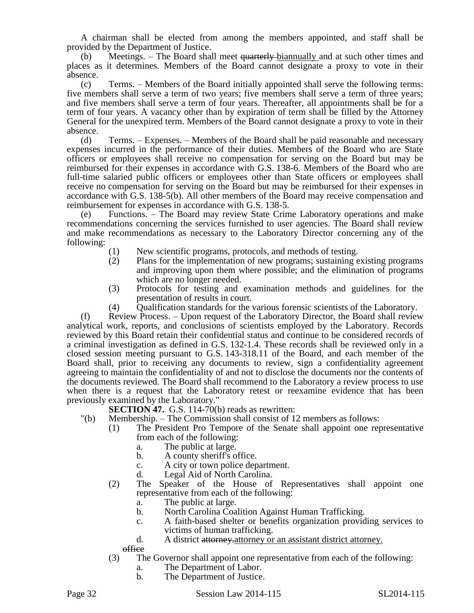A chairman shall be elected from among the members appointed, and staff shall be provided by the Department of Justice.

(b) Meetings. – The Board shall meet quarterly biannually and at such other times and places as it determines. Members of the Board cannot designate a proxy to vote in their absence.

(c) Terms. – Members of the Board initially appointed shall serve the following terms: five members shall serve a term of two years; five members shall serve a term of three years; and five members shall serve a term of four years. Thereafter, all appointments shall be for a term of four years. A vacancy other than by expiration of term shall be filled by the Attorney General for the unexpired term. Members of the Board cannot designate a proxy to vote in their absence.

(d) Terms. – Expenses. – Members of the Board shall be paid reasonable and necessary expenses incurred in the performance of their duties. Members of the Board who are State officers or employees shall receive no compensation for serving on the Board but may be reimbursed for their expenses in accordance with G.S. 138-6. Members of the Board who are full-time salaried public officers or employees other than State officers or employees shall receive no compensation for serving on the Board but may be reimbursed for their expenses in accordance with G.S. 138-5(b). All other members of the Board may receive compensation and reimbursement for expenses in accordance with G.S. 138-5.

(e) Functions. – The Board may review State Crime Laboratory operations and make recommendations concerning the services furnished to user agencies. The Board shall review and make recommendations as necessary to the Laboratory Director concerning any of the following:

- (1) New scientific programs, protocols, and methods of testing.
- (2) Plans for the implementation of new programs; sustaining existing programs and improving upon them where possible; and the elimination of programs which are no longer needed.
- (3) Protocols for testing and examination methods and guidelines for the presentation of results in court.
- (4) Qualification standards for the various forensic scientists of the Laboratory.

(f) Review Process. – Upon request of the Laboratory Director, the Board shall review analytical work, reports, and conclusions of scientists employed by the Laboratory. Records reviewed by this Board retain their confidential status and continue to be considered records of a criminal investigation as defined in G.S. 132-1.4. These records shall be reviewed only in a closed session meeting pursuant to G.S. 143-318.11 of the Board, and each member of the Board shall, prior to receiving any documents to review, sign a confidentiality agreement agreeing to maintain the confidentiality of and not to disclose the documents nor the contents of the documents reviewed. The Board shall recommend to the Laboratory a review process to use when there is a request that the Laboratory retest or reexamine evidence that has been previously examined by the Laboratory."

**SECTION 47.** G.S. 114-70(b) reads as rewritten:

- "(b) Membership. The Commission shall consist of 12 members as follows:
	- (1) The President Pro Tempore of the Senate shall appoint one representative from each of the following:
		- a. The public at large.
		- b. A county sheriff's office.
		- c. A city or town police department.
		- d. Legal Aid of North Carolina.
	- (2) The Speaker of the House of Representatives shall appoint one representative from each of the following:
		- a. The public at large.
		- b. North Carolina Coalition Against Human Trafficking.
		- c. A faith-based shelter or benefits organization providing services to victims of human trafficking.
		- d. A district attorney attorney or an assistant district attorney.

office

- (3) The Governor shall appoint one representative from each of the following:
	- a. The Department of Labor.
	- b. The Department of Justice.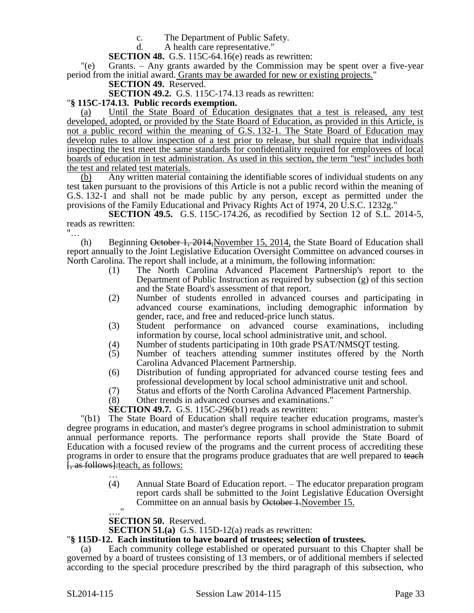c. The Department of Public Safety.

d. A health care representative."

**SECTION 48.** G.S. 115C-64.16(e) reads as rewritten:

"(e) Grants. – Any grants awarded by the Commission may be spent over a five-year period from the initial award. Grants may be awarded for new or existing projects."

**SECTION 49.** Reserved.

**SECTION 49.2.** G.S. 115C-174.13 reads as rewritten:

# "**§ 115C-174.13. Public records exemption.**

Until the State Board of Education designates that a test is released, any test developed, adopted, or provided by the State Board of Education, as provided in this Article, is not a public record within the meaning of G.S. 132-1. The State Board of Education may develop rules to allow inspection of a test prior to release, but shall require that individuals inspecting the test meet the same standards for confidentiality required for employees of local boards of education in test administration. As used in this section, the term "test" includes both the test and related test materials.

(b) Any written material containing the identifiable scores of individual students on any test taken pursuant to the provisions of this Article is not a public record within the meaning of G.S. 132-1 and shall not be made public by any person, except as permitted under the provisions of the Family Educational and Privacy Rights Act of 1974, 20 U.S.C. 1232g."

**SECTION 49.5.** G.S. 115C-174.26, as recodified by Section 12 of S.L. 2014-5, reads as rewritten: "…

(h) Beginning October 1, 2014,November 15, 2014, the State Board of Education shall report annually to the Joint Legislative Education Oversight Committee on advanced courses in North Carolina. The report shall include, at a minimum, the following information:

- (1) The North Carolina Advanced Placement Partnership's report to the Department of Public Instruction as required by subsection (g) of this section and the State Board's assessment of that report.
- (2) Number of students enrolled in advanced courses and participating in advanced course examinations, including demographic information by gender, race, and free and reduced-price lunch status.
- (3) Student performance on advanced course examinations, including information by course, local school administrative unit, and school.
- (4) Number of students participating in 10th grade PSAT/NMSQT testing.
- (5) Number of teachers attending summer institutes offered by the North Carolina Advanced Placement Partnership.
- (6) Distribution of funding appropriated for advanced course testing fees and professional development by local school administrative unit and school.
- (7) Status and efforts of the North Carolina Advanced Placement Partnership.<br>
(8) Other trends in advanced courses and examinations."
- Other trends in advanced courses and examinations."

**SECTION 49.7.** G.S. 115C-296(b1) reads as rewritten:

"(b1) The State Board of Education shall require teacher education programs, master's degree programs in education, and master's degree programs in school administration to submit annual performance reports. The performance reports shall provide the State Board of Education with a focused review of the programs and the current process of accrediting these programs in order to ensure that the programs produce graduates that are well prepared to teach [, as follows]:teach, as follows: …

(4) Annual State Board of Education report. – The educator preparation program report cards shall be submitted to the Joint Legislative Education Oversight Committee on an annual basis by October 1. November 15.  $^{\bullet}$ 

# **SECTION 50.** Reserved.

**SECTION 51.(a)** G.S. 115D-12(a) reads as rewritten:

## "**§ 115D-12. Each institution to have board of trustees; selection of trustees.**

Each community college established or operated pursuant to this Chapter shall be governed by a board of trustees consisting of 13 members, or of additional members if selected according to the special procedure prescribed by the third paragraph of this subsection, who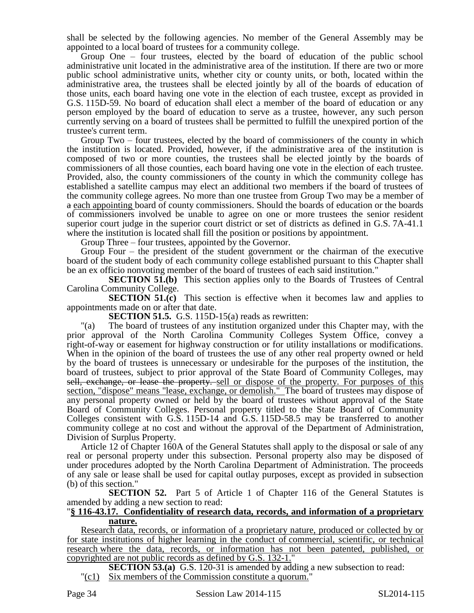shall be selected by the following agencies. No member of the General Assembly may be appointed to a local board of trustees for a community college.

Group One – four trustees, elected by the board of education of the public school administrative unit located in the administrative area of the institution. If there are two or more public school administrative units, whether city or county units, or both, located within the administrative area, the trustees shall be elected jointly by all of the boards of education of those units, each board having one vote in the election of each trustee, except as provided in G.S. 115D-59. No board of education shall elect a member of the board of education or any person employed by the board of education to serve as a trustee, however, any such person currently serving on a board of trustees shall be permitted to fulfill the unexpired portion of the trustee's current term.

Group Two – four trustees, elected by the board of commissioners of the county in which the institution is located. Provided, however, if the administrative area of the institution is composed of two or more counties, the trustees shall be elected jointly by the boards of commissioners of all those counties, each board having one vote in the election of each trustee. Provided, also, the county commissioners of the county in which the community college has established a satellite campus may elect an additional two members if the board of trustees of the community college agrees. No more than one trustee from Group Two may be a member of a each appointing board of county commissioners. Should the boards of education or the boards of commissioners involved be unable to agree on one or more trustees the senior resident superior court judge in the superior court district or set of districts as defined in G.S. 7A-41.1 where the institution is located shall fill the position or positions by appointment.

Group Three – four trustees, appointed by the Governor.

Group Four – the president of the student government or the chairman of the executive board of the student body of each community college established pursuant to this Chapter shall be an ex officio nonvoting member of the board of trustees of each said institution."

**SECTION 51.(b)** This section applies only to the Boards of Trustees of Central Carolina Community College.

**SECTION 51.(c)** This section is effective when it becomes law and applies to appointments made on or after that date.

**SECTION 51.5.** G.S. 115D-15(a) reads as rewritten:

"(a) The board of trustees of any institution organized under this Chapter may, with the prior approval of the North Carolina Community Colleges System Office, convey a right-of-way or easement for highway construction or for utility installations or modifications. When in the opinion of the board of trustees the use of any other real property owned or held by the board of trustees is unnecessary or undesirable for the purposes of the institution, the board of trustees, subject to prior approval of the State Board of Community Colleges, may sell, exchange, or lease the property. sell or dispose of the property. For purposes of this section, "dispose" means "lease, exchange, or demolish." The board of trustees may dispose of any personal property owned or held by the board of trustees without approval of the State Board of Community Colleges. Personal property titled to the State Board of Community Colleges consistent with G.S. 115D-14 and G.S. 115D-58.5 may be transferred to another community college at no cost and without the approval of the Department of Administration, Division of Surplus Property.

Article 12 of Chapter 160A of the General Statutes shall apply to the disposal or sale of any real or personal property under this subsection. Personal property also may be disposed of under procedures adopted by the North Carolina Department of Administration. The proceeds of any sale or lease shall be used for capital outlay purposes, except as provided in subsection (b) of this section."

**SECTION 52.** Part 5 of Article 1 of Chapter 116 of the General Statutes is amended by adding a new section to read:

### "**§ 116-43.17. Confidentiality of research data, records, and information of a proprietary nature.**

Research data, records, or information of a proprietary nature, produced or collected by or for state institutions of higher learning in the conduct of commercial, scientific, or technical research where the data, records, or information has not been patented, published, or copyrighted are not public records as defined by G.S. 132-1."

**SECTION 53.(a)** G.S. 120-31 is amended by adding a new subsection to read: "(c1) Six members of the Commission constitute a quorum."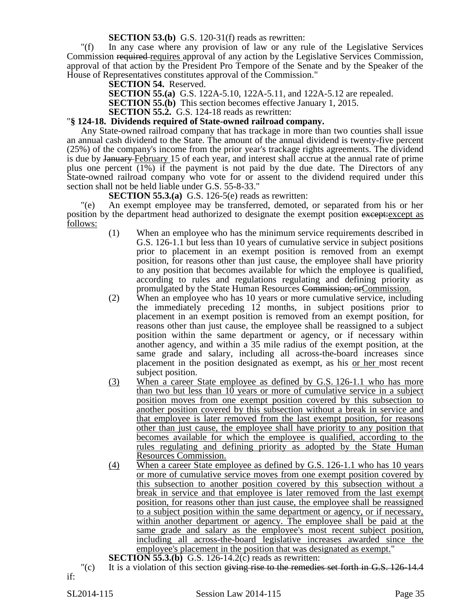**SECTION 53.(b)** G.S. 120-31(f) reads as rewritten:

"(f) In any case where any provision of law or any rule of the Legislative Services Commission required requires approval of any action by the Legislative Services Commission, approval of that action by the President Pro Tempore of the Senate and by the Speaker of the House of Representatives constitutes approval of the Commission."

**SECTION 54.** Reserved.

**SECTION 55.(a)** G.S. 122A-5.10, 122A-5.11, and 122A-5.12 are repealed.

**SECTION 55.(b)** This section becomes effective January 1, 2015.

**SECTION 55.2.** G.S. 124-18 reads as rewritten:

### "**§ 124-18. Dividends required of State-owned railroad company.**

Any State-owned railroad company that has trackage in more than two counties shall issue an annual cash dividend to the State. The amount of the annual dividend is twenty-five percent (25%) of the company's income from the prior year's trackage rights agreements. The dividend is due by January February 15 of each year, and interest shall accrue at the annual rate of prime plus one percent (1%) if the payment is not paid by the due date. The Directors of any State-owned railroad company who vote for or assent to the dividend required under this section shall not be held liable under G.S. 55-8-33."

**SECTION 55.3.(a)** G.S. 126-5(e) reads as rewritten:

"(e) An exempt employee may be transferred, demoted, or separated from his or her position by the department head authorized to designate the exempt position except: except as follows:

- (1) When an employee who has the minimum service requirements described in G.S. 126-1.1 but less than 10 years of cumulative service in subject positions prior to placement in an exempt position is removed from an exempt position, for reasons other than just cause, the employee shall have priority to any position that becomes available for which the employee is qualified, according to rules and regulations regulating and defining priority as promulgated by the State Human Resources Commission; orCommission.
- (2) When an employee who has 10 years or more cumulative service, including the immediately preceding 12 months, in subject positions prior to placement in an exempt position is removed from an exempt position, for reasons other than just cause, the employee shall be reassigned to a subject position within the same department or agency, or if necessary within another agency, and within a 35 mile radius of the exempt position, at the same grade and salary, including all across-the-board increases since placement in the position designated as exempt, as his or her most recent subject position.
- (3) When a career State employee as defined by G.S. 126-1.1 who has more than two but less than 10 years or more of cumulative service in a subject position moves from one exempt position covered by this subsection to another position covered by this subsection without a break in service and that employee is later removed from the last exempt position, for reasons other than just cause, the employee shall have priority to any position that becomes available for which the employee is qualified, according to the rules regulating and defining priority as adopted by the State Human Resources Commission.
- (4) When a career State employee as defined by G.S. 126-1.1 who has 10 years or more of cumulative service moves from one exempt position covered by this subsection to another position covered by this subsection without a break in service and that employee is later removed from the last exempt position, for reasons other than just cause, the employee shall be reassigned to a subject position within the same department or agency, or if necessary, within another department or agency. The employee shall be paid at the same grade and salary as the employee's most recent subject position, including all across-the-board legislative increases awarded since the employee's placement in the position that was designated as exempt."

**SECTION 55.3.(b)** G.S. 126-14.2(c) reads as rewritten:

(c) It is a violation of this section giving rise to the remedies set forth in G.S. 126-14.4 if: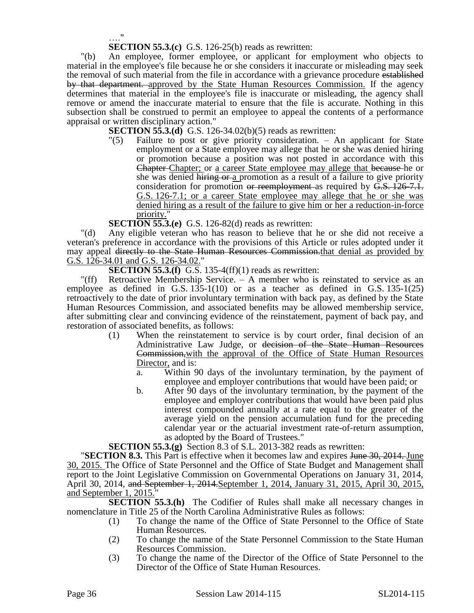…."

**SECTION 55.3.(c)** G.S. 126-25(b) reads as rewritten:

"(b) An employee, former employee, or applicant for employment who objects to material in the employee's file because he or she considers it inaccurate or misleading may seek the removal of such material from the file in accordance with a grievance procedure established by that department. approved by the State Human Resources Commission. If the agency determines that material in the employee's file is inaccurate or misleading, the agency shall remove or amend the inaccurate material to ensure that the file is accurate. Nothing in this subsection shall be construed to permit an employee to appeal the contents of a performance appraisal or written disciplinary action."

**SECTION 55.3.(d)** G.S. 126-34.02(b)(5) reads as rewritten:

"(5) Failure to post or give priority consideration. – An applicant for State employment or a State employee may allege that he or she was denied hiring or promotion because a position was not posted in accordance with this Chapter Chapter; or a career State employee may allege that because he or she was denied hiring or a promotion as a result of a failure to give priority consideration for promotion or reemployment as required by G.S. 126-7.1. G.S. 126-7.1; or a career State employee may allege that he or she was denied hiring as a result of the failure to give him or her a reduction-in-force priority."

**SECTION 55.3.(e)** G.S. 126-82(d) reads as rewritten:

"(d) Any eligible veteran who has reason to believe that he or she did not receive a veteran's preference in accordance with the provisions of this Article or rules adopted under it may appeal directly to the State Human Resources Commission.that denial as provided by G.S. 126-34.01 and G.S. 126-34.02."

**SECTION 55.3.(f)** G.S. 135-4(ff)(1) reads as rewritten:

"(ff) Retroactive Membership Service. – A member who is reinstated to service as an employee as defined in G.S.  $135-1(10)$  or as a teacher as defined in G.S.  $135-1(25)$ retroactively to the date of prior involuntary termination with back pay, as defined by the State Human Resources Commission, and associated benefits may be allowed membership service, after submitting clear and convincing evidence of the reinstatement, payment of back pay, and restoration of associated benefits, as follows:

- (1) When the reinstatement to service is by court order, final decision of an Administrative Law Judge, or decision of the State Human Resources Commission,with the approval of the Office of State Human Resources Director, and is:
	- a. Within 90 days of the involuntary termination, by the payment of employee and employer contributions that would have been paid; or
	- b. After 90 days of the involuntary termination, by the payment of the employee and employer contributions that would have been paid plus interest compounded annually at a rate equal to the greater of the average yield on the pension accumulation fund for the preceding calendar year or the actuarial investment rate-of-return assumption, as adopted by the Board of Trustees."

**SECTION 55.3.(g)** Section 8.3 of S.L. 2013-382 reads as rewritten:

**"SECTION 8.3.** This Part is effective when it becomes law and expires June 30, 2014. June 30, 2015. The Office of State Personnel and the Office of State Budget and Management shall report to the Joint Legislative Commission on Governmental Operations on January 31, 2014, April 30, 2014, and September 1, 2014.September 1, 2014, January 31, 2015, April 30, 2015, and September 1, 2015."

**SECTION 55.3.(h)** The Codifier of Rules shall make all necessary changes in nomenclature in Title 25 of the North Carolina Administrative Rules as follows:

- (1) To change the name of the Office of State Personnel to the Office of State Human Resources.
- (2) To change the name of the State Personnel Commission to the State Human Resources Commission.
- (3) To change the name of the Director of the Office of State Personnel to the Director of the Office of State Human Resources.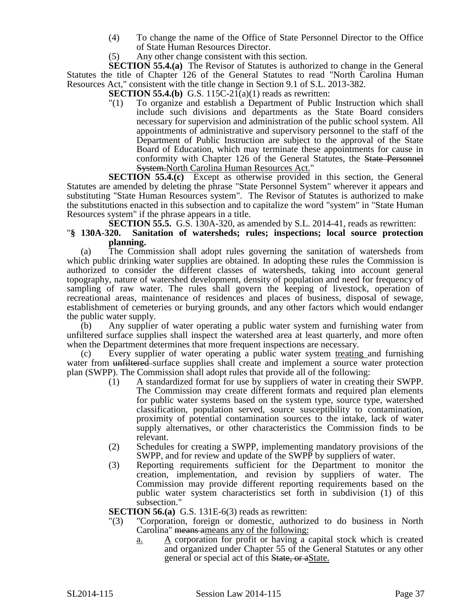- (4) To change the name of the Office of State Personnel Director to the Office of State Human Resources Director.
- (5) Any other change consistent with this section.

**SECTION 55.4.(a)** The Revisor of Statutes is authorized to change in the General Statutes the title of Chapter 126 of the General Statutes to read "North Carolina Human Resources Act," consistent with the title change in Section 9.1 of S.L. 2013-382.

**SECTION 55.4.(b)** G.S. 115C-2 $\overline{1}(a)(1)$  reads as rewritten:

"(1) To organize and establish a Department of Public Instruction which shall include such divisions and departments as the State Board considers necessary for supervision and administration of the public school system. All appointments of administrative and supervisory personnel to the staff of the Department of Public Instruction are subject to the approval of the State Board of Education, which may terminate these appointments for cause in conformity with Chapter 126 of the General Statutes, the State Personnel System.North Carolina Human Resources Act."

**SECTION 55.4.(c)** Except as otherwise provided in this section, the General Statutes are amended by deleting the phrase "State Personnel System" wherever it appears and substituting "State Human Resources system". The Revisor of Statutes is authorized to make the substitutions enacted in this subsection and to capitalize the word "system" in "State Human Resources system" if the phrase appears in a title.

**SECTION 55.5.** G.S. 130A-320, as amended by S.L. 2014-41, reads as rewritten:

# "**§ 130A-320. Sanitation of watersheds; rules; inspections; local source protection planning.**

(a) The Commission shall adopt rules governing the sanitation of watersheds from which public drinking water supplies are obtained. In adopting these rules the Commission is authorized to consider the different classes of watersheds, taking into account general topography, nature of watershed development, density of population and need for frequency of sampling of raw water. The rules shall govern the keeping of livestock, operation of recreational areas, maintenance of residences and places of business, disposal of sewage, establishment of cemeteries or burying grounds, and any other factors which would endanger the public water supply.

(b) Any supplier of water operating a public water system and furnishing water from unfiltered surface supplies shall inspect the watershed area at least quarterly, and more often when the Department determines that more frequent inspections are necessary.

Every supplier of water operating a public water system treating and furnishing water from unfiltered surface supplies shall create and implement a source water protection plan (SWPP). The Commission shall adopt rules that provide all of the following:

- (1) A standardized format for use by suppliers of water in creating their SWPP. The Commission may create different formats and required plan elements for public water systems based on the system type, source type, watershed classification, population served, source susceptibility to contamination, proximity of potential contamination sources to the intake, lack of water supply alternatives, or other characteristics the Commission finds to be relevant.
- (2) Schedules for creating a SWPP, implementing mandatory provisions of the SWPP, and for review and update of the SWPP by suppliers of water.
- (3) Reporting requirements sufficient for the Department to monitor the creation, implementation, and revision by suppliers of water. The Commission may provide different reporting requirements based on the public water system characteristics set forth in subdivision (1) of this subsection."

**SECTION 56.(a)** G.S. 131E-6(3) reads as rewritten:

- "(3) "Corporation, foreign or domestic, authorized to do business in North Carolina" means ameans any of the following:
	- $\underline{a}$ .  $\underline{A}$  corporation for profit or having a capital stock which is created and organized under Chapter 55 of the General Statutes or any other general or special act of this State, or aState.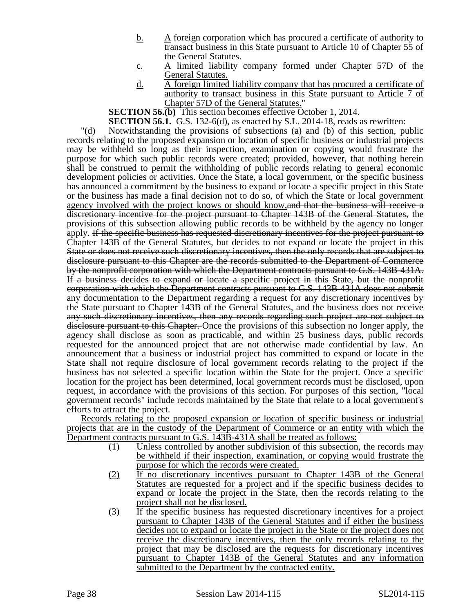- b. A foreign corporation which has procured a certificate of authority to transact business in this State pursuant to Article 10 of Chapter 55 of the General Statutes.
- c. A limited liability company formed under Chapter 57D of the General Statutes.
- d. A foreign limited liability company that has procured a certificate of authority to transact business in this State pursuant to Article 7 of Chapter 57D of the General Statutes."

**SECTION 56.(b)** This section becomes effective October 1, 2014.

**SECTION 56.1.** G.S. 132-6(d), as enacted by S.L. 2014-18, reads as rewritten:

"(d) Notwithstanding the provisions of subsections (a) and (b) of this section, public records relating to the proposed expansion or location of specific business or industrial projects may be withheld so long as their inspection, examination or copying would frustrate the purpose for which such public records were created; provided, however, that nothing herein shall be construed to permit the withholding of public records relating to general economic development policies or activities. Once the State, a local government, or the specific business has announced a commitment by the business to expand or locate a specific project in this State or the business has made a final decision not to do so, of which the State or local government agency involved with the project knows or should know,and that the business will receive a discretionary incentive for the project pursuant to Chapter 143B of the General Statutes, the provisions of this subsection allowing public records to be withheld by the agency no longer apply. If the specific business has requested discretionary incentives for the project pursuant to Chapter 143B of the General Statutes, but decides to not expand or locate the project in this State or does not receive such discretionary incentives, then the only records that are subject to disclosure pursuant to this Chapter are the records submitted to the Department of Commerce by the nonprofit corporation with which the Department contracts pursuant to G.S. 143B-431A. If a business decides to expand or locate a specific project in this State, but the nonprofit corporation with which the Department contracts pursuant to G.S. 143B-431A does not submit any documentation to the Department regarding a request for any discretionary incentives by the State pursuant to Chapter 143B of the General Statutes, and the business does not receive any such discretionary incentives, then any records regarding such project are not subject to disclosure pursuant to this Chapter. Once the provisions of this subsection no longer apply, the agency shall disclose as soon as practicable, and within 25 business days, public records requested for the announced project that are not otherwise made confidential by law. An announcement that a business or industrial project has committed to expand or locate in the State shall not require disclosure of local government records relating to the project if the business has not selected a specific location within the State for the project. Once a specific location for the project has been determined, local government records must be disclosed, upon request, in accordance with the provisions of this section. For purposes of this section, "local government records" include records maintained by the State that relate to a local government's efforts to attract the project.

Records relating to the proposed expansion or location of specific business or industrial projects that are in the custody of the Department of Commerce or an entity with which the Department contracts pursuant to G.S. 143B-431A shall be treated as follows:

- (1) Unless controlled by another subdivision of this subsection, the records may be withheld if their inspection, examination, or copying would frustrate the purpose for which the records were created.
- (2) If no discretionary incentives pursuant to Chapter 143B of the General Statutes are requested for a project and if the specific business decides to expand or locate the project in the State, then the records relating to the project shall not be disclosed.
- (3) If the specific business has requested discretionary incentives for a project pursuant to Chapter 143B of the General Statutes and if either the business decides not to expand or locate the project in the State or the project does not receive the discretionary incentives, then the only records relating to the project that may be disclosed are the requests for discretionary incentives pursuant to Chapter 143B of the General Statutes and any information submitted to the Department by the contracted entity.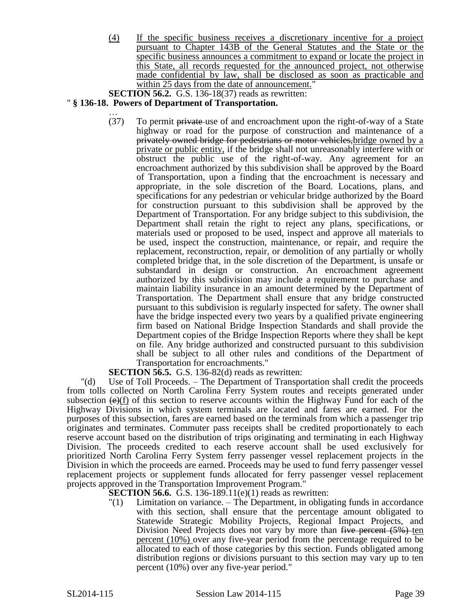(4) If the specific business receives a discretionary incentive for a project pursuant to Chapter 143B of the General Statutes and the State or the specific business announces a commitment to expand or locate the project in this State, all records requested for the announced project, not otherwise made confidential by law, shall be disclosed as soon as practicable and within 25 days from the date of announcement."

**SECTION 56.2.** G.S. 136-18(37) reads as rewritten:

# " **§ 136-18. Powers of Department of Transportation.**

… (37) To permit private use of and encroachment upon the right-of-way of a State highway or road for the purpose of construction and maintenance of a privately owned bridge for pedestrians or motor vehicles, bridge owned by a private or public entity, if the bridge shall not unreasonably interfere with or obstruct the public use of the right-of-way. Any agreement for an encroachment authorized by this subdivision shall be approved by the Board of Transportation, upon a finding that the encroachment is necessary and appropriate, in the sole discretion of the Board. Locations, plans, and specifications for any pedestrian or vehicular bridge authorized by the Board for construction pursuant to this subdivision shall be approved by the Department of Transportation. For any bridge subject to this subdivision, the Department shall retain the right to reject any plans, specifications, or materials used or proposed to be used, inspect and approve all materials to be used, inspect the construction, maintenance, or repair, and require the replacement, reconstruction, repair, or demolition of any partially or wholly completed bridge that, in the sole discretion of the Department, is unsafe or substandard in design or construction. An encroachment agreement authorized by this subdivision may include a requirement to purchase and maintain liability insurance in an amount determined by the Department of Transportation. The Department shall ensure that any bridge constructed pursuant to this subdivision is regularly inspected for safety. The owner shall have the bridge inspected every two years by a qualified private engineering firm based on National Bridge Inspection Standards and shall provide the Department copies of the Bridge Inspection Reports where they shall be kept on file. Any bridge authorized and constructed pursuant to this subdivision shall be subject to all other rules and conditions of the Department of Transportation for encroachments."

**SECTION 56.5.** G.S. 136-82(d) reads as rewritten:

"(d) Use of Toll Proceeds. – The Department of Transportation shall credit the proceeds from tolls collected on North Carolina Ferry System routes and receipts generated under subsection  $(\Theta)(f)$  of this section to reserve accounts within the Highway Fund for each of the Highway Divisions in which system terminals are located and fares are earned. For the purposes of this subsection, fares are earned based on the terminals from which a passenger trip originates and terminates. Commuter pass receipts shall be credited proportionately to each reserve account based on the distribution of trips originating and terminating in each Highway Division. The proceeds credited to each reserve account shall be used exclusively for prioritized North Carolina Ferry System ferry passenger vessel replacement projects in the Division in which the proceeds are earned. Proceeds may be used to fund ferry passenger vessel replacement projects or supplement funds allocated for ferry passenger vessel replacement projects approved in the Transportation Improvement Program."

**SECTION 56.6.** G.S. 136-189.11(e)(1) reads as rewritten:

"(1) Limitation on variance. – The Department, in obligating funds in accordance with this section, shall ensure that the percentage amount obligated to Statewide Strategic Mobility Projects, Regional Impact Projects, and Division Need Projects does not vary by more than  $\overline{f_{\mathcal{H}}}$  percent  $(5%)$  ten percent (10%) over any five-year period from the percentage required to be allocated to each of those categories by this section. Funds obligated among distribution regions or divisions pursuant to this section may vary up to ten percent (10%) over any five-year period."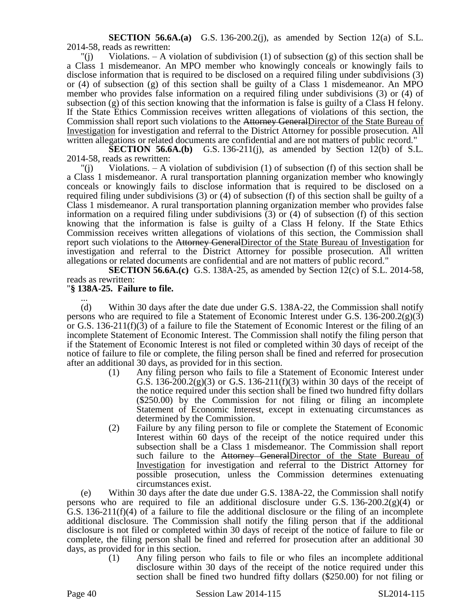**SECTION 56.6A.(a)** G.S. 136-200.2(j), as amended by Section 12(a) of S.L. 2014-58, reads as rewritten:

 $\Gamma(i)$  Violations. – A violation of subdivision (1) of subsection (g) of this section shall be a Class 1 misdemeanor. An MPO member who knowingly conceals or knowingly fails to disclose information that is required to be disclosed on a required filing under subdivisions (3) or (4) of subsection (g) of this section shall be guilty of a Class 1 misdemeanor. An MPO member who provides false information on a required filing under subdivisions (3) or (4) of subsection (g) of this section knowing that the information is false is guilty of a Class H felony. If the State Ethics Commission receives written allegations of violations of this section, the Commission shall report such violations to the Attorney GeneralDirector of the State Bureau of Investigation for investigation and referral to the District Attorney for possible prosecution. All written allegations or related documents are confidential and are not matters of public record."

**SECTION 56.6A.(b)** G.S. 136-211(j), as amended by Section 12(b) of S.L. 2014-58, reads as rewritten:

 $"(i)$  Violations. – A violation of subdivision (1) of subsection (f) of this section shall be a Class 1 misdemeanor. A rural transportation planning organization member who knowingly conceals or knowingly fails to disclose information that is required to be disclosed on a required filing under subdivisions (3) or (4) of subsection (f) of this section shall be guilty of a Class 1 misdemeanor. A rural transportation planning organization member who provides false information on a required filing under subdivisions (3) or (4) of subsection (f) of this section knowing that the information is false is guilty of a Class H felony. If the State Ethics Commission receives written allegations of violations of this section, the Commission shall report such violations to the Attorney GeneralDirector of the State Bureau of Investigation for investigation and referral to the District Attorney for possible prosecution. All written allegations or related documents are confidential and are not matters of public record."

**SECTION 56.6A.(c)** G.S. 138A-25, as amended by Section 12(c) of S.L. 2014-58, reads as rewritten:

# "**§ 138A-25. Failure to file.**

... (d) Within 30 days after the date due under G.S. 138A-22, the Commission shall notify persons who are required to file a Statement of Economic Interest under G.S.  $136-200.2(g)(3)$ or G.S. 136-211(f)(3) of a failure to file the Statement of Economic Interest or the filing of an incomplete Statement of Economic Interest. The Commission shall notify the filing person that if the Statement of Economic Interest is not filed or completed within 30 days of receipt of the notice of failure to file or complete, the filing person shall be fined and referred for prosecution after an additional 30 days, as provided for in this section.

- (1) Any filing person who fails to file a Statement of Economic Interest under G.S. 136-200.2(g)(3) or G.S. 136-211(f)(3) within 30 days of the receipt of the notice required under this section shall be fined two hundred fifty dollars (\$250.00) by the Commission for not filing or filing an incomplete Statement of Economic Interest, except in extenuating circumstances as determined by the Commission.
- (2) Failure by any filing person to file or complete the Statement of Economic Interest within 60 days of the receipt of the notice required under this subsection shall be a Class 1 misdemeanor. The Commission shall report such failure to the Attorney GeneralDirector of the State Bureau of Investigation for investigation and referral to the District Attorney for possible prosecution, unless the Commission determines extenuating circumstances exist.

(e) Within 30 days after the date due under G.S. 138A-22, the Commission shall notify persons who are required to file an additional disclosure under G.S.  $136-200.2(g)(4)$  or G.S. 136-211(f)(4) of a failure to file the additional disclosure or the filing of an incomplete additional disclosure. The Commission shall notify the filing person that if the additional disclosure is not filed or completed within 30 days of receipt of the notice of failure to file or complete, the filing person shall be fined and referred for prosecution after an additional 30 days, as provided for in this section.

(1) Any filing person who fails to file or who files an incomplete additional disclosure within 30 days of the receipt of the notice required under this section shall be fined two hundred fifty dollars (\$250.00) for not filing or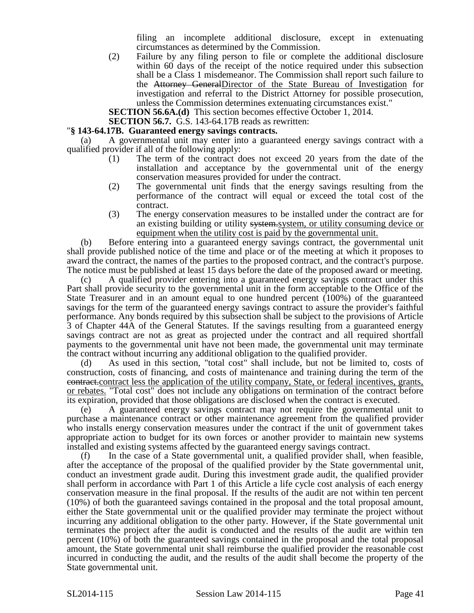filing an incomplete additional disclosure, except in extenuating circumstances as determined by the Commission.

(2) Failure by any filing person to file or complete the additional disclosure within 60 days of the receipt of the notice required under this subsection shall be a Class 1 misdemeanor. The Commission shall report such failure to the Attorney GeneralDirector of the State Bureau of Investigation for investigation and referral to the District Attorney for possible prosecution, unless the Commission determines extenuating circumstances exist."

**SECTION 56.6A.(d)** This section becomes effective October 1, 2014.

**SECTION 56.7.** G.S. 143-64.17B reads as rewritten:

### "**§ 143-64.17B. Guaranteed energy savings contracts.**

(a) A governmental unit may enter into a guaranteed energy savings contract with a qualified provider if all of the following apply:

- (1) The term of the contract does not exceed 20 years from the date of the installation and acceptance by the governmental unit of the energy conservation measures provided for under the contract.
- (2) The governmental unit finds that the energy savings resulting from the performance of the contract will equal or exceed the total cost of the contract.
- (3) The energy conservation measures to be installed under the contract are for an existing building or utility system.system, or utility consuming device or equipment when the utility cost is paid by the governmental unit.

(b) Before entering into a guaranteed energy savings contract, the governmental unit shall provide published notice of the time and place or of the meeting at which it proposes to award the contract, the names of the parties to the proposed contract, and the contract's purpose. The notice must be published at least 15 days before the date of the proposed award or meeting.

(c) A qualified provider entering into a guaranteed energy savings contract under this Part shall provide security to the governmental unit in the form acceptable to the Office of the State Treasurer and in an amount equal to one hundred percent (100%) of the guaranteed savings for the term of the guaranteed energy savings contract to assure the provider's faithful performance. Any bonds required by this subsection shall be subject to the provisions of Article 3 of Chapter 44A of the General Statutes. If the savings resulting from a guaranteed energy savings contract are not as great as projected under the contract and all required shortfall payments to the governmental unit have not been made, the governmental unit may terminate the contract without incurring any additional obligation to the qualified provider.

(d) As used in this section, "total cost" shall include, but not be limited to, costs of construction, costs of financing, and costs of maintenance and training during the term of the contract.contract less the application of the utility company, State, or federal incentives, grants, or rebates. "Total cost" does not include any obligations on termination of the contract before its expiration, provided that those obligations are disclosed when the contract is executed.

(e) A guaranteed energy savings contract may not require the governmental unit to purchase a maintenance contract or other maintenance agreement from the qualified provider who installs energy conservation measures under the contract if the unit of government takes appropriate action to budget for its own forces or another provider to maintain new systems installed and existing systems affected by the guaranteed energy savings contract.

(f) In the case of a State governmental unit, a qualified provider shall, when feasible, after the acceptance of the proposal of the qualified provider by the State governmental unit, conduct an investment grade audit. During this investment grade audit, the qualified provider shall perform in accordance with Part 1 of this Article a life cycle cost analysis of each energy conservation measure in the final proposal. If the results of the audit are not within ten percent (10%) of both the guaranteed savings contained in the proposal and the total proposal amount, either the State governmental unit or the qualified provider may terminate the project without incurring any additional obligation to the other party. However, if the State governmental unit terminates the project after the audit is conducted and the results of the audit are within ten percent (10%) of both the guaranteed savings contained in the proposal and the total proposal amount, the State governmental unit shall reimburse the qualified provider the reasonable cost incurred in conducting the audit, and the results of the audit shall become the property of the State governmental unit.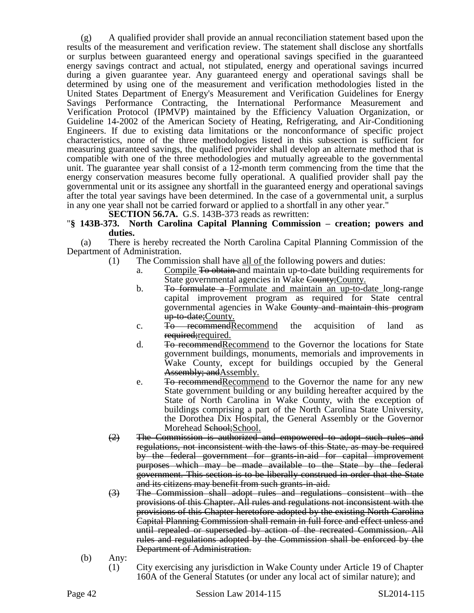(g) A qualified provider shall provide an annual reconciliation statement based upon the results of the measurement and verification review. The statement shall disclose any shortfalls or surplus between guaranteed energy and operational savings specified in the guaranteed energy savings contract and actual, not stipulated, energy and operational savings incurred during a given guarantee year. Any guaranteed energy and operational savings shall be determined by using one of the measurement and verification methodologies listed in the United States Department of Energy's Measurement and Verification Guidelines for Energy Savings Performance Contracting, the International Performance Measurement and Verification Protocol (IPMVP) maintained by the Efficiency Valuation Organization, or Guideline 14-2002 of the American Society of Heating, Refrigerating, and Air-Conditioning Engineers. If due to existing data limitations or the nonconformance of specific project characteristics, none of the three methodologies listed in this subsection is sufficient for measuring guaranteed savings, the qualified provider shall develop an alternate method that is compatible with one of the three methodologies and mutually agreeable to the governmental unit. The guarantee year shall consist of a 12-month term commencing from the time that the energy conservation measures become fully operational. A qualified provider shall pay the governmental unit or its assignee any shortfall in the guaranteed energy and operational savings after the total year savings have been determined. In the case of a governmental unit, a surplus in any one year shall not be carried forward or applied to a shortfall in any other year."

**SECTION 56.7A.** G.S. 143B-373 reads as rewritten:

# "**§ 143B-373. North Carolina Capital Planning Commission – creation; powers and duties.**

(a) There is hereby recreated the North Carolina Capital Planning Commission of the Department of Administration.

- (1) The Commission shall have all of the following powers and duties:
	- a. Compile To obtain and maintain up-to-date building requirements for State governmental agencies in Wake County; County.
	- b. To formulate a Formulate and maintain an up-to-date long-range capital improvement program as required for State central governmental agencies in Wake County and maintain this program up-to-date;County.
	- c. To recommendRecommend the acquisition of land as required; required.
	- d. To recommendRecommend to the Governor the locations for State government buildings, monuments, memorials and improvements in Wake County, except for buildings occupied by the General Assembly; and Assembly.
	- e. To recommend Recommend to the Governor the name for any new State government building or any building hereafter acquired by the State of North Carolina in Wake County, with the exception of buildings comprising a part of the North Carolina State University, the Dorothea Dix Hospital, the General Assembly or the Governor Morehead School; School.
- (2) The Commission is authorized and empowered to adopt such rules and regulations, not inconsistent with the laws of this State, as may be required by the federal government for grants-in-aid for capital improvement purposes which may be made available to the State by the federal government. This section is to be liberally construed in order that the State and its citizens may benefit from such grants-in-aid.
- (3) The Commission shall adopt rules and regulations consistent with the provisions of this Chapter. All rules and regulations not inconsistent with the provisions of this Chapter heretofore adopted by the existing North Carolina Capital Planning Commission shall remain in full force and effect unless and until repealed or superseded by action of the recreated Commission. All rules and regulations adopted by the Commission shall be enforced by the Department of Administration.
- (b) Any:
	- (1) City exercising any jurisdiction in Wake County under Article 19 of Chapter 160A of the General Statutes (or under any local act of similar nature); and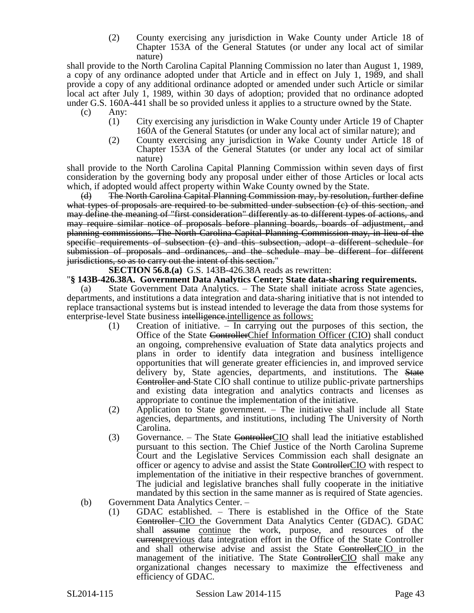(2) County exercising any jurisdiction in Wake County under Article 18 of Chapter 153A of the General Statutes (or under any local act of similar nature)

shall provide to the North Carolina Capital Planning Commission no later than August 1, 1989, a copy of any ordinance adopted under that Article and in effect on July 1, 1989, and shall provide a copy of any additional ordinance adopted or amended under such Article or similar local act after July 1, 1989, within 30 days of adoption; provided that no ordinance adopted under G.S. 160A-441 shall be so provided unless it applies to a structure owned by the State.

- (c) Any:
	- (1) City exercising any jurisdiction in Wake County under Article 19 of Chapter 160A of the General Statutes (or under any local act of similar nature); and
	- (2) County exercising any jurisdiction in Wake County under Article 18 of Chapter 153A of the General Statutes (or under any local act of similar nature)

shall provide to the North Carolina Capital Planning Commission within seven days of first consideration by the governing body any proposal under either of those Articles or local acts which, if adopted would affect property within Wake County owned by the State.

(d) The North Carolina Capital Planning Commission may, by resolution, further define what types of proposals are required to be submitted under subsection (e) of this section, and may define the meaning of "first consideration" differently as to different types of actions, and may require similar notice of proposals before planning boards, boards of adjustment, and planning commissions. The North Carolina Capital Planning Commission may, in lieu of the specific requirements of subsection (c) and this subsection, adopt a different schedule for submission of proposals and ordinances, and the schedule may be different for different jurisdictions, so as to carry out the intent of this section."

**SECTION 56.8.(a)** G.S. 143B-426.38A reads as rewritten:

### "**§ 143B-426.38A. Government Data Analytics Center; State data-sharing requirements.**

(a) State Government Data Analytics. – The State shall initiate across State agencies, departments, and institutions a data integration and data-sharing initiative that is not intended to replace transactional systems but is instead intended to leverage the data from those systems for enterprise-level State business intelligence.intelligence as follows:

- (1) Creation of initiative. In carrying out the purposes of this section, the Office of the State ControllerChief Information Officer (CIO) shall conduct an ongoing, comprehensive evaluation of State data analytics projects and plans in order to identify data integration and business intelligence opportunities that will generate greater efficiencies in, and improved service delivery by, State agencies, departments, and institutions. The State Controller and State CIO shall continue to utilize public-private partnerships and existing data integration and analytics contracts and licenses as appropriate to continue the implementation of the initiative.
- (2) Application to State government. The initiative shall include all State agencies, departments, and institutions, including The University of North Carolina.
- (3) Governance. The State Controller CIO shall lead the initiative established pursuant to this section. The Chief Justice of the North Carolina Supreme Court and the Legislative Services Commission each shall designate an officer or agency to advise and assist the State ControllerCIO with respect to implementation of the initiative in their respective branches of government. The judicial and legislative branches shall fully cooperate in the initiative mandated by this section in the same manner as is required of State agencies.
- (b) Government Data Analytics Center.
	- (1) GDAC established. There is established in the Office of the State Controller CIO the Government Data Analytics Center (GDAC). GDAC shall assume continue the work, purpose, and resources of the currentprevious data integration effort in the Office of the State Controller and shall otherwise advise and assist the State ControllerCIO in the management of the initiative. The State ControllerCIO shall make any organizational changes necessary to maximize the effectiveness and efficiency of GDAC.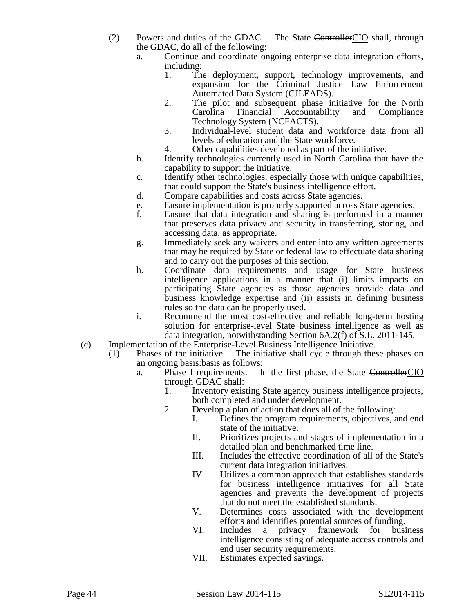- (2) Powers and duties of the GDAC. The State ControllerCIO shall, through the GDAC, do all of the following:
	- a. Continue and coordinate ongoing enterprise data integration efforts, including:
		- 1. The deployment, support, technology improvements, and expansion for the Criminal Justice Law Enforcement Automated Data System (CJLEADS).
		- 2. The pilot and subsequent phase initiative for the North Carolina Financial Accountability and Compliance Technology System (NCFACTS).
		- 3. Individual-level student data and workforce data from all levels of education and the State workforce.
		- 4. Other capabilities developed as part of the initiative.
	- b. Identify technologies currently used in North Carolina that have the capability to support the initiative.
	- c. Identify other technologies, especially those with unique capabilities, that could support the State's business intelligence effort.
	- d. Compare capabilities and costs across State agencies.
	- e. Ensure implementation is properly supported across State agencies.
	- f. Ensure that data integration and sharing is performed in a manner that preserves data privacy and security in transferring, storing, and accessing data, as appropriate.
	- g. Immediately seek any waivers and enter into any written agreements that may be required by State or federal law to effectuate data sharing and to carry out the purposes of this section.
	- h. Coordinate data requirements and usage for State business intelligence applications in a manner that (i) limits impacts on participating State agencies as those agencies provide data and business knowledge expertise and (ii) assists in defining business rules so the data can be properly used.
	- i. Recommend the most cost-effective and reliable long-term hosting solution for enterprise-level State business intelligence as well as data integration, notwithstanding Section 6A.2(f) of S.L. 2011-145.
- (c) Implementation of the Enterprise-Level Business Intelligence Initiative.
	- (1) Phases of the initiative. The initiative shall cycle through these phases on an ongoing basis:basis as follows:
		- a. Phase I requirements. In the first phase, the State ControllerCIO through GDAC shall:
			- 1. Inventory existing State agency business intelligence projects, both completed and under development.
			- 2. Develop a plan of action that does all of the following:
				- I. Defines the program requirements, objectives, and end state of the initiative.
				- II. Prioritizes projects and stages of implementation in a detailed plan and benchmarked time line.
				- III. Includes the effective coordination of all of the State's current data integration initiatives.
				- IV. Utilizes a common approach that establishes standards for business intelligence initiatives for all State agencies and prevents the development of projects that do not meet the established standards.
				- V. Determines costs associated with the development efforts and identifies potential sources of funding.
				- VI. Includes a privacy framework for business intelligence consisting of adequate access controls and end user security requirements.
				- VII. Estimates expected savings.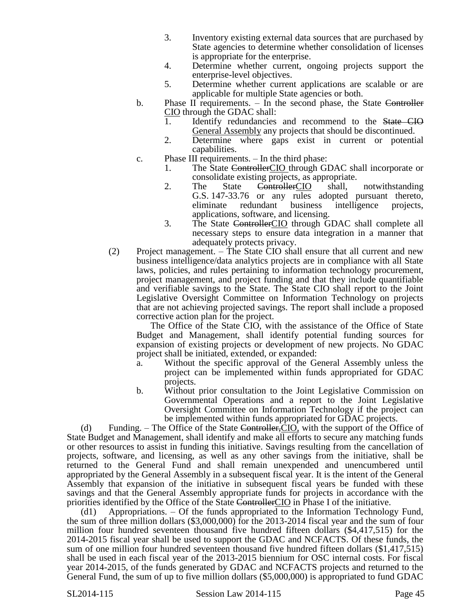- 3. Inventory existing external data sources that are purchased by State agencies to determine whether consolidation of licenses is appropriate for the enterprise.
- 4. Determine whether current, ongoing projects support the enterprise-level objectives.
- 5. Determine whether current applications are scalable or are applicable for multiple State agencies or both.
- b. Phase II requirements. In the second phase, the State Controller CIO through the GDAC shall:
	- 1. Identify redundancies and recommend to the State CIO General Assembly any projects that should be discontinued.
	- 2. Determine where gaps exist in current or potential capabilities.
- c. Phase III requirements. In the third phase:
	- 1. The State ControllerCIO through GDAC shall incorporate or consolidate existing projects, as appropriate.
	- 2. The State ControllerCIO shall, notwithstanding G.S. 147-33.76 or any rules adopted pursuant thereto, eliminate redundant business intelligence projects, applications, software, and licensing.
	- 3. The State ControllerCIO through GDAC shall complete all necessary steps to ensure data integration in a manner that adequately protects privacy.
- (2) Project management. The State CIO shall ensure that all current and new business intelligence/data analytics projects are in compliance with all State laws, policies, and rules pertaining to information technology procurement, project management, and project funding and that they include quantifiable and verifiable savings to the State. The State CIO shall report to the Joint Legislative Oversight Committee on Information Technology on projects that are not achieving projected savings. The report shall include a proposed corrective action plan for the project.

The Office of the State CIO, with the assistance of the Office of State Budget and Management, shall identify potential funding sources for expansion of existing projects or development of new projects. No GDAC project shall be initiated, extended, or expanded:

- a. Without the specific approval of the General Assembly unless the project can be implemented within funds appropriated for GDAC projects.
- b. Without prior consultation to the Joint Legislative Commission on Governmental Operations and a report to the Joint Legislative Oversight Committee on Information Technology if the project can be implemented within funds appropriated for GDAC projects.

(d) Funding.  $-$  The Office of the State Controller, CIO, with the support of the Office of State Budget and Management, shall identify and make all efforts to secure any matching funds or other resources to assist in funding this initiative. Savings resulting from the cancellation of projects, software, and licensing, as well as any other savings from the initiative, shall be returned to the General Fund and shall remain unexpended and unencumbered until appropriated by the General Assembly in a subsequent fiscal year. It is the intent of the General Assembly that expansion of the initiative in subsequent fiscal years be funded with these savings and that the General Assembly appropriate funds for projects in accordance with the priorities identified by the Office of the State ControllerCIO in Phase I of the initiative.

(d1) Appropriations. – Of the funds appropriated to the Information Technology Fund, the sum of three million dollars (\$3,000,000) for the 2013-2014 fiscal year and the sum of four million four hundred seventeen thousand five hundred fifteen dollars (\$4,417,515) for the 2014-2015 fiscal year shall be used to support the GDAC and NCFACTS. Of these funds, the sum of one million four hundred seventeen thousand five hundred fifteen dollars (\$1,417,515) shall be used in each fiscal year of the 2013-2015 biennium for OSC internal costs. For fiscal year 2014-2015, of the funds generated by GDAC and NCFACTS projects and returned to the General Fund, the sum of up to five million dollars (\$5,000,000) is appropriated to fund GDAC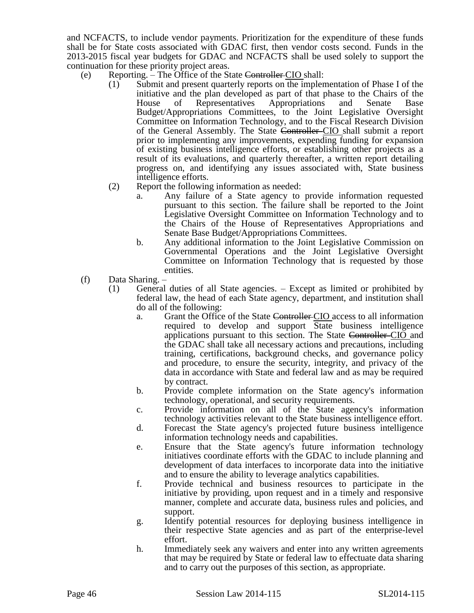and NCFACTS, to include vendor payments. Prioritization for the expenditure of these funds shall be for State costs associated with GDAC first, then vendor costs second. Funds in the 2013-2015 fiscal year budgets for GDAC and NCFACTS shall be used solely to support the continuation for these priority project areas.

- (e) Reporting. The Office of the State Controller CIO shall:
	- (1) Submit and present quarterly reports on the implementation of Phase I of the initiative and the plan developed as part of that phase to the Chairs of the House of Representatives Appropriations and Senate Base Budget/Appropriations Committees, to the Joint Legislative Oversight Committee on Information Technology, and to the Fiscal Research Division of the General Assembly. The State Controller CIO shall submit a report prior to implementing any improvements, expending funding for expansion of existing business intelligence efforts, or establishing other projects as a result of its evaluations, and quarterly thereafter, a written report detailing progress on, and identifying any issues associated with, State business intelligence efforts.
	- (2) Report the following information as needed:
		- a. Any failure of a State agency to provide information requested pursuant to this section. The failure shall be reported to the Joint Legislative Oversight Committee on Information Technology and to the Chairs of the House of Representatives Appropriations and Senate Base Budget/Appropriations Committees.
		- b. Any additional information to the Joint Legislative Commission on Governmental Operations and the Joint Legislative Oversight Committee on Information Technology that is requested by those entities.
- (f) Data Sharing.
	- (1) General duties of all State agencies. Except as limited or prohibited by federal law, the head of each State agency, department, and institution shall do all of the following:
		- a. Grant the Office of the State Controller CIO access to all information required to develop and support State business intelligence applications pursuant to this section. The State Controller-CIO and the GDAC shall take all necessary actions and precautions, including training, certifications, background checks, and governance policy and procedure, to ensure the security, integrity, and privacy of the data in accordance with State and federal law and as may be required by contract.
		- b. Provide complete information on the State agency's information technology, operational, and security requirements.
		- c. Provide information on all of the State agency's information technology activities relevant to the State business intelligence effort.
		- d. Forecast the State agency's projected future business intelligence information technology needs and capabilities.
		- e. Ensure that the State agency's future information technology initiatives coordinate efforts with the GDAC to include planning and development of data interfaces to incorporate data into the initiative and to ensure the ability to leverage analytics capabilities.
		- f. Provide technical and business resources to participate in the initiative by providing, upon request and in a timely and responsive manner, complete and accurate data, business rules and policies, and support.
		- g. Identify potential resources for deploying business intelligence in their respective State agencies and as part of the enterprise-level effort.
		- h. Immediately seek any waivers and enter into any written agreements that may be required by State or federal law to effectuate data sharing and to carry out the purposes of this section, as appropriate.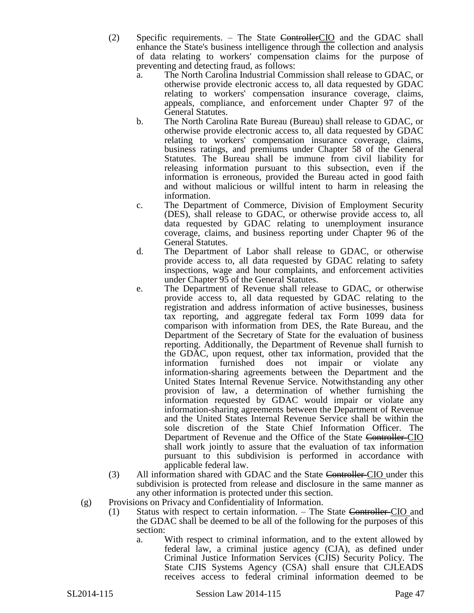(2) Specific requirements. – The State ControllerCIO and the GDAC shall enhance the State's business intelligence through the collection and analysis of data relating to workers' compensation claims for the purpose of preventing and detecting fraud, as follows:

- a. The North Carolina Industrial Commission shall release to GDAC, or otherwise provide electronic access to, all data requested by GDAC relating to workers' compensation insurance coverage, claims, appeals, compliance, and enforcement under Chapter 97 of the General Statutes.
- b. The North Carolina Rate Bureau (Bureau) shall release to GDAC, or otherwise provide electronic access to, all data requested by GDAC relating to workers' compensation insurance coverage, claims, business ratings, and premiums under Chapter 58 of the General Statutes. The Bureau shall be immune from civil liability for releasing information pursuant to this subsection, even if the information is erroneous, provided the Bureau acted in good faith and without malicious or willful intent to harm in releasing the information.
- c. The Department of Commerce, Division of Employment Security (DES), shall release to GDAC, or otherwise provide access to, all data requested by GDAC relating to unemployment insurance coverage, claims, and business reporting under Chapter 96 of the General Statutes.
- d. The Department of Labor shall release to GDAC, or otherwise provide access to, all data requested by GDAC relating to safety inspections, wage and hour complaints, and enforcement activities under Chapter 95 of the General Statutes.
- e. The Department of Revenue shall release to GDAC, or otherwise provide access to, all data requested by GDAC relating to the registration and address information of active businesses, business tax reporting, and aggregate federal tax Form 1099 data for comparison with information from DES, the Rate Bureau, and the Department of the Secretary of State for the evaluation of business reporting. Additionally, the Department of Revenue shall furnish to the GDAC, upon request, other tax information, provided that the information furnished does not impair or violate any information-sharing agreements between the Department and the United States Internal Revenue Service. Notwithstanding any other provision of law, a determination of whether furnishing the information requested by GDAC would impair or violate any information-sharing agreements between the Department of Revenue and the United States Internal Revenue Service shall be within the sole discretion of the State Chief Information Officer. The Department of Revenue and the Office of the State Controller-CIO shall work jointly to assure that the evaluation of tax information pursuant to this subdivision is performed in accordance with applicable federal law.
- (3) All information shared with GDAC and the State Controller-CIO under this subdivision is protected from release and disclosure in the same manner as any other information is protected under this section.
- (g) Provisions on Privacy and Confidentiality of Information.
	- (1) Status with respect to certain information. The State Controller CIO and the GDAC shall be deemed to be all of the following for the purposes of this section:
		- a. With respect to criminal information, and to the extent allowed by federal law, a criminal justice agency (CJA), as defined under Criminal Justice Information Services (CJIS) Security Policy. The State CJIS Systems Agency (CSA) shall ensure that CJLEADS receives access to federal criminal information deemed to be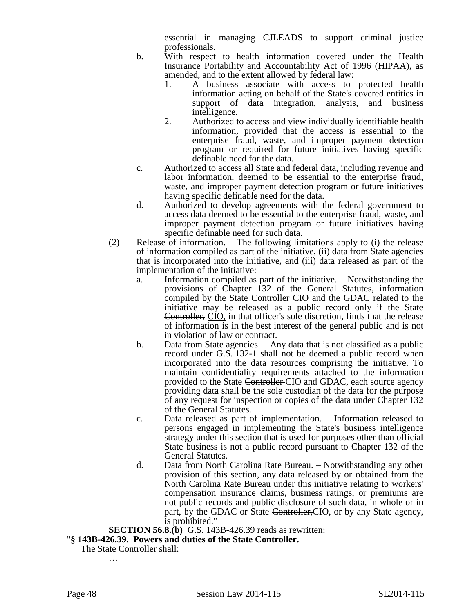essential in managing CJLEADS to support criminal justice professionals.

- b. With respect to health information covered under the Health Insurance Portability and Accountability Act of 1996 (HIPAA), as amended, and to the extent allowed by federal law:
	- 1. A business associate with access to protected health information acting on behalf of the State's covered entities in support of data integration, analysis, and business intelligence.
	- 2. Authorized to access and view individually identifiable health information, provided that the access is essential to the enterprise fraud, waste, and improper payment detection program or required for future initiatives having specific definable need for the data.
- c. Authorized to access all State and federal data, including revenue and labor information, deemed to be essential to the enterprise fraud, waste, and improper payment detection program or future initiatives having specific definable need for the data.
- d. Authorized to develop agreements with the federal government to access data deemed to be essential to the enterprise fraud, waste, and improper payment detection program or future initiatives having specific definable need for such data.
- (2) Release of information. The following limitations apply to (i) the release of information compiled as part of the initiative, (ii) data from State agencies that is incorporated into the initiative, and (iii) data released as part of the implementation of the initiative:
	- a. Information compiled as part of the initiative. Notwithstanding the provisions of Chapter 132 of the General Statutes, information compiled by the State Controller-CIO and the GDAC related to the initiative may be released as a public record only if the State Controller, CIO, in that officer's sole discretion, finds that the release of information is in the best interest of the general public and is not in violation of law or contract.
	- b. Data from State agencies. Any data that is not classified as a public record under G.S. 132-1 shall not be deemed a public record when incorporated into the data resources comprising the initiative. To maintain confidentiality requirements attached to the information provided to the State Controller-CIO and GDAC, each source agency providing data shall be the sole custodian of the data for the purpose of any request for inspection or copies of the data under Chapter 132 of the General Statutes.
	- c. Data released as part of implementation. Information released to persons engaged in implementing the State's business intelligence strategy under this section that is used for purposes other than official State business is not a public record pursuant to Chapter 132 of the General Statutes.
	- d. Data from North Carolina Rate Bureau. Notwithstanding any other provision of this section, any data released by or obtained from the North Carolina Rate Bureau under this initiative relating to workers' compensation insurance claims, business ratings, or premiums are not public records and public disclosure of such data, in whole or in part, by the GDAC or State Controller, CIO, or by any State agency, is prohibited."

**SECTION 56.8.(b)** G.S. 143B-426.39 reads as rewritten:

"**§ 143B-426.39. Powers and duties of the State Controller.**

The State Controller shall:

…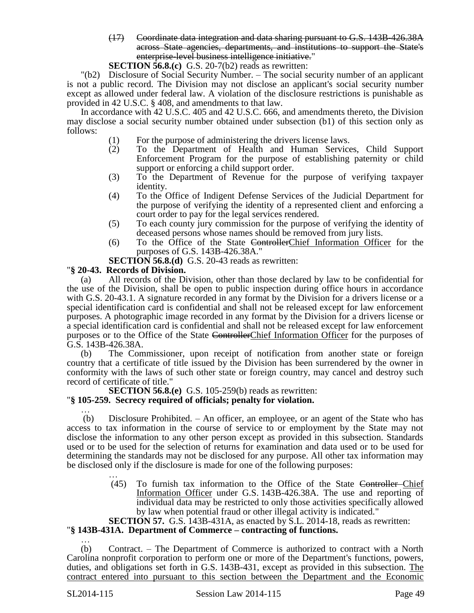- (17) Coordinate data integration and data sharing pursuant to G.S. 143B-426.38A across State agencies, departments, and institutions to support the State's enterprise-level business intelligence initiative."
- **SECTION 56.8.(c)** G.S. 20-7(b2) reads as rewritten:

"(b2) Disclosure of Social Security Number. – The social security number of an applicant is not a public record. The Division may not disclose an applicant's social security number except as allowed under federal law. A violation of the disclosure restrictions is punishable as provided in 42 U.S.C. § 408, and amendments to that law.

In accordance with 42 U.S.C. 405 and 42 U.S.C. 666, and amendments thereto, the Division may disclose a social security number obtained under subsection (b1) of this section only as follows:

- (1) For the purpose of administering the drivers license laws.
- (2) To the Department of Health and Human Services, Child Support Enforcement Program for the purpose of establishing paternity or child support or enforcing a child support order.
- (3) To the Department of Revenue for the purpose of verifying taxpayer identity.
- (4) To the Office of Indigent Defense Services of the Judicial Department for the purpose of verifying the identity of a represented client and enforcing a court order to pay for the legal services rendered.
- (5) To each county jury commission for the purpose of verifying the identity of deceased persons whose names should be removed from jury lists.
- (6) To the Office of the State ControllerChief Information Officer for the purposes of G.S. 143B-426.38A."

**SECTION 56.8.(d)** G.S. 20-43 reads as rewritten:

# "**§ 20-43. Records of Division.**

(a) All records of the Division, other than those declared by law to be confidential for the use of the Division, shall be open to public inspection during office hours in accordance with G.S. 20-43.1. A signature recorded in any format by the Division for a drivers license or a special identification card is confidential and shall not be released except for law enforcement purposes. A photographic image recorded in any format by the Division for a drivers license or a special identification card is confidential and shall not be released except for law enforcement purposes or to the Office of the State ControllerChief Information Officer for the purposes of G.S. 143B-426.38A.

(b) The Commissioner, upon receipt of notification from another state or foreign country that a certificate of title issued by the Division has been surrendered by the owner in conformity with the laws of such other state or foreign country, may cancel and destroy such record of certificate of title."

**SECTION 56.8.(e)** G.S. 105-259(b) reads as rewritten:

## "**§ 105-259. Secrecy required of officials; penalty for violation.**

… (b) Disclosure Prohibited. – An officer, an employee, or an agent of the State who has access to tax information in the course of service to or employment by the State may not disclose the information to any other person except as provided in this subsection. Standards used or to be used for the selection of returns for examination and data used or to be used for determining the standards may not be disclosed for any purpose. All other tax information may be disclosed only if the disclosure is made for one of the following purposes:

> … (45) To furnish tax information to the Office of the State Controller Chief Information Officer under G.S. 143B-426.38A. The use and reporting of individual data may be restricted to only those activities specifically allowed by law when potential fraud or other illegal activity is indicated."

**SECTION 57.** G.S. 143B-431A, as enacted by S.L. 2014-18, reads as rewritten:

### "**§ 143B-431A. Department of Commerce – contracting of functions.** …

(b) Contract. – The Department of Commerce is authorized to contract with a North Carolina nonprofit corporation to perform one or more of the Department's functions, powers, duties, and obligations set forth in G.S. 143B-431, except as provided in this subsection. The contract entered into pursuant to this section between the Department and the Economic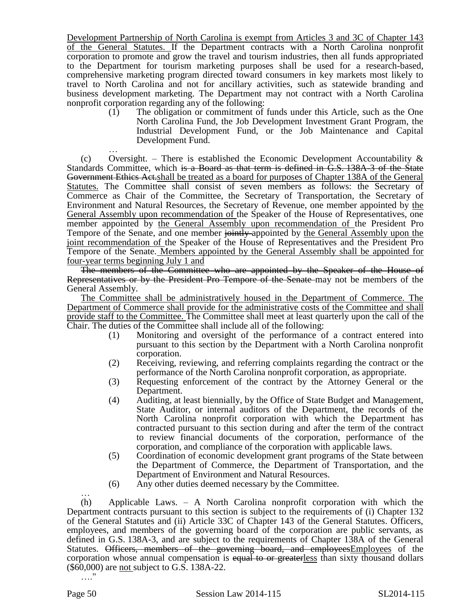Development Partnership of North Carolina is exempt from Articles 3 and 3C of Chapter 143 of the General Statutes. If the Department contracts with a North Carolina nonprofit corporation to promote and grow the travel and tourism industries, then all funds appropriated to the Department for tourism marketing purposes shall be used for a research-based, comprehensive marketing program directed toward consumers in key markets most likely to travel to North Carolina and not for ancillary activities, such as statewide branding and business development marketing. The Department may not contract with a North Carolina nonprofit corporation regarding any of the following:

(1) The obligation or commitment of funds under this Article, such as the One North Carolina Fund, the Job Development Investment Grant Program, the Industrial Development Fund, or the Job Maintenance and Capital Development Fund.

… (c) Oversight. – There is established the Economic Development Accountability  $\&$ Standards Committee, which is a Board as that term is defined in G.S. 138A-3 of the State Government Ethics Act.shall be treated as a board for purposes of Chapter 138A of the General Statutes. The Committee shall consist of seven members as follows: the Secretary of Commerce as Chair of the Committee, the Secretary of Transportation, the Secretary of Environment and Natural Resources, the Secretary of Revenue, one member appointed by the General Assembly upon recommendation of the Speaker of the House of Representatives, one member appointed by the General Assembly upon recommendation of the President Pro Tempore of the Senate, and one member jointly-appointed by the General Assembly upon the joint recommendation of the Speaker of the House of Representatives and the President Pro Tempore of the Senate. Members appointed by the General Assembly shall be appointed for four-year terms beginning July 1 and

The members of the Committee who are appointed by the Speaker of the House of Representatives or by the President Pro Tempore of the Senate may not be members of the General Assembly.

The Committee shall be administratively housed in the Department of Commerce. The Department of Commerce shall provide for the administrative costs of the Committee and shall provide staff to the Committee. The Committee shall meet at least quarterly upon the call of the Chair. The duties of the Committee shall include all of the following:

- (1) Monitoring and oversight of the performance of a contract entered into pursuant to this section by the Department with a North Carolina nonprofit corporation.
- (2) Receiving, reviewing, and referring complaints regarding the contract or the performance of the North Carolina nonprofit corporation, as appropriate.
- (3) Requesting enforcement of the contract by the Attorney General or the Department.
- (4) Auditing, at least biennially, by the Office of State Budget and Management, State Auditor, or internal auditors of the Department, the records of the North Carolina nonprofit corporation with which the Department has contracted pursuant to this section during and after the term of the contract to review financial documents of the corporation, performance of the corporation, and compliance of the corporation with applicable laws.
- (5) Coordination of economic development grant programs of the State between the Department of Commerce, the Department of Transportation, and the Department of Environment and Natural Resources.
- (6) Any other duties deemed necessary by the Committee.

… (h) Applicable Laws. – A North Carolina nonprofit corporation with which the Department contracts pursuant to this section is subject to the requirements of (i) Chapter 132 of the General Statutes and (ii) Article 33C of Chapter 143 of the General Statutes. Officers, employees, and members of the governing board of the corporation are public servants, as defined in G.S. 138A-3, and are subject to the requirements of Chapter 138A of the General Statutes. Officers, members of the governing board, and employees Employees of the corporation whose annual compensation is equal to or greaterless than sixty thousand dollars (\$60,000) are not subject to G.S. 138A-22.

…."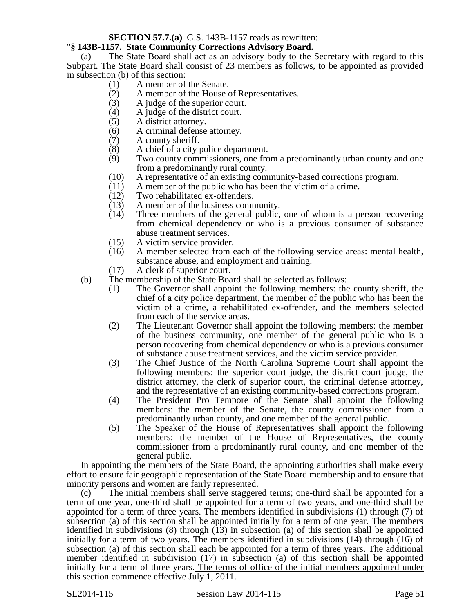## **SECTION 57.7.(a)** G.S. 143B-1157 reads as rewritten:

## "**§ 143B-1157. State Community Corrections Advisory Board.**

(a) The State Board shall act as an advisory body to the Secretary with regard to this Subpart. The State Board shall consist of 23 members as follows, to be appointed as provided in subsection (b) of this section:

- (1) A member of the Senate.<br>(2) A member of the House of
- A member of the House of Representatives.
- (3) A judge of the superior court.
- (4) A judge of the district court.
- (5) A district attorney.
- (6) A criminal defense attorney.
- (7) A county sheriff.
- (8) A chief of a city police department.<br>(9) Two county commissioners, one from
- Two county commissioners, one from a predominantly urban county and one from a predominantly rural county.
- (10) A representative of an existing community-based corrections program.
- (11) A member of the public who has been the victim of a crime.<br>(12) Two rehabilitated ex-offenders.
- (12) Two rehabilitated ex-offenders.<br>(13) A member of the business comm
- A member of the business community.
- (14) Three members of the general public, one of whom is a person recovering from chemical dependency or who is a previous consumer of substance abuse treatment services.
- (15) A victim service provider.
- (16) A member selected from each of the following service areas: mental health, substance abuse, and employment and training.
- (17) A clerk of superior court.
- (b) The membership of the State Board shall be selected as follows:
	- (1) The Governor shall appoint the following members: the county sheriff, the chief of a city police department, the member of the public who has been the victim of a crime, a rehabilitated ex-offender, and the members selected from each of the service areas.
	- (2) The Lieutenant Governor shall appoint the following members: the member of the business community, one member of the general public who is a person recovering from chemical dependency or who is a previous consumer of substance abuse treatment services, and the victim service provider.
	- (3) The Chief Justice of the North Carolina Supreme Court shall appoint the following members: the superior court judge, the district court judge, the district attorney, the clerk of superior court, the criminal defense attorney, and the representative of an existing community-based corrections program.
	- (4) The President Pro Tempore of the Senate shall appoint the following members: the member of the Senate, the county commissioner from a predominantly urban county, and one member of the general public.
	- (5) The Speaker of the House of Representatives shall appoint the following members: the member of the House of Representatives, the county commissioner from a predominantly rural county, and one member of the general public.

In appointing the members of the State Board, the appointing authorities shall make every effort to ensure fair geographic representation of the State Board membership and to ensure that minority persons and women are fairly represented.

(c) The initial members shall serve staggered terms; one-third shall be appointed for a term of one year, one-third shall be appointed for a term of two years, and one-third shall be appointed for a term of three years. The members identified in subdivisions (1) through (7) of subsection (a) of this section shall be appointed initially for a term of one year. The members identified in subdivisions (8) through (13) in subsection (a) of this section shall be appointed initially for a term of two years. The members identified in subdivisions (14) through (16) of subsection (a) of this section shall each be appointed for a term of three years. The additional member identified in subdivision (17) in subsection (a) of this section shall be appointed initially for a term of three years. The terms of office of the initial members appointed under this section commence effective July 1, 2011.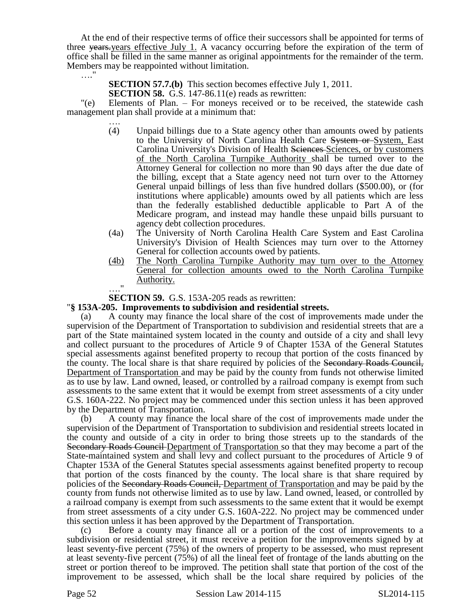At the end of their respective terms of office their successors shall be appointed for terms of three years.years effective July 1. A vacancy occurring before the expiration of the term of office shall be filled in the same manner as original appointments for the remainder of the term. Members may be reappointed without limitation.

…."

**SECTION 57.7.(b)** This section becomes effective July 1, 2011.

**SECTION 58.** G.S. 147-86.11(e) reads as rewritten:

"(e) Elements of Plan. – For moneys received or to be received, the statewide cash management plan shall provide at a minimum that:

- …. (4) Unpaid billings due to a State agency other than amounts owed by patients to the University of North Carolina Health Care System or System, East Carolina University's Division of Health Sciences Sciences, or by customers of the North Carolina Turnpike Authority shall be turned over to the Attorney General for collection no more than 90 days after the due date of the billing, except that a State agency need not turn over to the Attorney General unpaid billings of less than five hundred dollars (\$500.00), or (for institutions where applicable) amounts owed by all patients which are less than the federally established deductible applicable to Part A of the Medicare program, and instead may handle these unpaid bills pursuant to agency debt collection procedures.
- (4a) The University of North Carolina Health Care System and East Carolina University's Division of Health Sciences may turn over to the Attorney General for collection accounts owed by patients.
- (4b) The North Carolina Turnpike Authority may turn over to the Attorney General for collection amounts owed to the North Carolina Turnpike Authority.

…." **SECTION 59.** G.S. 153A-205 reads as rewritten:

## "**§ 153A-205. Improvements to subdivision and residential streets.**

(a) A county may finance the local share of the cost of improvements made under the supervision of the Department of Transportation to subdivision and residential streets that are a part of the State maintained system located in the county and outside of a city and shall levy and collect pursuant to the procedures of Article 9 of Chapter 153A of the General Statutes special assessments against benefited property to recoup that portion of the costs financed by the county. The local share is that share required by policies of the Secondary Roads Council, Department of Transportation and may be paid by the county from funds not otherwise limited as to use by law. Land owned, leased, or controlled by a railroad company is exempt from such assessments to the same extent that it would be exempt from street assessments of a city under G.S. 160A-222. No project may be commenced under this section unless it has been approved by the Department of Transportation.

(b) A county may finance the local share of the cost of improvements made under the supervision of the Department of Transportation to subdivision and residential streets located in the county and outside of a city in order to bring those streets up to the standards of the Secondary Roads Council Department of Transportation so that they may become a part of the State-maintained system and shall levy and collect pursuant to the procedures of Article 9 of Chapter 153A of the General Statutes special assessments against benefited property to recoup that portion of the costs financed by the county. The local share is that share required by policies of the Secondary Roads Council, Department of Transportation and may be paid by the county from funds not otherwise limited as to use by law. Land owned, leased, or controlled by a railroad company is exempt from such assessments to the same extent that it would be exempt from street assessments of a city under G.S. 160A-222. No project may be commenced under this section unless it has been approved by the Department of Transportation.

(c) Before a county may finance all or a portion of the cost of improvements to a subdivision or residential street, it must receive a petition for the improvements signed by at least seventy-five percent (75%) of the owners of property to be assessed, who must represent at least seventy-five percent (75%) of all the lineal feet of frontage of the lands abutting on the street or portion thereof to be improved. The petition shall state that portion of the cost of the improvement to be assessed, which shall be the local share required by policies of the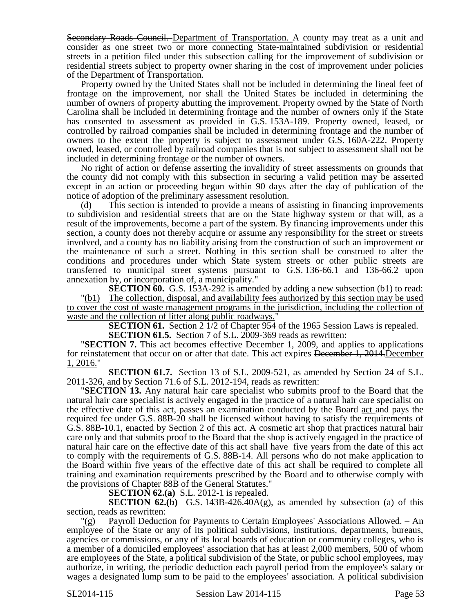Secondary Roads Council. Department of Transportation. A county may treat as a unit and consider as one street two or more connecting State-maintained subdivision or residential streets in a petition filed under this subsection calling for the improvement of subdivision or residential streets subject to property owner sharing in the cost of improvement under policies of the Department of Transportation.

Property owned by the United States shall not be included in determining the lineal feet of frontage on the improvement, nor shall the United States be included in determining the number of owners of property abutting the improvement. Property owned by the State of North Carolina shall be included in determining frontage and the number of owners only if the State has consented to assessment as provided in G.S. 153A-189. Property owned, leased, or controlled by railroad companies shall be included in determining frontage and the number of owners to the extent the property is subject to assessment under G.S. 160A-222. Property owned, leased, or controlled by railroad companies that is not subject to assessment shall not be included in determining frontage or the number of owners.

No right of action or defense asserting the invalidity of street assessments on grounds that the county did not comply with this subsection in securing a valid petition may be asserted except in an action or proceeding begun within 90 days after the day of publication of the notice of adoption of the preliminary assessment resolution.

(d) This section is intended to provide a means of assisting in financing improvements to subdivision and residential streets that are on the State highway system or that will, as a result of the improvements, become a part of the system. By financing improvements under this section, a county does not thereby acquire or assume any responsibility for the street or streets involved, and a county has no liability arising from the construction of such an improvement or the maintenance of such a street. Nothing in this section shall be construed to alter the conditions and procedures under which State system streets or other public streets are transferred to municipal street systems pursuant to G.S. 136-66.1 and 136-66.2 upon annexation by, or incorporation of, a municipality."

**SECTION 60.** G.S. 153A-292 is amended by adding a new subsection (b1) to read: "(b1) The collection, disposal, and availability fees authorized by this section may be used to cover the cost of waste management programs in the jurisdiction, including the collection of waste and the collection of litter along public roadways.

**SECTION 61.** Section 2 1/2 of Chapter 954 of the 1965 Session Laws is repealed.

**SECTION 61.5.** Section 7 of S.L. 2009-369 reads as rewritten:

"**SECTION 7.** This act becomes effective December 1, 2009, and applies to applications for reinstatement that occur on or after that date. This act expires December 1, 2014. December 1, 2016."

**SECTION 61.7.** Section 13 of S.L. 2009-521, as amended by Section 24 of S.L. 2011-326, and by Section 71.6 of S.L. 2012-194, reads as rewritten:

"**SECTION 13.** Any natural hair care specialist who submits proof to the Board that the natural hair care specialist is actively engaged in the practice of a natural hair care specialist on the effective date of this act, passes an examination conducted by the Board act and pays the required fee under G.S. 88B-20 shall be licensed without having to satisfy the requirements of G.S. 88B-10.1, enacted by Section 2 of this act. A cosmetic art shop that practices natural hair care only and that submits proof to the Board that the shop is actively engaged in the practice of natural hair care on the effective date of this act shall have five years from the date of this act to comply with the requirements of G.S. 88B-14. All persons who do not make application to the Board within five years of the effective date of this act shall be required to complete all training and examination requirements prescribed by the Board and to otherwise comply with the provisions of Chapter 88B of the General Statutes."

**SECTION 62.(a)** S.L. 2012-1 is repealed.

**SECTION 62.(b)** G.S. 143B-426.40A(g), as amended by subsection (a) of this section, reads as rewritten:

"(g) Payroll Deduction for Payments to Certain Employees' Associations Allowed. – An employee of the State or any of its political subdivisions, institutions, departments, bureaus, agencies or commissions, or any of its local boards of education or community colleges, who is a member of a domiciled employees' association that has at least 2,000 members, 500 of whom are employees of the State, a political subdivision of the State, or public school employees, may authorize, in writing, the periodic deduction each payroll period from the employee's salary or wages a designated lump sum to be paid to the employees' association. A political subdivision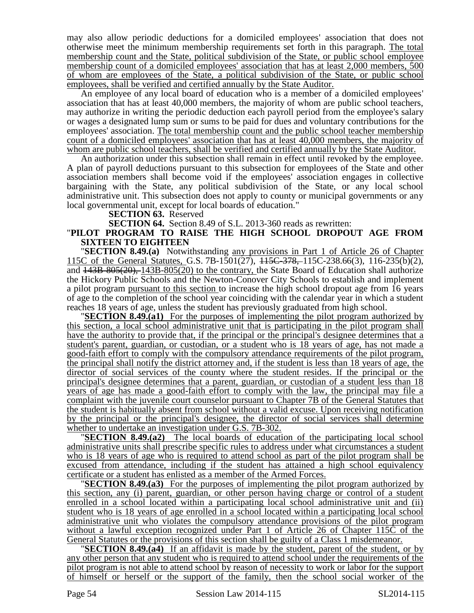may also allow periodic deductions for a domiciled employees' association that does not otherwise meet the minimum membership requirements set forth in this paragraph. The total membership count and the State, political subdivision of the State, or public school employee membership count of a domiciled employees' association that has at least 2,000 members, 500 of whom are employees of the State, a political subdivision of the State, or public school employees, shall be verified and certified annually by the State Auditor.

An employee of any local board of education who is a member of a domiciled employees' association that has at least 40,000 members, the majority of whom are public school teachers, may authorize in writing the periodic deduction each payroll period from the employee's salary or wages a designated lump sum or sums to be paid for dues and voluntary contributions for the employees' association. The total membership count and the public school teacher membership count of a domiciled employees' association that has at least 40,000 members, the majority of whom are public school teachers, shall be verified and certified annually by the State Auditor.

An authorization under this subsection shall remain in effect until revoked by the employee. A plan of payroll deductions pursuant to this subsection for employees of the State and other association members shall become void if the employees' association engages in collective bargaining with the State, any political subdivision of the State, or any local school administrative unit. This subsection does not apply to county or municipal governments or any local governmental unit, except for local boards of education."

**SECTION 63.** Reserved

**SECTION 64.** Section 8.49 of S.L. 2013-360 reads as rewritten:

## "**PILOT PROGRAM TO RAISE THE HIGH SCHOOL DROPOUT AGE FROM SIXTEEN TO EIGHTEEN**

"**SECTION 8.49.(a)** Notwithstanding any provisions in Part 1 of Article 26 of Chapter 115C of the General Statutes, G.S. 7B-1501(27), 115C-378, 115C-238.66(3), 116-235(b)(2), and 143B-805(20), 143B-805(20) to the contrary, the State Board of Education shall authorize the Hickory Public Schools and the Newton-Conover City Schools to establish and implement a pilot program pursuant to this section to increase the high school dropout age from 16 years of age to the completion of the school year coinciding with the calendar year in which a student reaches 18 years of age, unless the student has previously graduated from high school.

"**SECTION 8.49.(a1)** For the purposes of implementing the pilot program authorized by this section, a local school administrative unit that is participating in the pilot program shall have the authority to provide that, if the principal or the principal's designee determines that a student's parent, guardian, or custodian, or a student who is 18 years of age, has not made a good-faith effort to comply with the compulsory attendance requirements of the pilot program, the principal shall notify the district attorney and, if the student is less than 18 years of age, the director of social services of the county where the student resides. If the principal or the principal's designee determines that a parent, guardian, or custodian of a student less than 18 years of age has made a good-faith effort to comply with the law, the principal may file a complaint with the juvenile court counselor pursuant to Chapter 7B of the General Statutes that the student is habitually absent from school without a valid excuse. Upon receiving notification by the principal or the principal's designee, the director of social services shall determine whether to undertake an investigation under G.S. 7B-302.

**SECTION 8.49.(a2)** The local boards of education of the participating local school administrative units shall prescribe specific rules to address under what circumstances a student who is 18 years of age who is required to attend school as part of the pilot program shall be excused from attendance, including if the student has attained a high school equivalency certificate or a student has enlisted as a member of the Armed Forces.

**SECTION 8.49.(a3)** For the purposes of implementing the pilot program authorized by this section, any (i) parent, guardian, or other person having charge or control of a student enrolled in a school located within a participating local school administrative unit and (ii) student who is 18 years of age enrolled in a school located within a participating local school administrative unit who violates the compulsory attendance provisions of the pilot program without a lawful exception recognized under Part 1 of Article 26 of Chapter 115C of the General Statutes or the provisions of this section shall be guilty of a Class 1 misdemeanor.

"**SECTION 8.49.(a4)** If an affidavit is made by the student, parent of the student, or by any other person that any student who is required to attend school under the requirements of the pilot program is not able to attend school by reason of necessity to work or labor for the support of himself or herself or the support of the family, then the school social worker of the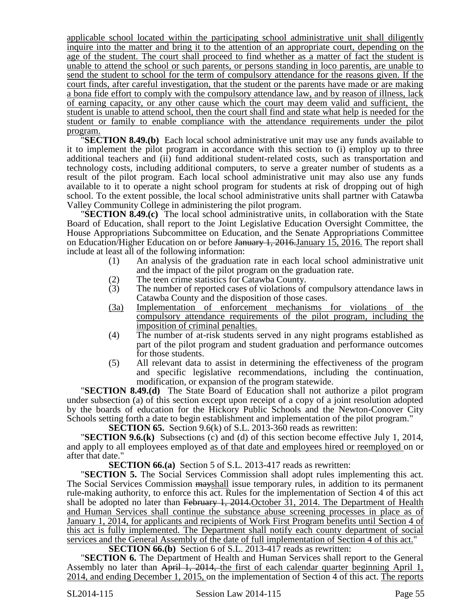applicable school located within the participating school administrative unit shall diligently inquire into the matter and bring it to the attention of an appropriate court, depending on the age of the student. The court shall proceed to find whether as a matter of fact the student is unable to attend the school or such parents, or persons standing in loco parentis, are unable to send the student to school for the term of compulsory attendance for the reasons given. If the court finds, after careful investigation, that the student or the parents have made or are making a bona fide effort to comply with the compulsory attendance law, and by reason of illness, lack of earning capacity, or any other cause which the court may deem valid and sufficient, the student is unable to attend school, then the court shall find and state what help is needed for the student or family to enable compliance with the attendance requirements under the pilot program.

"**SECTION 8.49.(b)** Each local school administrative unit may use any funds available to it to implement the pilot program in accordance with this section to (i) employ up to three additional teachers and (ii) fund additional student-related costs, such as transportation and technology costs, including additional computers, to serve a greater number of students as a result of the pilot program. Each local school administrative unit may also use any funds available to it to operate a night school program for students at risk of dropping out of high school. To the extent possible, the local school administrative units shall partner with Catawba Valley Community College in administering the pilot program.

"**SECTION 8.49.(c)** The local school administrative units, in collaboration with the State Board of Education, shall report to the Joint Legislative Education Oversight Committee, the House Appropriations Subcommittee on Education, and the Senate Appropriations Committee on Education/Higher Education on or before January 1, 2016. January 15, 2016. The report shall include at least all of the following information:

- (1) An analysis of the graduation rate in each local school administrative unit and the impact of the pilot program on the graduation rate.
- (2) The teen crime statistics for Catawba County.
- (3) The number of reported cases of violations of compulsory attendance laws in Catawba County and the disposition of those cases.
- (3a) Implementation of enforcement mechanisms for violations of the compulsory attendance requirements of the pilot program, including the imposition of criminal penalties.
- (4) The number of at-risk students served in any night programs established as part of the pilot program and student graduation and performance outcomes for those students.
- (5) All relevant data to assist in determining the effectiveness of the program and specific legislative recommendations, including the continuation, modification, or expansion of the program statewide.

"**SECTION 8.49.(d)** The State Board of Education shall not authorize a pilot program under subsection (a) of this section except upon receipt of a copy of a joint resolution adopted by the boards of education for the Hickory Public Schools and the Newton-Conover City Schools setting forth a date to begin establishment and implementation of the pilot program."

**SECTION 65.** Section 9.6(k) of S.L. 2013-360 reads as rewritten:

"**SECTION 9.6.(k)** Subsections (c) and (d) of this section become effective July 1, 2014, and apply to all employees employed as of that date and employees hired or reemployed on or after that date."

**SECTION 66.(a)** Section 5 of S.L. 2013-417 reads as rewritten:

"**SECTION 5.** The Social Services Commission shall adopt rules implementing this act. The Social Services Commission mayshall issue temporary rules, in addition to its permanent rule-making authority, to enforce this act. Rules for the implementation of Section 4 of this act shall be adopted no later than February 1, 2014. October 31, 2014. The Department of Health and Human Services shall continue the substance abuse screening processes in place as of January 1, 2014, for applicants and recipients of Work First Program benefits until Section 4 of this act is fully implemented. The Department shall notify each county department of social services and the General Assembly of the date of full implementation of Section 4 of this act."

**SECTION 66.(b)** Section 6 of S.L. 2013-417 reads as rewritten:

"**SECTION 6.** The Department of Health and Human Services shall report to the General Assembly no later than April 1, 2014, the first of each calendar quarter beginning April 1, 2014, and ending December 1, 2015, on the implementation of Section 4 of this act. The reports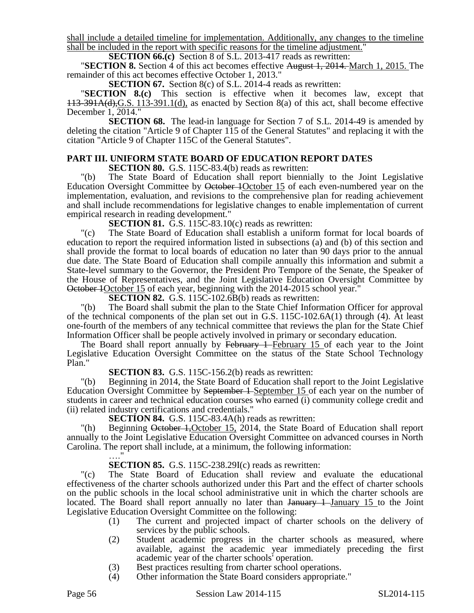shall include a detailed timeline for implementation. Additionally, any changes to the timeline shall be included in the report with specific reasons for the timeline adjustment."

**SECTION 66.(c)** Section 8 of S.L. 2013-417 reads as rewritten:

"**SECTION 8.** Section 4 of this act becomes effective August 1, 2014. March 1, 2015. The remainder of this act becomes effective October 1, 2013."

**SECTION 67.** Section 8(c) of S.L. 2014-4 reads as rewritten:

"**SECTION 8.(c)** This section is effective when it becomes law, except that 113-391A(d),G.S. 113-391.1(d), as enacted by Section 8(a) of this act, shall become effective December 1, 2014."

**SECTION 68.** The lead-in language for Section 7 of S.L. 2014-49 is amended by deleting the citation "Article 9 of Chapter 115 of the General Statutes" and replacing it with the citation "Article 9 of Chapter 115C of the General Statutes".

# **PART III. UNIFORM STATE BOARD OF EDUCATION REPORT DATES**

**SECTION 80.** G.S. 115C-83.4(b) reads as rewritten:

"(b) The State Board of Education shall report biennially to the Joint Legislative Education Oversight Committee by October 1October 15 of each even-numbered year on the implementation, evaluation, and revisions to the comprehensive plan for reading achievement and shall include recommendations for legislative changes to enable implementation of current empirical research in reading development."

**SECTION 81.** G.S. 115C-83.10(c) reads as rewritten:

"(c) The State Board of Education shall establish a uniform format for local boards of education to report the required information listed in subsections (a) and (b) of this section and shall provide the format to local boards of education no later than 90 days prior to the annual due date. The State Board of Education shall compile annually this information and submit a State-level summary to the Governor, the President Pro Tempore of the Senate, the Speaker of the House of Representatives, and the Joint Legislative Education Oversight Committee by October 1October 15 of each year, beginning with the 2014-2015 school year."

**SECTION 82.** G.S. 115C-102.6B(b) reads as rewritten:

"(b) The Board shall submit the plan to the State Chief Information Officer for approval of the technical components of the plan set out in G.S. 115C-102.6A(1) through (4). At least one-fourth of the members of any technical committee that reviews the plan for the State Chief Information Officer shall be people actively involved in primary or secondary education.

The Board shall report annually by February 1-February 15 of each year to the Joint Legislative Education Oversight Committee on the status of the State School Technology Plan."

**SECTION 83.** G.S. 115C-156.2(b) reads as rewritten:

"(b) Beginning in 2014, the State Board of Education shall report to the Joint Legislative Education Oversight Committee by September 1-September 15 of each year on the number of students in career and technical education courses who earned (i) community college credit and (ii) related industry certifications and credentials."

**SECTION 84.** G.S. 115C-83.4A(h) reads as rewritten:

"(h) Beginning October 1, October 15, 2014, the State Board of Education shall report annually to the Joint Legislative Education Oversight Committee on advanced courses in North Carolina. The report shall include, at a minimum, the following information: …."

## **SECTION 85.** G.S. 115C-238.29I(c) reads as rewritten:

"(c) The State Board of Education shall review and evaluate the educational effectiveness of the charter schools authorized under this Part and the effect of charter schools on the public schools in the local school administrative unit in which the charter schools are located. The Board shall report annually no later than January 1 January 15 to the Joint Legislative Education Oversight Committee on the following:

- (1) The current and projected impact of charter schools on the delivery of services by the public schools.
- (2) Student academic progress in the charter schools as measured, where available, against the academic year immediately preceding the first academic year of the charter schools' operation.
- (3) Best practices resulting from charter school operations.
- (4) Other information the State Board considers appropriate."

Page 56 Session Law 2014-115 SL2014-115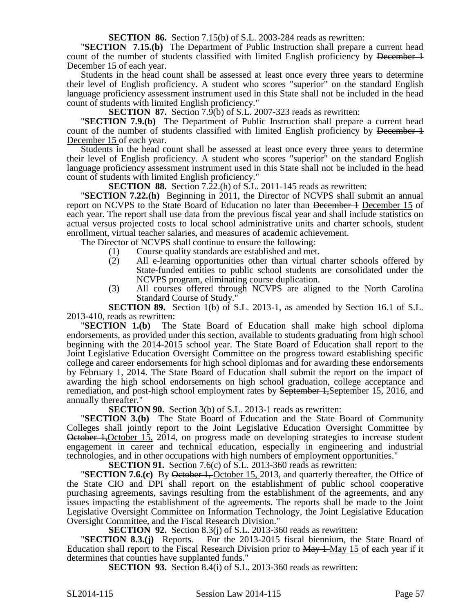### **SECTION 86.** Section 7.15(b) of S.L. 2003-284 reads as rewritten:

"**SECTION 7.15.(b)** The Department of Public Instruction shall prepare a current head count of the number of students classified with limited English proficiency by December 1 December 15 of each year.

Students in the head count shall be assessed at least once every three years to determine their level of English proficiency. A student who scores "superior" on the standard English language proficiency assessment instrument used in this State shall not be included in the head count of students with limited English proficiency."

**SECTION 87.** Section 7.9(b) of S.L. 2007-323 reads as rewritten:

"**SECTION 7.9.(b)** The Department of Public Instruction shall prepare a current head count of the number of students classified with limited English proficiency by <del>December 1</del> December 15 of each year.

Students in the head count shall be assessed at least once every three years to determine their level of English proficiency. A student who scores "superior" on the standard English language proficiency assessment instrument used in this State shall not be included in the head count of students with limited English proficiency."

**SECTION 88.** Section 7.22.(h) of S.L. 2011-145 reads as rewritten:

"**SECTION 7.22.(h)** Beginning in 2011, the Director of NCVPS shall submit an annual report on NCVPS to the State Board of Education no later than <del>December 1</del> December 15 of each year. The report shall use data from the previous fiscal year and shall include statistics on actual versus projected costs to local school administrative units and charter schools, student enrollment, virtual teacher salaries, and measures of academic achievement.

The Director of NCVPS shall continue to ensure the following:

- (1) Course quality standards are established and met.
	- (2) All e-learning opportunities other than virtual charter schools offered by State-funded entities to public school students are consolidated under the NCVPS program, eliminating course duplication.
- (3) All courses offered through NCVPS are aligned to the North Carolina Standard Course of Study."

**SECTION 89.** Section 1(b) of S.L. 2013-1, as amended by Section 16.1 of S.L. 2013-410, reads as rewritten:

"**SECTION 1.(b)** The State Board of Education shall make high school diploma endorsements, as provided under this section, available to students graduating from high school beginning with the 2014-2015 school year. The State Board of Education shall report to the Joint Legislative Education Oversight Committee on the progress toward establishing specific college and career endorsements for high school diplomas and for awarding these endorsements by February 1, 2014. The State Board of Education shall submit the report on the impact of awarding the high school endorsements on high school graduation, college acceptance and remediation, and post-high school employment rates by <del>September 1,</del>September 15, 2016, and annually thereafter."

**SECTION 90.** Section 3(b) of S.L. 2013-1 reads as rewritten:

"**SECTION 3.(b)** The State Board of Education and the State Board of Community Colleges shall jointly report to the Joint Legislative Education Oversight Committee by October 1,October 15, 2014, on progress made on developing strategies to increase student engagement in career and technical education, especially in engineering and industrial technologies, and in other occupations with high numbers of employment opportunities."

**SECTION 91.** Section 7.6(c) of S.L. 2013-360 reads as rewritten:

**"SECTION 7.6.(c)** By <del>October 1, October 15</del>, 2013, and quarterly thereafter, the Office of the State CIO and DPI shall report on the establishment of public school cooperative purchasing agreements, savings resulting from the establishment of the agreements, and any issues impacting the establishment of the agreements. The reports shall be made to the Joint Legislative Oversight Committee on Information Technology, the Joint Legislative Education Oversight Committee, and the Fiscal Research Division."

**SECTION 92.** Section 8.3(j) of S.L. 2013-360 reads as rewritten:

"**SECTION 8.3.(j)** Reports. – For the 2013-2015 fiscal biennium, the State Board of Education shall report to the Fiscal Research Division prior to May 1 May 15 of each year if it determines that counties have supplanted funds."

**SECTION 93.** Section 8.4(i) of S.L. 2013-360 reads as rewritten: